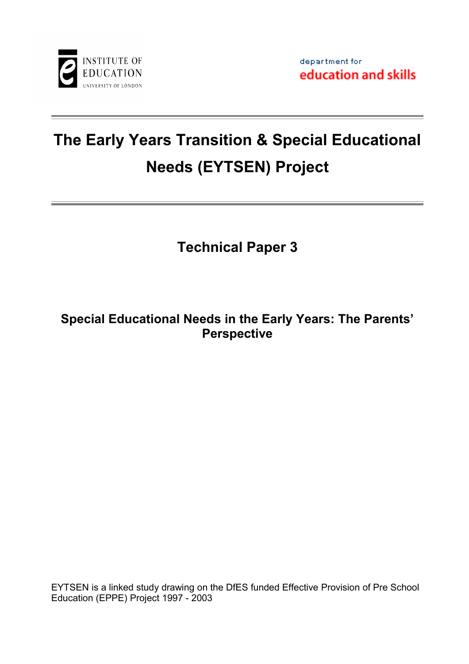

# **The Early Years Transition & Special Educational Needs (EYTSEN) Project**

**Technical Paper 3**

# **Special Educational Needs in the Early Years: The Parents' Perspective**

EYTSEN is a linked study drawing on the DfES funded Effective Provision of Pre School Education (EPPE) Project 1997 - 2003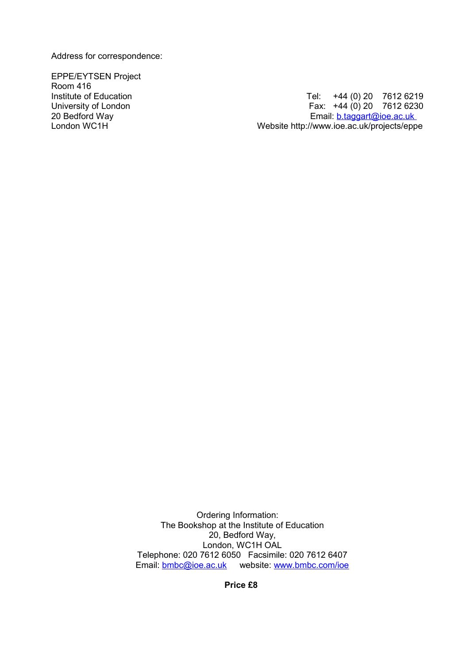Address for correspondence:

EPPE/EYTSEN Project Room 416

Institute of Education **Tel:**  $\overline{1}$  +44 (0) 20 7612 6219 University of London **Fax: +44 (0) 20 7612 6230** 20 Bedford Way **Email:** [b.taggart@ioe.ac.uk](mailto:b.taggart@ioe.ac.uk)<br>London WC1H London WC1H London WC1H London WC1H 20 Bedford MC1H 20 Bedford MC1H 20 Bedford MC1H 20 Bedford Me Website http://www.ioe.ac.uk/projects/eppe

> Ordering Information: The Bookshop at the Institute of Education 20, Bedford Way, London, WC1H OAL Telephone: 020 7612 6050 Facsimile: 020 7612 6407 Email: [bmbc@ioe.ac.uk](mailto:bmbc@ioe.ac.uk) website: [www.bmbc.com/ioe](http://www.bmbc.com/ioe)

> > **Price £8**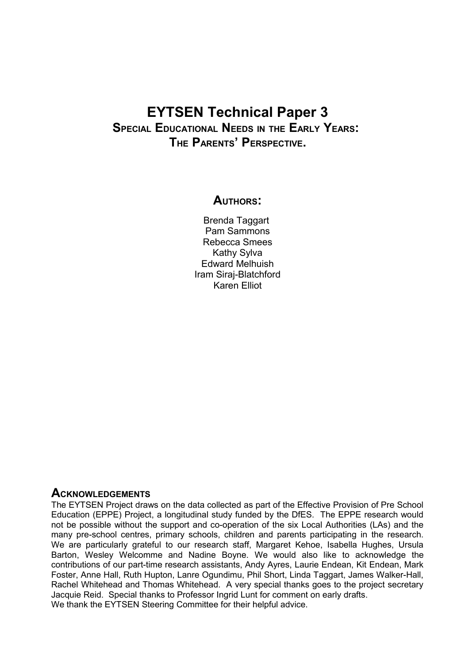# **EYTSEN Technical Paper 3**

# **SPECIAL EDUCATIONAL NEEDS IN THE EARLY YEARS: THE PARENTS' PERSPECTIVE.**

# **AUTHORS:**

Brenda Taggart Pam Sammons Rebecca Smees Kathy Sylva Edward Melhuish Iram Siraj-Blatchford Karen Elliot

# **ACKNOWLEDGEMENTS**

The EYTSEN Project draws on the data collected as part of the Effective Provision of Pre School Education (EPPE) Project, a longitudinal study funded by the DfES. The EPPE research would not be possible without the support and co-operation of the six Local Authorities (LAs) and the many pre-school centres, primary schools, children and parents participating in the research. We are particularly grateful to our research staff, Margaret Kehoe, Isabella Hughes, Ursula Barton, Wesley Welcomme and Nadine Boyne. We would also like to acknowledge the contributions of our part-time research assistants, Andy Ayres, Laurie Endean, Kit Endean, Mark Foster, Anne Hall, Ruth Hupton, Lanre Ogundimu, Phil Short, Linda Taggart, James Walker-Hall, Rachel Whitehead and Thomas Whitehead. A very special thanks goes to the project secretary Jacquie Reid. Special thanks to Professor Ingrid Lunt for comment on early drafts. We thank the EYTSEN Steering Committee for their helpful advice.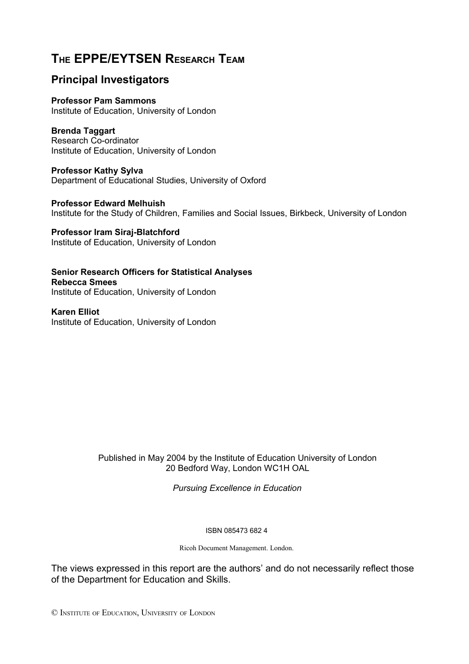# **THE EPPE/EYTSEN RESEARCH TEAM**

# **Principal Investigators**

**Professor Pam Sammons** Institute of Education, University of London

**Brenda Taggart** Research Co-ordinator

Institute of Education, University of London

**Professor Kathy Sylva** Department of Educational Studies, University of Oxford

**Professor Edward Melhuish** Institute for the Study of Children, Families and Social Issues, Birkbeck, University of London

**Professor Iram Siraj-Blatchford** Institute of Education, University of London

**Senior Research Officers for Statistical Analyses Rebecca Smees** Institute of Education, University of London

**Karen Elliot**  Institute of Education, University of London

> Published in May 2004 by the Institute of Education University of London 20 Bedford Way, London WC1H OAL

> > *Pursuing Excellence in Education*

ISBN 085473 682 4

Ricoh Document Management. London.

The views expressed in this report are the authors' and do not necessarily reflect those of the Department for Education and Skills.

© INSTITUTE OF EDUCATION, UNIVERSITY OF LONDON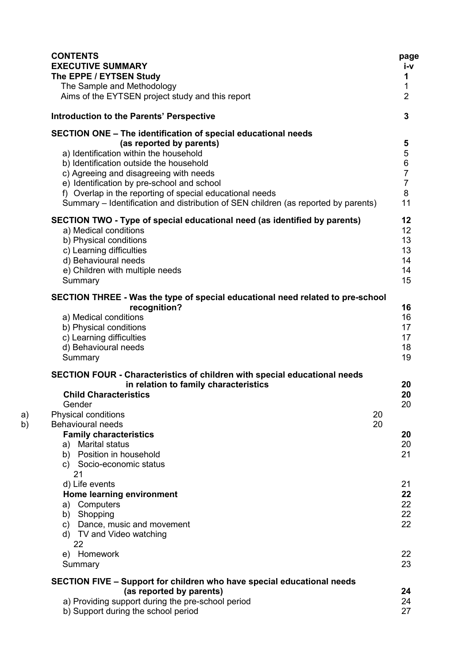|          | <b>CONTENTS</b><br><b>EXECUTIVE SUMMARY</b>                                                            | page<br>i-v                      |
|----------|--------------------------------------------------------------------------------------------------------|----------------------------------|
|          | The EPPE / EYTSEN Study<br>The Sample and Methodology                                                  | 1<br>1                           |
|          | Aims of the EYTSEN project study and this report                                                       | $\overline{2}$                   |
|          | Introduction to the Parents' Perspective                                                               | $\overline{3}$                   |
|          | SECTION ONE - The identification of special educational needs                                          |                                  |
|          | (as reported by parents)                                                                               | 5                                |
|          | a) Identification within the household                                                                 | $\mathbf 5$                      |
|          | b) Identification outside the household                                                                | $\,6\,$                          |
|          | c) Agreeing and disagreeing with needs                                                                 | $\overline{7}$<br>$\overline{7}$ |
|          | e) Identification by pre-school and school<br>f) Overlap in the reporting of special educational needs | 8                                |
|          | Summary – Identification and distribution of SEN children (as reported by parents)                     | 11                               |
|          | SECTION TWO - Type of special educational need (as identified by parents)                              | 12                               |
|          | a) Medical conditions                                                                                  | 12                               |
|          | b) Physical conditions                                                                                 | 13                               |
|          | c) Learning difficulties                                                                               | 13                               |
|          | d) Behavioural needs<br>e) Children with multiple needs                                                | 14<br>14                         |
|          | Summary                                                                                                | 15                               |
|          | SECTION THREE - Was the type of special educational need related to pre-school                         |                                  |
|          | recognition?                                                                                           | 16                               |
|          | a) Medical conditions                                                                                  | 16                               |
|          | b) Physical conditions                                                                                 | 17                               |
|          | c) Learning difficulties                                                                               | 17                               |
|          | d) Behavioural needs<br>Summary                                                                        | 18<br>19                         |
|          | SECTION FOUR - Characteristics of children with special educational needs                              |                                  |
|          | in relation to family characteristics                                                                  | 20                               |
|          | <b>Child Characteristics</b>                                                                           | 20                               |
|          | Gender                                                                                                 | 20                               |
| a)<br>b) | 20<br>Physical conditions<br>Behavioural needs<br>20                                                   |                                  |
|          | <b>Family characteristics</b>                                                                          | 20                               |
|          | <b>Marital status</b><br>a)                                                                            | 20                               |
|          | b) Position in household                                                                               | 21                               |
|          | c) Socio-economic status                                                                               |                                  |
|          | 21<br>d) Life events                                                                                   | 21                               |
|          | Home learning environment                                                                              | 22                               |
|          | Computers<br>a)                                                                                        | 22                               |
|          | Shopping<br>b)                                                                                         | 22                               |
|          | Dance, music and movement<br>C)                                                                        | 22                               |
|          | d) TV and Video watching                                                                               |                                  |
|          | 22<br>e) Homework                                                                                      | 22                               |
|          | Summary                                                                                                | 23                               |
|          | SECTION FIVE – Support for children who have special educational needs                                 |                                  |
|          | (as reported by parents)                                                                               | 24                               |
|          | a) Providing support during the pre-school period                                                      | 24                               |
|          | b) Support during the school period                                                                    | 27                               |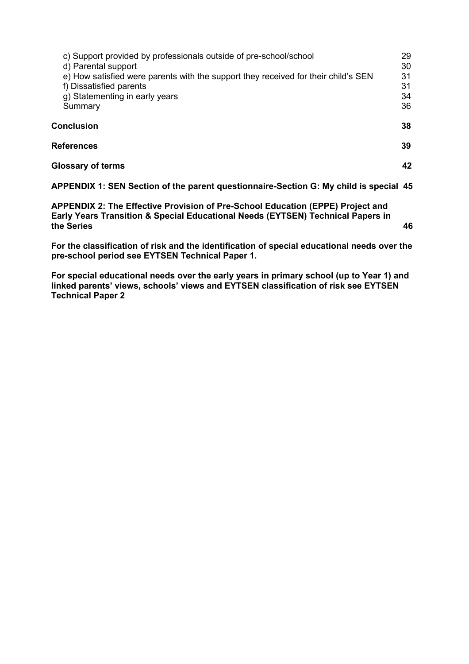| c) Support provided by professionals outside of pre-school/school<br>d) Parental support                      | 29<br>30 |
|---------------------------------------------------------------------------------------------------------------|----------|
| e) How satisfied were parents with the support they received for their child's SEN<br>f) Dissatisfied parents | 31<br>31 |
| g) Statementing in early years<br>Summary                                                                     | 34<br>36 |
| Conclusion                                                                                                    | 38       |
| <b>References</b>                                                                                             | 39       |
| <b>Glossary of terms</b>                                                                                      | 42       |
|                                                                                                               |          |

**APPENDIX 1: SEN Section of the parent questionnaire-Section G: My child is special 45**

**APPENDIX 2: The Effective Provision of Pre-School Education (EPPE) Project and Early Years Transition & Special Educational Needs (EYTSEN) Technical Papers in the Series 46**

**For the classification of risk and the identification of special educational needs over the pre-school period see EYTSEN Technical Paper 1.** 

**For special educational needs over the early years in primary school (up to Year 1) and linked parents' views, schools' views and EYTSEN classification of risk see EYTSEN Technical Paper 2**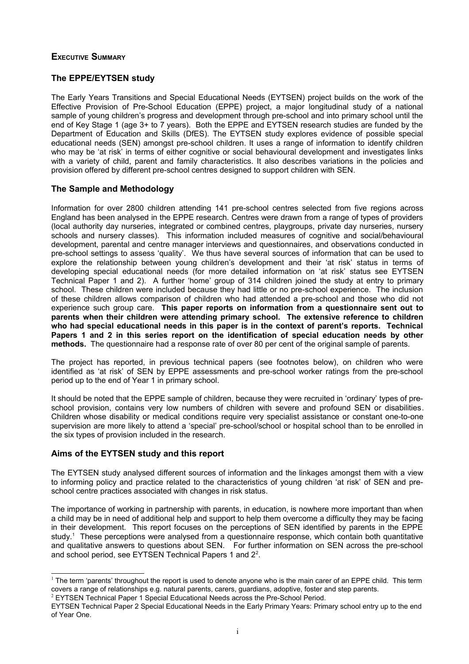# **EXECUTIVE SUMMARY**

# **The EPPE/EYTSEN study**

The Early Years Transitions and Special Educational Needs (EYTSEN) project builds on the work of the Effective Provision of Pre-School Education (EPPE) project, a major longitudinal study of a national sample of young children's progress and development through pre-school and into primary school until the end of Key Stage 1 (age 3+ to 7 years). Both the EPPE and EYTSEN research studies are funded by the Department of Education and Skills (DfES). The EYTSEN study explores evidence of possible special educational needs (SEN) amongst pre-school children. It uses a range of information to identify children who may be 'at risk' in terms of either cognitive or social behavioural development and investigates links with a variety of child, parent and family characteristics. It also describes variations in the policies and provision offered by different pre-school centres designed to support children with SEN.

# **The Sample and Methodology**

Information for over 2800 children attending 141 pre-school centres selected from five regions across England has been analysed in the EPPE research. Centres were drawn from a range of types of providers (local authority day nurseries, integrated or combined centres, playgroups, private day nurseries, nursery schools and nursery classes). This information included measures of cognitive and social/behavioural development, parental and centre manager interviews and questionnaires, and observations conducted in pre-school settings to assess 'quality'. We thus have several sources of information that can be used to explore the relationship between young children's development and their 'at risk' status in terms of developing special educational needs (for more detailed information on 'at risk' status see EYTSEN Technical Paper 1 and 2). A further 'home' group of 314 children joined the study at entry to primary school. These children were included because they had little or no pre-school experience. The inclusion of these children allows comparison of children who had attended a pre-school and those who did not experience such group care. **This paper reports on information from a questionnaire sent out to parents when their children were attending primary school. The extensive reference to children who had special educational needs in this paper is in the context of parent's reports. Technical Papers 1 and 2 in this series report on the identification of special education needs by other methods.** The questionnaire had a response rate of over 80 per cent of the original sample of parents.

The project has reported, in previous technical papers (see footnotes below), on children who were identified as 'at risk' of SEN by EPPE assessments and pre-school worker ratings from the pre-school period up to the end of Year 1 in primary school.

It should be noted that the EPPE sample of children, because they were recruited in 'ordinary' types of preschool provision, contains very low numbers of children with severe and profound SEN or disabilities. Children whose disability or medical conditions require very specialist assistance or constant one-to-one supervision are more likely to attend a 'special' pre-school/school or hospital school than to be enrolled in the six types of provision included in the research.

# **Aims of the EYTSEN study and this report**

The EYTSEN study analysed different sources of information and the linkages amongst them with a view to informing policy and practice related to the characteristics of young children 'at risk' of SEN and preschool centre practices associated with changes in risk status.

The importance of working in partnership with parents, in education, is nowhere more important than when a child may be in need of additional help and support to help them overcome a difficulty they may be facing in their development. This report focuses on the perceptions of SEN identified by parents in the EPPE study.<sup>[1](#page-6-0)</sup> These perceptions were analysed from a questionnaire response, which contain both quantitative and qualitative answers to questions about SEN. For further information on SEN across the pre-school and school period, see EYTSEN Technical Papers 1 and [2](#page-6-1)<sup>2</sup>.

<span id="page-6-1"></span>2 EYTSEN Technical Paper 1 Special Educational Needs across the Pre-School Period.

<span id="page-6-0"></span><sup>&</sup>lt;sup>1</sup> The term 'parents' throughout the report is used to denote anyone who is the main carer of an EPPE child. This term covers a range of relationships e.g. natural parents, carers, guardians, adoptive, foster and step parents.

EYTSEN Technical Paper 2 Special Educational Needs in the Early Primary Years: Primary school entry up to the end of Year One.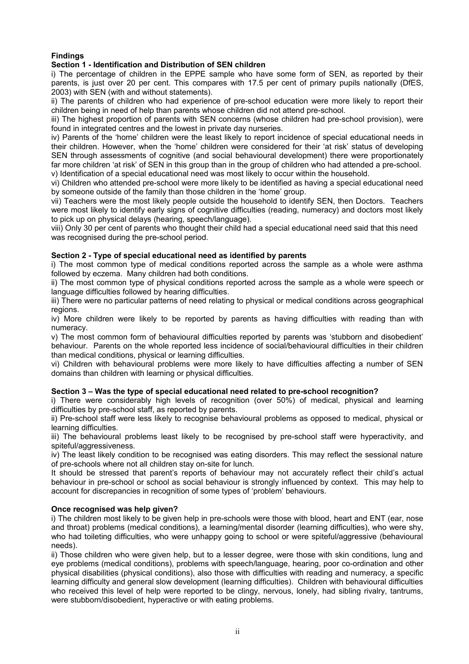# **Findings**

#### **Section 1 - Identification and Distribution of SEN children**

i) The percentage of children in the EPPE sample who have some form of SEN, as reported by their parents, is just over 20 per cent. This compares with 17.5 per cent of primary pupils nationally (DfES, 2003) with SEN (with and without statements).

ii) The parents of children who had experience of pre-school education were more likely to report their children being in need of help than parents whose children did not attend pre-school.

iii) The highest proportion of parents with SEN concerns (whose children had pre-school provision), were found in integrated centres and the lowest in private day nurseries.

iv) Parents of the 'home' children were the least likely to report incidence of special educational needs in their children. However, when the 'home' children were considered for their 'at risk' status of developing SEN through assessments of cognitive (and social behavioural development) there were proportionately far more children 'at risk' of SEN in this group than in the group of children who had attended a pre-school. v) Identification of a special educational need was most likely to occur within the household.

vi) Children who attended pre-school were more likely to be identified as having a special educational need by someone outside of the family than those children in the 'home' group.

vii) Teachers were the most likely people outside the household to identify SEN, then Doctors. Teachers were most likely to identify early signs of cognitive difficulties (reading, numeracy) and doctors most likely to pick up on physical delays (hearing, speech/language).

viii) Only 30 per cent of parents who thought their child had a special educational need said that this need was recognised during the pre-school period.

#### **Section 2 - Type of special educational need as identified by parents**

i) The most common type of medical conditions reported across the sample as a whole were asthma followed by eczema. Many children had both conditions.

ii) The most common type of physical conditions reported across the sample as a whole were speech or language difficulties followed by hearing difficulties.

iii) There were no particular patterns of need relating to physical or medical conditions across geographical regions.

iv) More children were likely to be reported by parents as having difficulties with reading than with numeracy.

v) The most common form of behavioural difficulties reported by parents was 'stubborn and disobedient' behaviour. Parents on the whole reported less incidence of social/behavioural difficulties in their children than medical conditions, physical or learning difficulties.

vi) Children with behavioural problems were more likely to have difficulties affecting a number of SEN domains than children with learning or physical difficulties.

#### **Section 3 – Was the type of special educational need related to pre-school recognition?**

i) There were considerably high levels of recognition (over 50%) of medical, physical and learning difficulties by pre-school staff, as reported by parents.

ii) Pre-school staff were less likely to recognise behavioural problems as opposed to medical, physical or learning difficulties.

iii) The behavioural problems least likely to be recognised by pre-school staff were hyperactivity, and spiteful/aggressiveness.

iv) The least likely condition to be recognised was eating disorders. This may reflect the sessional nature of pre-schools where not all children stay on-site for lunch.

It should be stressed that parent's reports of behaviour may not accurately reflect their child's actual behaviour in pre-school or school as social behaviour is strongly influenced by context. This may help to account for discrepancies in recognition of some types of 'problem' behaviours.

#### **Once recognised was help given?**

i) The children most likely to be given help in pre-schools were those with blood, heart and ENT (ear, nose and throat) problems (medical conditions), a learning/mental disorder (learning difficulties), who were shy, who had toileting difficulties, who were unhappy going to school or were spiteful/aggressive (behavioural needs).

ii) Those children who were given help, but to a lesser degree, were those with skin conditions, lung and eye problems (medical conditions), problems with speech/language, hearing, poor co-ordination and other physical disabilities (physical conditions), also those with difficulties with reading and numeracy, a specific learning difficulty and general slow development (learning difficulties). Children with behavioural difficulties who received this level of help were reported to be clingy, nervous, lonely, had sibling rivalry, tantrums, were stubborn/disobedient, hyperactive or with eating problems.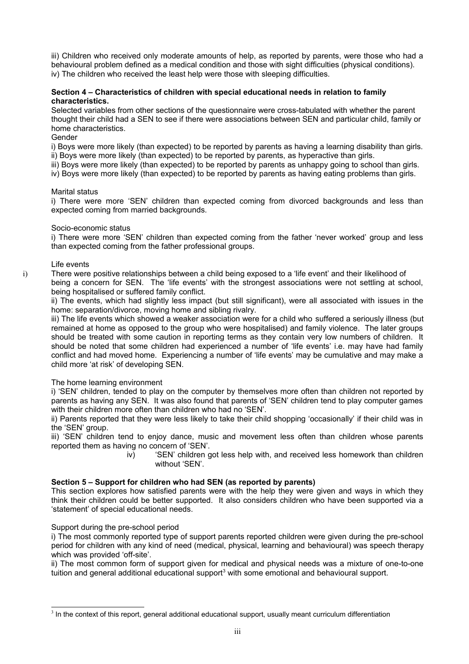iii) Children who received only moderate amounts of help, as reported by parents, were those who had a behavioural problem defined as a medical condition and those with sight difficulties (physical conditions). iv) The children who received the least help were those with sleeping difficulties.

#### **Section 4 – Characteristics of children with special educational needs in relation to family characteristics.**

Selected variables from other sections of the questionnaire were cross-tabulated with whether the parent thought their child had a SEN to see if there were associations between SEN and particular child, family or home characteristics.

#### Gender

i) Boys were more likely (than expected) to be reported by parents as having a learning disability than girls. ii) Boys were more likely (than expected) to be reported by parents, as hyperactive than girls.

iii) Boys were more likely (than expected) to be reported by parents as unhappy going to school than girls.

iv) Boys were more likely (than expected) to be reported by parents as having eating problems than girls.

#### Marital status

i) There were more 'SEN' children than expected coming from divorced backgrounds and less than expected coming from married backgrounds.

#### Socio-economic status

i) There were more 'SEN' children than expected coming from the father 'never worked' group and less than expected coming from the father professional groups.

#### Life events

i) There were positive relationships between a child being exposed to a 'life event' and their likelihood of being a concern for SEN. The 'life events' with the strongest associations were not settling at school, being hospitalised or suffered family conflict.

ii) The events, which had slightly less impact (but still significant), were all associated with issues in the home: separation/divorce, moving home and sibling rivalry.

iii) The life events which showed a weaker association were for a child who suffered a seriously illness (but remained at home as opposed to the group who were hospitalised) and family violence. The later groups should be treated with some caution in reporting terms as they contain very low numbers of children. It should be noted that some children had experienced a number of 'life events' i.e. may have had family conflict and had moved home. Experiencing a number of 'life events' may be cumulative and may make a child more 'at risk' of developing SEN.

#### The home learning environment

i) 'SEN' children, tended to play on the computer by themselves more often than children not reported by parents as having any SEN. It was also found that parents of 'SEN' children tend to play computer games with their children more often than children who had no 'SEN'.

ii) Parents reported that they were less likely to take their child shopping 'occasionally' if their child was in the 'SEN' group.

iii) 'SEN' children tend to enjoy dance, music and movement less often than children whose parents reported them as having no concern of 'SEN'.

iv) 'SEN' children got less help with, and received less homework than children without 'SEN'.

#### **Section 5 – Support for children who had SEN (as reported by parents)**

This section explores how satisfied parents were with the help they were given and ways in which they think their children could be better supported. It also considers children who have been supported via a 'statement' of special educational needs.

#### Support during the pre-school period

i) The most commonly reported type of support parents reported children were given during the pre-school period for children with any kind of need (medical, physical, learning and behavioural) was speech therapy which was provided 'off-site'.

ii) The most common form of support given for medical and physical needs was a mixture of one-to-one tuition and general additional educational support<sup>[3](#page-8-0)</sup> with some emotional and behavioural support.

<span id="page-8-0"></span><sup>&</sup>lt;sup>3</sup> In the context of this report, general additional educational support, usually meant curriculum differentiation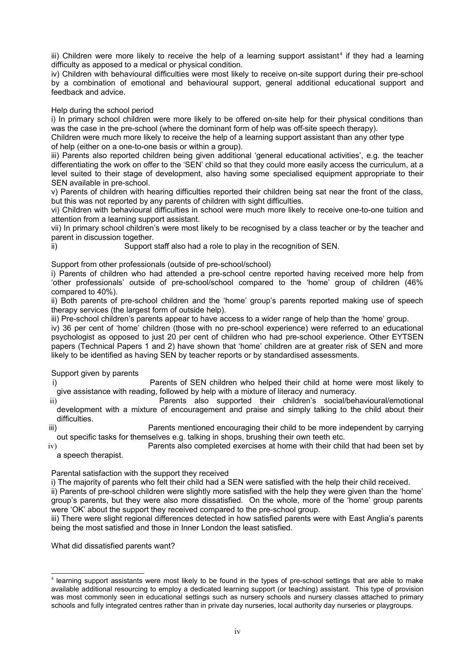iii) Children were more likely to receive the help of a learning support assistant<sup>[4](#page-9-0)</sup> if they had a learning difficulty as apposed to a medical or physical condition.

iv) Children with behavioural difficulties were most likely to receive on-site support during their pre-school by a combination of emotional and behavioural support, general additional educational support and feedback and advice.

Help during the school period

i) In primary school children were more likely to be offered on-site help for their physical conditions than was the case in the pre-school (where the dominant form of help was off-site speech therapy).

Children were much more likely to receive the help of a learning support assistant than any other type of help (either on a one-to-one basis or within a group).

iii) Parents also reported children being given additional 'general educational activities', e.g. the teacher differentiating the work on offer to the 'SEN' child so that they could more easily access the curriculum, at a level suited to their stage of development, also having some specialised equipment appropriate to their SEN available in pre-school.

v) Parents of children with hearing difficulties reported their children being sat near the front of the class, but this was not reported by any parents of children with sight difficulties.

vi) Children with behavioural difficulties in school were much more likely to receive one-to-one tuition and attention from a learning support assistant.

vii) In primary school children's were most likely to be recognised by a class teacher or by the teacher and parent in discussion together.

ii) Support staff also had a role to play in the recognition of SEN.

Support from other professionals (outside of pre-school/school)

i) Parents of children who had attended a pre-school centre reported having received more help from 'other professionals' outside of pre-school/school compared to the 'home' group of children (46% compared to 40%).

ii) Both parents of pre-school children and the 'home' group's parents reported making use of speech therapy services (the largest form of outside help).

iii) Pre-school children's parents appear to have access to a wider range of help than the 'home' group.

iv) 36 per cent of 'home' children (those with no pre-school experience) were referred to an educational psychologist as opposed to just 20 per cent of children who had pre-school experience. Other EYTSEN papers (Technical Papers 1 and 2) have shown that 'home' children are at greater risk of SEN and more likely to be identified as having SEN by teacher reports or by standardised assessments.

Support given by parents

i) Parents of SEN children who helped their child at home were most likely to give assistance with reading, followed by help with a mixture of literacy and numeracy.

ii) Parents also supported their children's social/behavioural/emotional development with a mixture of encouragement and praise and simply talking to the child about their difficulties.

iii) Parents mentioned encouraging their child to be more independent by carrying out specific tasks for themselves e.g. talking in shops, brushing their own teeth etc.

iv) Parents also completed exercises at home with their child that had been set by a speech therapist.

Parental satisfaction with the support they received

i) The majority of parents who felt their child had a SEN were satisfied with the help their child received.

ii) Parents of pre-school children were slightly more satisfied with the help they were given than the 'home' group's parents, but they were also more dissatisfied. On the whole, more of the 'home' group parents were 'OK' about the support they received compared to the pre-school group.

iii) There were slight regional differences detected in how satisfied parents were with East Anglia's parents being the most satisfied and those in Inner London the least satisfied.

What did dissatisfied parents want?

<span id="page-9-0"></span><sup>4</sup> learning support assistants were most likely to be found in the types of pre-school settings that are able to make available additional resourcing to employ a dedicated learning support (or teaching) assistant. This type of provision was most commonly seen in educational settings such as nursery schools and nursery classes attached to primary schools and fully integrated centres rather than in private day nurseries, local authority day nurseries or playgroups.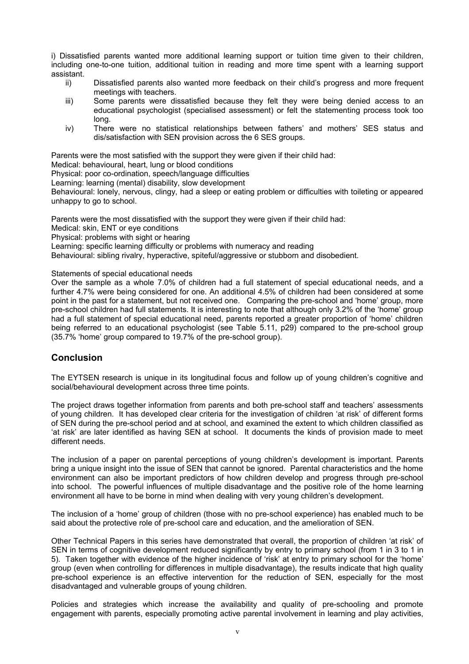i) Dissatisfied parents wanted more additional learning support or tuition time given to their children, including one-to-one tuition, additional tuition in reading and more time spent with a learning support assistant.<br>
ii)

- Dissatisfied parents also wanted more feedback on their child's progress and more frequent meetings with teachers.
- iii) Some parents were dissatisfied because they felt they were being denied access to an educational psychologist (specialised assessment) or felt the statementing process took too long.
- iv) There were no statistical relationships between fathers' and mothers' SES status and dis/satisfaction with SEN provision across the 6 SES groups.

Parents were the most satisfied with the support they were given if their child had:

Medical: behavioural, heart, lung or blood conditions

Physical: poor co-ordination, speech/language difficulties

Learning: learning (mental) disability, slow development

Behavioural: lonely, nervous, clingy, had a sleep or eating problem or difficulties with toileting or appeared unhappy to go to school.

Parents were the most dissatisfied with the support they were given if their child had:

Medical: skin, ENT or eye conditions

Physical: problems with sight or hearing

Learning: specific learning difficulty or problems with numeracy and reading

Behavioural: sibling rivalry, hyperactive, spiteful/aggressive or stubborn and disobedient.

Statements of special educational needs

Over the sample as a whole 7.0% of children had a full statement of special educational needs, and a further 4.7% were being considered for one. An additional 4.5% of children had been considered at some point in the past for a statement, but not received one. Comparing the pre-school and 'home' group, more pre-school children had full statements. It is interesting to note that although only 3.2% of the 'home' group had a full statement of special educational need, parents reported a greater proportion of 'home' children being referred to an educational psychologist (see Table 5.11, p29) compared to the pre-school group (35.7% 'home' group compared to 19.7% of the pre-school group).

# **Conclusion**

The EYTSEN research is unique in its longitudinal focus and follow up of young children's cognitive and social/behavioural development across three time points.

The project draws together information from parents and both pre-school staff and teachers' assessments of young children. It has developed clear criteria for the investigation of children 'at risk' of different forms of SEN during the pre-school period and at school, and examined the extent to which children classified as 'at risk' are later identified as having SEN at school. It documents the kinds of provision made to meet different needs.

The inclusion of a paper on parental perceptions of young children's development is important. Parents bring a unique insight into the issue of SEN that cannot be ignored. Parental characteristics and the home environment can also be important predictors of how children develop and progress through pre-school into school. The powerful influences of multiple disadvantage and the positive role of the home learning environment all have to be borne in mind when dealing with very young children's development.

The inclusion of a 'home' group of children (those with no pre-school experience) has enabled much to be said about the protective role of pre-school care and education, and the amelioration of SEN.

Other Technical Papers in this series have demonstrated that overall, the proportion of children 'at risk' of SEN in terms of cognitive development reduced significantly by entry to primary school (from 1 in 3 to 1 in 5). Taken together with evidence of the higher incidence of 'risk' at entry to primary school for the 'home' group (even when controlling for differences in multiple disadvantage), the results indicate that high quality pre-school experience is an effective intervention for the reduction of SEN, especially for the most disadvantaged and vulnerable groups of young children.

Policies and strategies which increase the availability and quality of pre-schooling and promote engagement with parents, especially promoting active parental involvement in learning and play activities,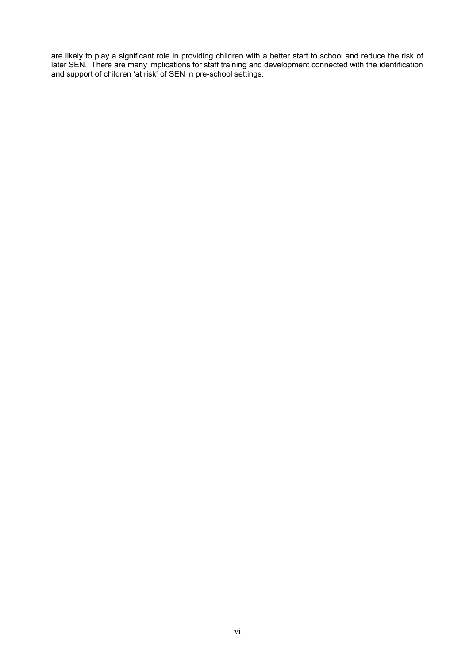are likely to play a significant role in providing children with a better start to school and reduce the risk of later SEN. There are many implications for staff training and development connected with the identification and support of children 'at risk' of SEN in pre-school settings.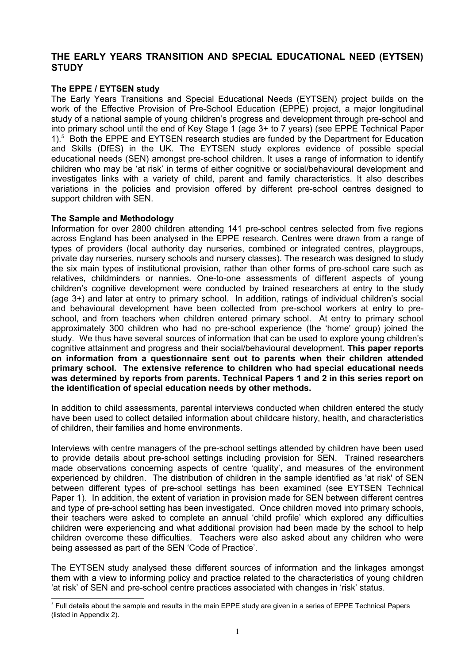# **THE EARLY YEARS TRANSITION AND SPECIAL EDUCATIONAL NEED (EYTSEN) STUDY**

# **The EPPE / EYTSEN study**

The Early Years Transitions and Special Educational Needs (EYTSEN) project builds on the work of the Effective Provision of Pre-School Education (EPPE) project, a major longitudinal study of a national sample of young children's progress and development through pre-school and into primary school until the end of Key Stage 1 (age 3+ to 7 years) (see EPPE Technical Paper 1).<sup>[5](#page-12-0)</sup> Both the EPPE and EYTSEN research studies are funded by the Department for Education and Skills (DfES) in the UK. The EYTSEN study explores evidence of possible special educational needs (SEN) amongst pre-school children. It uses a range of information to identify children who may be 'at risk' in terms of either cognitive or social/behavioural development and investigates links with a variety of child, parent and family characteristics. It also describes variations in the policies and provision offered by different pre-school centres designed to support children with SEN.

# **The Sample and Methodology**

Information for over 2800 children attending 141 pre-school centres selected from five regions across England has been analysed in the EPPE research. Centres were drawn from a range of types of providers (local authority day nurseries, combined or integrated centres, playgroups, private day nurseries, nursery schools and nursery classes). The research was designed to study the six main types of institutional provision, rather than other forms of pre-school care such as relatives, childminders or nannies. One-to-one assessments of different aspects of young children's cognitive development were conducted by trained researchers at entry to the study (age 3+) and later at entry to primary school. In addition, ratings of individual children's social and behavioural development have been collected from pre-school workers at entry to preschool, and from teachers when children entered primary school. At entry to primary school approximately 300 children who had no pre-school experience (the 'home' group) joined the study. We thus have several sources of information that can be used to explore young children's cognitive attainment and progress and their social/behavioural development. **This paper reports on information from a questionnaire sent out to parents when their children attended primary school. The extensive reference to children who had special educational needs was determined by reports from parents. Technical Papers 1 and 2 in this series report on the identification of special education needs by other methods.** 

In addition to child assessments, parental interviews conducted when children entered the study have been used to collect detailed information about childcare history, health, and characteristics of children, their families and home environments.

Interviews with centre managers of the pre-school settings attended by children have been used to provide details about pre-school settings including provision for SEN. Trained researchers made observations concerning aspects of centre 'quality', and measures of the environment experienced by children. The distribution of children in the sample identified as 'at risk' of SEN between different types of pre-school settings has been examined (see EYTSEN Technical Paper 1). In addition, the extent of variation in provision made for SEN between different centres and type of pre-school setting has been investigated. Once children moved into primary schools, their teachers were asked to complete an annual 'child profile' which explored any difficulties children were experiencing and what additional provision had been made by the school to help children overcome these difficulties. Teachers were also asked about any children who were being assessed as part of the SEN 'Code of Practice'.

The EYTSEN study analysed these different sources of information and the linkages amongst them with a view to informing policy and practice related to the characteristics of young children 'at risk' of SEN and pre-school centre practices associated with changes in 'risk' status.

<span id="page-12-0"></span> $<sup>5</sup>$  Full details about the sample and results in the main EPPE study are given in a series of EPPE Technical Papers</sup> (listed in Appendix 2).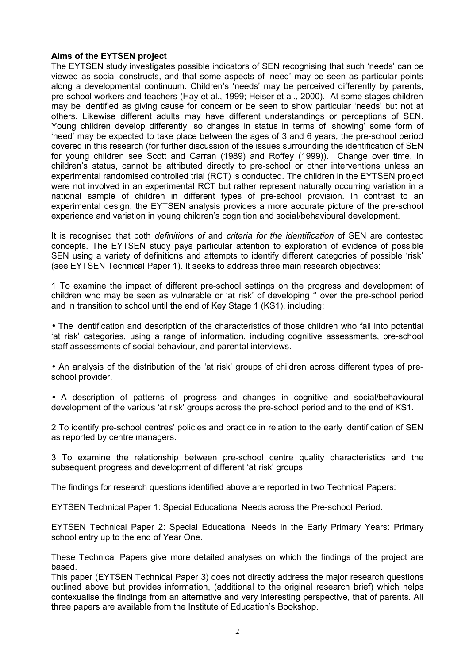# **Aims of the EYTSEN project**

The EYTSEN study investigates possible indicators of SEN recognising that such 'needs' can be viewed as social constructs, and that some aspects of 'need' may be seen as particular points along a developmental continuum. Children's 'needs' may be perceived differently by parents, pre-school workers and teachers (Hay et al., 1999; Heiser et al., 2000). At some stages children may be identified as giving cause for concern or be seen to show particular 'needs' but not at others. Likewise different adults may have different understandings or perceptions of SEN. Young children develop differently, so changes in status in terms of 'showing' some form of 'need' may be expected to take place between the ages of 3 and 6 years, the pre-school period covered in this research (for further discussion of the issues surrounding the identification of SEN for young children see Scott and Carran (1989) and Roffey (1999)). Change over time, in children's status, cannot be attributed directly to pre-school or other interventions unless an experimental randomised controlled trial (RCT) is conducted. The children in the EYTSEN project were not involved in an experimental RCT but rather represent naturally occurring variation in a national sample of children in different types of pre-school provision. In contrast to an experimental design, the EYTSEN analysis provides a more accurate picture of the pre-school experience and variation in young children's cognition and social/behavioural development.

It is recognised that both *definitions of* and *criteria for the identification* of SEN are contested concepts. The EYTSEN study pays particular attention to exploration of evidence of possible SEN using a variety of definitions and attempts to identify different categories of possible 'risk' (see EYTSEN Technical Paper 1). It seeks to address three main research objectives:

1 To examine the impact of different pre-school settings on the progress and development of children who may be seen as vulnerable or 'at risk' of developing '' over the pre-school period and in transition to school until the end of Key Stage 1 (KS1), including:

• The identification and description of the characteristics of those children who fall into potential 'at risk' categories, using a range of information, including cognitive assessments, pre-school staff assessments of social behaviour, and parental interviews.

• An analysis of the distribution of the 'at risk' groups of children across different types of preschool provider.

• A description of patterns of progress and changes in cognitive and social/behavioural development of the various 'at risk' groups across the pre-school period and to the end of KS1.

2 To identify pre-school centres' policies and practice in relation to the early identification of SEN as reported by centre managers.

3 To examine the relationship between pre-school centre quality characteristics and the subsequent progress and development of different 'at risk' groups.

The findings for research questions identified above are reported in two Technical Papers:

EYTSEN Technical Paper 1: Special Educational Needs across the Pre-school Period.

EYTSEN Technical Paper 2: Special Educational Needs in the Early Primary Years: Primary school entry up to the end of Year One.

These Technical Papers give more detailed analyses on which the findings of the project are based.

This paper (EYTSEN Technical Paper 3) does not directly address the major research questions outlined above but provides information, (additional to the original research brief) which helps contexualise the findings from an alternative and very interesting perspective, that of parents. All three papers are available from the Institute of Education's Bookshop.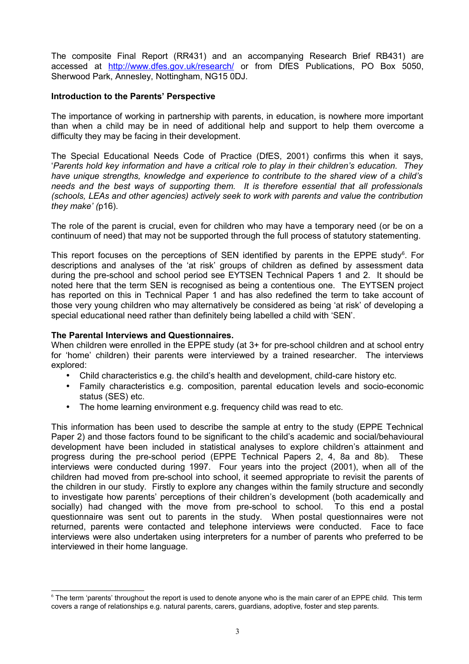The composite Final Report (RR431) and an accompanying Research Brief RB431) are accessed at<http://www.dfes.gov.uk/research/>or from DfES Publications, PO Box 5050. Sherwood Park, Annesley, Nottingham, NG15 0DJ.

# **Introduction to the Parents' Perspective**

The importance of working in partnership with parents, in education, is nowhere more important than when a child may be in need of additional help and support to help them overcome a difficulty they may be facing in their development.

The Special Educational Needs Code of Practice (DfES, 2001) confirms this when it says, '*Parents hold key information and have a critical role to play in their children's education. They have unique strengths, knowledge and experience to contribute to the shared view of a child's needs and the best ways of supporting them. It is therefore essential that all professionals (schools, LEAs and other agencies) actively seek to work with parents and value the contribution they make' (*p16).

The role of the parent is crucial, even for children who may have a temporary need (or be on a continuum of need) that may not be supported through the full process of statutory statementing.

This report focuses on the perceptions of SEN identified by parents in the EPPE study $6$ . For descriptions and analyses of the 'at risk' groups of children as defined by assessment data during the pre-school and school period see EYTSEN Technical Papers 1 and 2. It should be noted here that the term SEN is recognised as being a contentious one. The EYTSEN project has reported on this in Technical Paper 1 and has also redefined the term to take account of those very young children who may alternatively be considered as being 'at risk' of developing a special educational need rather than definitely being labelled a child with 'SEN'.

# **The Parental Interviews and Questionnaires.**

When children were enrolled in the EPPE study (at 3+ for pre-school children and at school entry for 'home' children) their parents were interviewed by a trained researcher. The interviews explored:

- Child characteristics e.g. the child's health and development, child-care history etc.
- Family characteristics e.g. composition, parental education levels and socio-economic status (SES) etc.
- The home learning environment e.g. frequency child was read to etc.

This information has been used to describe the sample at entry to the study (EPPE Technical Paper 2) and those factors found to be significant to the child's academic and social/behavioural development have been included in statistical analyses to explore children's attainment and progress during the pre-school period (EPPE Technical Papers 2, 4, 8a and 8b). These interviews were conducted during 1997. Four years into the project (2001), when all of the children had moved from pre-school into school, it seemed appropriate to revisit the parents of the children in our study. Firstly to explore any changes within the family structure and secondly to investigate how parents' perceptions of their children's development (both academically and socially) had changed with the move from pre-school to school. To this end a postal questionnaire was sent out to parents in the study. When postal questionnaires were not returned, parents were contacted and telephone interviews were conducted. Face to face interviews were also undertaken using interpreters for a number of parents who preferred to be interviewed in their home language.

<span id="page-14-0"></span><sup>&</sup>lt;sup>6</sup> The term 'parents' throughout the report is used to denote anyone who is the main carer of an EPPE child. This term covers a range of relationships e.g. natural parents, carers, guardians, adoptive, foster and step parents.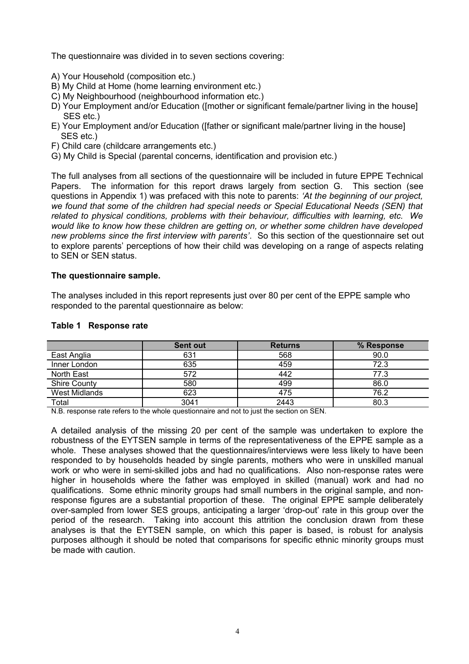The questionnaire was divided in to seven sections covering:

- A) Your Household (composition etc.)
- B) My Child at Home (home learning environment etc.)
- C) My Neighbourhood (neighbourhood information etc.)
- D) Your Employment and/or Education ([mother or significant female/partner living in the house] SES etc.)
- E) Your Employment and/or Education ([father or significant male/partner living in the house] SES etc.)
- F) Child care (childcare arrangements etc.)
- G) My Child is Special (parental concerns, identification and provision etc.)

The full analyses from all sections of the questionnaire will be included in future EPPE Technical Papers. The information for this report draws largely from section G. This section (see questions in Appendix 1) was prefaced with this note to parents: *'At the beginning of our project, we found that some of the children had special needs or Special Educational Needs (SEN) that related to physical conditions, problems with their behaviour, difficulties with learning, etc. We would like to know how these children are getting on, or whether some children have developed new problems since the first interview with parents'*. So this section of the questionnaire set out to explore parents' perceptions of how their child was developing on a range of aspects relating to SEN or SEN status.

#### **The questionnaire sample.**

The analyses included in this report represents just over 80 per cent of the EPPE sample who responded to the parental questionnaire as below:

|                     | <b>Sent out</b> | <b>Returns</b> | % Response |
|---------------------|-----------------|----------------|------------|
| East Anglia         | 631             | 568            | 90.0       |
| Inner London        | 635             | 459            | 72.3       |
| North East          | 572             | 442            | 77.3       |
| <b>Shire County</b> | 580             | 499            | 86.0       |
| West Midlands       | 623             | 475            | 76.2       |
| Total               | 3041            | 2443           | 80.3       |

#### **Table 1 Response rate**

N.B. response rate refers to the whole questionnaire and not to just the section on SEN.

A detailed analysis of the missing 20 per cent of the sample was undertaken to explore the robustness of the EYTSEN sample in terms of the representativeness of the EPPE sample as a whole. These analyses showed that the questionnaires/interviews were less likely to have been responded to by households headed by single parents, mothers who were in unskilled manual work or who were in semi-skilled jobs and had no qualifications. Also non-response rates were higher in households where the father was employed in skilled (manual) work and had no qualifications. Some ethnic minority groups had small numbers in the original sample, and nonresponse figures are a substantial proportion of these. The original EPPE sample deliberately over-sampled from lower SES groups, anticipating a larger 'drop-out' rate in this group over the period of the research. Taking into account this attrition the conclusion drawn from these analyses is that the EYTSEN sample, on which this paper is based, is robust for analysis purposes although it should be noted that comparisons for specific ethnic minority groups must be made with caution.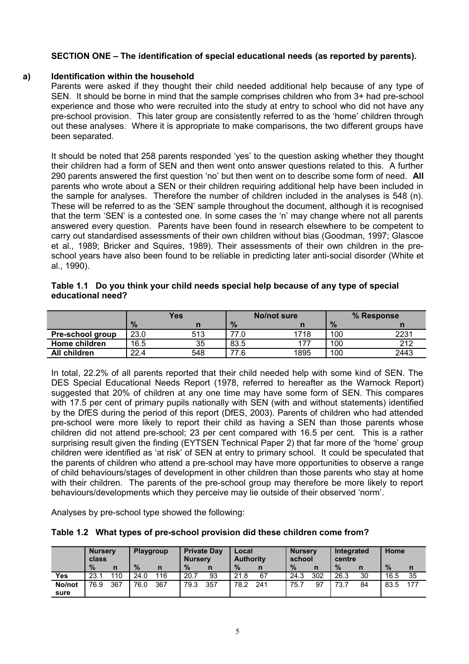# **SECTION ONE – The identification of special educational needs (as reported by parents).**

# **a) Identification within the household**

Parents were asked if they thought their child needed additional help because of any type of SEN. It should be borne in mind that the sample comprises children who from 3+ had pre-school experience and those who were recruited into the study at entry to school who did not have any pre-school provision. This later group are consistently referred to as the 'home' children through out these analyses. Where it is appropriate to make comparisons, the two different groups have been separated.

It should be noted that 258 parents responded 'yes' to the question asking whether they thought their children had a form of SEN and then went onto answer questions related to this. A further 290 parents answered the first question 'no' but then went on to describe some form of need. **All** parents who wrote about a SEN or their children requiring additional help have been included in the sample for analyses. Therefore the number of children included in the analyses is 548 (n). These will be referred to as the 'SEN' sample throughout the document, although it is recognised that the term 'SEN' is a contested one. In some cases the 'n' may change where not all parents answered every question. Parents have been found in research elsewhere to be competent to carry out standardised assessments of their own children without bias (Goodman, 1997; Glascoe et al., 1989; Bricker and Squires, 1989). Their assessments of their own children in the preschool years have also been found to be reliable in predicting later anti-social disorder (White et al., 1990).

|                   | Table 1.1 Do you think your child needs special help because of any type of special |
|-------------------|-------------------------------------------------------------------------------------|
| educational need? |                                                                                     |

|                  | <b>Yes</b> |     |      | No/not sure | % Response    |      |  |
|------------------|------------|-----|------|-------------|---------------|------|--|
|                  | $\%$       |     | $\%$ | n           | $\frac{9}{6}$ |      |  |
| Pre-school group | 23.0       | 513 | 77.0 | 1718        | 100           | 2231 |  |
| Home children    | 16.5       | 35  | 83.5 | 177         | 100           | 212  |  |
| All children     | 22.4       | 548 | 77.6 | 1895        | 100           | 2443 |  |

In total, 22.2% of all parents reported that their child needed help with some kind of SEN. The DES Special Educational Needs Report (1978, referred to hereafter as the Warnock Report) suggested that 20% of children at any one time may have some form of SEN. This compares with 17.5 per cent of primary pupils nationally with SEN (with and without statements) identified by the DfES during the period of this report (DfES, 2003). Parents of children who had attended pre-school were more likely to report their child as having a SEN than those parents whose children did not attend pre-school; 23 per cent compared with 16.5 per cent. This is a rather surprising result given the finding (EYTSEN Technical Paper 2) that far more of the 'home' group children were identified as 'at risk' of SEN at entry to primary school. It could be speculated that the parents of children who attend a pre-school may have more opportunities to observe a range of child behaviours/stages of development in other children than those parents who stay at home with their children. The parents of the pre-school group may therefore be more likely to report behaviours/developments which they perceive may lie outside of their observed 'norm'.

Analyses by pre-school type showed the following:

|  |  | Table 1.2 What types of pre-school provision did these children come from? |  |  |  |  |
|--|--|----------------------------------------------------------------------------|--|--|--|--|
|--|--|----------------------------------------------------------------------------|--|--|--|--|

|        | <b>Nursery</b><br>class |              | <b>Playgroup</b> |     | <b>Nurserv</b> | <b>Private Day</b> | Local<br><b>Authority</b> |     | <b>Nursery</b><br>school |     | <b>Integrated</b><br>centre |    | Home |     |
|--------|-------------------------|--------------|------------------|-----|----------------|--------------------|---------------------------|-----|--------------------------|-----|-----------------------------|----|------|-----|
|        | $\frac{9}{6}$           | $\mathsf{n}$ | $\%$             | n   | $\%$           | n                  | $\%$                      |     | $\frac{9}{6}$            |     | $\%$                        | n  | $\%$ | n   |
| Yes    | 23.1                    | 110          | 24.0             | 116 | 20.7           | 93                 | 21.8                      | 67  | 24.3                     | 302 | 26.3                        | 30 | 16.5 | 35  |
| No/not | 76.9                    | 367          | 76.0             | 367 | 79.3           | 357                | 78.2                      | 241 | 75.7                     | 97  | 73.7                        | 84 | 83.5 | 177 |
| sure   |                         |              |                  |     |                |                    |                           |     |                          |     |                             |    |      |     |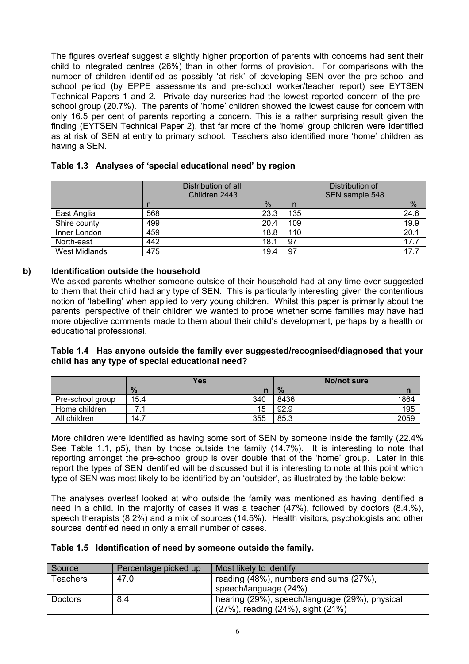The figures overleaf suggest a slightly higher proportion of parents with concerns had sent their child to integrated centres (26%) than in other forms of provision. For comparisons with the number of children identified as possibly 'at risk' of developing SEN over the pre-school and school period (by EPPE assessments and pre-school worker/teacher report) see EYTSEN Technical Papers 1 and 2. Private day nurseries had the lowest reported concern of the preschool group (20.7%). The parents of 'home' children showed the lowest cause for concern with only 16.5 per cent of parents reporting a concern. This is a rather surprising result given the finding (EYTSEN Technical Paper 2), that far more of the 'home' group children were identified as at risk of SEN at entry to primary school. Teachers also identified more 'home' children as having a SEN.

|                      | Distribution of all<br>Children 2443 |      |     | Distribution of<br>SEN sample 548 |      |
|----------------------|--------------------------------------|------|-----|-----------------------------------|------|
|                      | n                                    | %    | n   |                                   | %    |
| East Anglia          | 568                                  | 23.3 | 135 |                                   | 24.6 |
| Shire county         | 499                                  | 20.4 | 109 |                                   | 19.9 |
| Inner London         | 459                                  | 18.8 | 110 |                                   | 20.1 |
| North-east           | 442                                  | 18.1 | 97  |                                   | 17.7 |
| <b>West Midlands</b> | 475                                  | 19.4 | 97  |                                   | 17.7 |

# **Table 1.3 Analyses of 'special educational need' by region**

# **b) Identification outside the household**

We asked parents whether someone outside of their household had at any time ever suggested to them that their child had any type of SEN. This is particularly interesting given the contentious notion of 'labelling' when applied to very young children. Whilst this paper is primarily about the parents' perspective of their children we wanted to probe whether some families may have had more objective comments made to them about their child's development, perhaps by a health or educational professional.

# **Table 1.4 Has anyone outside the family ever suggested/recognised/diagnosed that your child has any type of special educational need?**

|                  |      | <b>Yes</b> |               | No/not sure |      |
|------------------|------|------------|---------------|-------------|------|
|                  | $\%$ | n          | $\frac{9}{6}$ |             | n    |
| Pre-school group | 15.4 | 340        | 8436          |             | 1864 |
| Home children    |      | 15         | 92.9          |             | 195  |
| All children     | 14.7 | 355        | 85.3          |             | 2059 |

More children were identified as having some sort of SEN by someone inside the family (22.4% See Table 1.1, p5), than by those outside the family (14.7%). It is interesting to note that reporting amongst the pre-school group is over double that of the 'home' group. Later in this report the types of SEN identified will be discussed but it is interesting to note at this point which type of SEN was most likely to be identified by an 'outsider', as illustrated by the table below:

The analyses overleaf looked at who outside the family was mentioned as having identified a need in a child. In the majority of cases it was a teacher (47%), followed by doctors (8.4.%), speech therapists (8.2%) and a mix of sources (14.5%). Health visitors, psychologists and other sources identified need in only a small number of cases.

# **Table 1.5 Identification of need by someone outside the family.**

| Source          | Percentage picked up | Most likely to identify                        |
|-----------------|----------------------|------------------------------------------------|
| <b>Teachers</b> | 47.0                 | reading (48%), numbers and sums (27%),         |
|                 |                      | speech/language (24%)                          |
| <b>Doctors</b>  | 8.4                  | hearing (29%), speech/language (29%), physical |
|                 |                      | $(27\%)$ , reading $(24\%)$ , sight $(21\%)$   |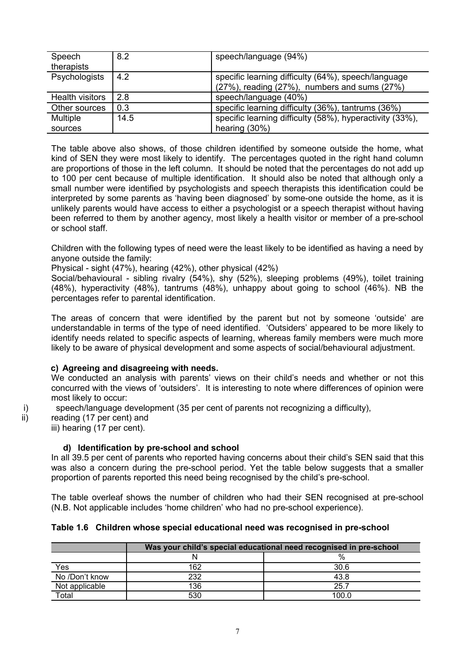| Speech          | 8.2  | speech/language (94%)                                    |
|-----------------|------|----------------------------------------------------------|
| therapists      |      |                                                          |
| Psychologists   | 4.2  | specific learning difficulty (64%), speech/language      |
|                 |      | $(27\%)$ , reading $(27\%)$ , numbers and sums $(27\%)$  |
| Health visitors | 2.8  | speech/language (40%)                                    |
| Other sources   | 0.3  | specific learning difficulty (36%), tantrums (36%)       |
| <b>Multiple</b> | 14.5 | specific learning difficulty (58%), hyperactivity (33%), |
| sources         |      | hearing $(30%)$                                          |

The table above also shows, of those children identified by someone outside the home, what kind of SEN they were most likely to identify. The percentages quoted in the right hand column are proportions of those in the left column. It should be noted that the percentages do not add up to 100 per cent because of multiple identification. It should also be noted that although only a small number were identified by psychologists and speech therapists this identification could be interpreted by some parents as 'having been diagnosed' by some-one outside the home, as it is unlikely parents would have access to either a psychologist or a speech therapist without having been referred to them by another agency, most likely a health visitor or member of a pre-school or school staff.

Children with the following types of need were the least likely to be identified as having a need by anyone outside the family:

Physical - sight (47%), hearing (42%), other physical (42%)

Social/behavioural - sibling rivalry (54%), shy (52%), sleeping problems (49%), toilet training (48%), hyperactivity (48%), tantrums (48%), unhappy about going to school (46%). NB the percentages refer to parental identification.

The areas of concern that were identified by the parent but not by someone 'outside' are understandable in terms of the type of need identified. 'Outsiders' appeared to be more likely to identify needs related to specific aspects of learning, whereas family members were much more likely to be aware of physical development and some aspects of social/behavioural adjustment.

# **c) Agreeing and disagreeing with needs.**

We conducted an analysis with parents' views on their child's needs and whether or not this concurred with the views of 'outsiders'. It is interesting to note where differences of opinion were most likely to occur:

i) speech/language development (35 per cent of parents not recognizing a difficulty),

ii) reading (17 per cent) and iii) hearing (17 per cent).

# **d) Identification by pre-school and school**

In all 39.5 per cent of parents who reported having concerns about their child's SEN said that this was also a concern during the pre-school period. Yet the table below suggests that a smaller proportion of parents reported this need being recognised by the child's pre-school.

The table overleaf shows the number of children who had their SEN recognised at pre-school (N.B. Not applicable includes 'home children' who had no pre-school experience).

# **Table 1.6 Children whose special educational need was recognised in pre-school**

|                | Was your child's special educational need recognised in pre-school |       |  |  |  |  |  |  |
|----------------|--------------------------------------------------------------------|-------|--|--|--|--|--|--|
|                | $\%$                                                               |       |  |  |  |  |  |  |
| Yes            | 162                                                                | 30.6  |  |  |  |  |  |  |
| No /Don't know | 232                                                                | 43.8  |  |  |  |  |  |  |
| Not applicable | 136                                                                | 25.7  |  |  |  |  |  |  |
| Total          | 530                                                                | 100.0 |  |  |  |  |  |  |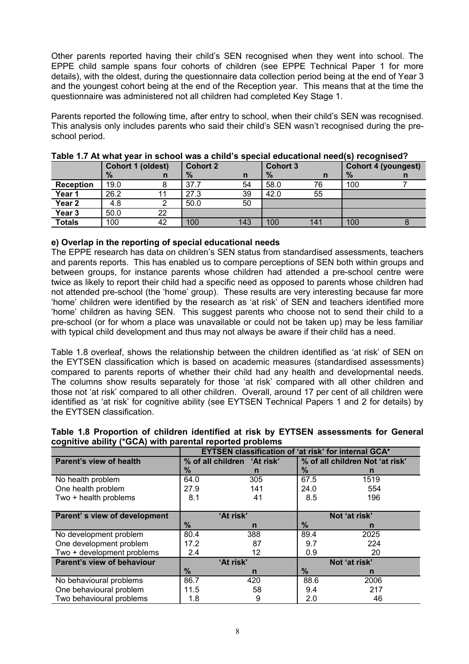Other parents reported having their child's SEN recognised when they went into school. The EPPE child sample spans four cohorts of children (see EPPE Technical Paper 1 for more details), with the oldest, during the questionnaire data collection period being at the end of Year 3 and the youngest cohort being at the end of the Reception year. This means that at the time the questionnaire was administered not all children had completed Key Stage 1.

Parents reported the following time, after entry to school, when their child's SEN was recognised. This analysis only includes parents who said their child's SEN wasn't recognised during the preschool period.

|                  |      | <b>Cohort 1 (oldest)</b> | <b>Cohort 2</b> |              | <b>Cohort 3</b> |     |      | Cohort 4 (youngest) |
|------------------|------|--------------------------|-----------------|--------------|-----------------|-----|------|---------------------|
|                  | $\%$ | n                        | $\%$            | $\mathsf{n}$ | $\%$            | n   | $\%$ |                     |
| <b>Reception</b> | 19.0 |                          | 37.7            | 54           | 58.0            | 76  | 100  |                     |
| Year 1           | 26.2 | 11                       | 27.3            | 39           | 42.0            | 55  |      |                     |
| Year 2           | 4.8  |                          | 50.0            | 50           |                 |     |      |                     |
| Year 3           | 50.0 | 22                       |                 |              |                 |     |      |                     |
| <b>Totals</b>    | 100  | 42                       | 100             | 143          | 100             | 141 | 100  |                     |

#### **Table 1.7 At what year in school was a child's special educational need(s) recognised?**

# **e) Overlap in the reporting of special educational needs**

The EPPE research has data on children's SEN status from standardised assessments, teachers and parents reports. This has enabled us to compare perceptions of SEN both within groups and between groups, for instance parents whose children had attended a pre-school centre were twice as likely to report their child had a specific need as opposed to parents whose children had not attended pre-school (the 'home' group). These results are very interesting because far more 'home' children were identified by the research as 'at risk' of SEN and teachers identified more 'home' children as having SEN. This suggest parents who choose not to send their child to a pre-school (or for whom a place was unavailable or could not be taken up) may be less familiar with typical child development and thus may not always be aware if their child has a need.

Table 1.8 overleaf, shows the relationship between the children identified as 'at risk' of SEN on the EYTSEN classification which is based on academic measures (standardised assessments) compared to parents reports of whether their child had any health and developmental needs. The columns show results separately for those 'at risk' compared with all other children and those not 'at risk' compared to all other children. Overall, around 17 per cent of all children were identified as 'at risk' for cognitive ability (see EYTSEN Technical Papers 1 and 2 for details) by the EYTSEN classification.

|                                                          | Table 1.8 Proportion of children identified at risk by EYTSEN assessments for General |
|----------------------------------------------------------|---------------------------------------------------------------------------------------|
| cognitive ability (*GCA) with parental reported problems |                                                                                       |
|                                                          | <b>EYTSEN classification of 'at risk' for internal GCA*</b>                           |

|                              |               | <b>EYTSEN classification of 'at risk' for internal GCA*</b> |                                 |      |  |  |  |  |
|------------------------------|---------------|-------------------------------------------------------------|---------------------------------|------|--|--|--|--|
| Parent's view of health      |               | % of all children 'At risk'                                 | % of all children Not 'at risk' |      |  |  |  |  |
|                              | $\%$          | n                                                           | ℅                               | n    |  |  |  |  |
| No health problem            | 64.0          | 305                                                         | 67.5                            | 1519 |  |  |  |  |
| One health problem           | 27.9          | 141                                                         | 24.0                            | 554  |  |  |  |  |
| Two + health problems        | 8.1           | 41                                                          | 8.5                             | 196  |  |  |  |  |
|                              |               |                                                             |                                 |      |  |  |  |  |
| Parent's view of development |               | 'At risk'                                                   | Not 'at risk'                   |      |  |  |  |  |
|                              | $\%$          | n                                                           | $\frac{9}{6}$                   | n    |  |  |  |  |
| No development problem       | 80.4          | 388                                                         | 89.4                            | 2025 |  |  |  |  |
| One development problem      | 17.2          | 87                                                          | 9.7                             | 224  |  |  |  |  |
| Two + development problems   | 2.4           | 12                                                          | 0.9                             | 20   |  |  |  |  |
| Parent's view of behaviour   |               | 'At risk'                                                   | Not 'at risk'                   |      |  |  |  |  |
|                              | $\frac{9}{6}$ | n                                                           | $\frac{9}{6}$                   | n    |  |  |  |  |
| No behavioural problems      | 86.7          | 420                                                         | 88.6                            | 2006 |  |  |  |  |
| One behavioural problem      | 11.5          | 58                                                          | 9.4                             | 217  |  |  |  |  |
| Two behavioural problems     | 1.8           | 9                                                           | 2.0                             | 46   |  |  |  |  |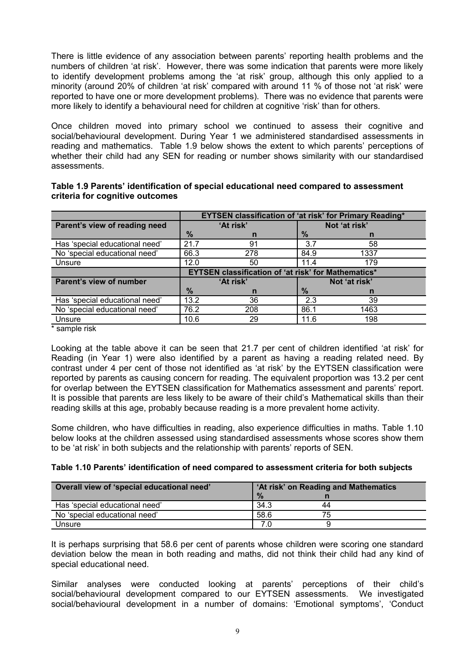There is little evidence of any association between parents' reporting health problems and the numbers of children 'at risk'. However, there was some indication that parents were more likely to identify development problems among the 'at risk' group, although this only applied to a minority (around 20% of children 'at risk' compared with around 11 % of those not 'at risk' were reported to have one or more development problems). There was no evidence that parents were more likely to identify a behavioural need for children at cognitive 'risk' than for others.

Once children moved into primary school we continued to assess their cognitive and social/behavioural development. During Year 1 we administered standardised assessments in reading and mathematics. Table 1.9 below shows the extent to which parents' perceptions of whether their child had any SEN for reading or number shows similarity with our standardised assessments.

| Table 1.9 Parents' identification of special educational need compared to assessment |  |
|--------------------------------------------------------------------------------------|--|
| criteria for cognitive outcomes                                                      |  |

|                                | <b>EYTSEN classification of 'at risk' for Primary Reading*</b> |           |               |      |  |  |
|--------------------------------|----------------------------------------------------------------|-----------|---------------|------|--|--|
| Parent's view of reading need  |                                                                | 'At risk' | Not 'at risk' |      |  |  |
|                                | $\frac{9}{6}$                                                  | n         | $\frac{9}{6}$ |      |  |  |
| Has 'special educational need' | 21.7                                                           | 91        | 3.7           | 58   |  |  |
| No 'special educational need'  | 66.3                                                           | 278       | 84.9          | 1337 |  |  |
| Unsure                         | 12.0                                                           | 50        | 11.4          | 179  |  |  |
|                                | <b>EYTSEN classification of 'at risk' for Mathematics*</b>     |           |               |      |  |  |
| Parent's view of number        |                                                                | 'At risk' | Not 'at risk' |      |  |  |
|                                | $\frac{9}{6}$                                                  | n         | $\frac{9}{6}$ | n    |  |  |
| Has 'special educational need' | 13.2                                                           | 36        | 2.3           | 39   |  |  |
| No 'special educational need'  | 76.2                                                           | 208       | 86.1          | 1463 |  |  |
| Unsure                         | 10.6                                                           | 29        | 11.6          | 198  |  |  |

sample risk

Looking at the table above it can be seen that 21.7 per cent of children identified 'at risk' for Reading (in Year 1) were also identified by a parent as having a reading related need. By contrast under 4 per cent of those not identified as 'at risk' by the EYTSEN classification were reported by parents as causing concern for reading. The equivalent proportion was 13.2 per cent for overlap between the EYTSEN classification for Mathematics assessment and parents' report. It is possible that parents are less likely to be aware of their child's Mathematical skills than their reading skills at this age, probably because reading is a more prevalent home activity.

Some children, who have difficulties in reading, also experience difficulties in maths. Table 1.10 below looks at the children assessed using standardised assessments whose scores show them to be 'at risk' in both subjects and the relationship with parents' reports of SEN.

| Overall view of 'special educational need' | 'At risk' on Reading and Mathematics |  |  |  |
|--------------------------------------------|--------------------------------------|--|--|--|
|                                            | $\frac{9}{6}$                        |  |  |  |
| Has 'special educational need'             | 34.3<br>44                           |  |  |  |
| No 'special educational need'              | 58.6<br>75                           |  |  |  |
| Unsure                                     |                                      |  |  |  |

It is perhaps surprising that 58.6 per cent of parents whose children were scoring one standard deviation below the mean in both reading and maths, did not think their child had any kind of special educational need.

Similar analyses were conducted looking at parents' perceptions of their child's social/behavioural development compared to our EYTSEN assessments. We investigated social/behavioural development in a number of domains: 'Emotional symptoms', 'Conduct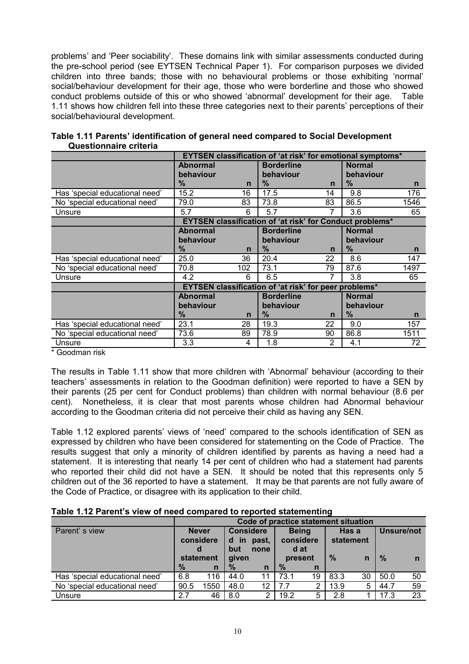problems' and 'Peer sociability'. These domains link with similar assessments conducted during the pre-school period (see EYTSEN Technical Paper 1). For comparison purposes we divided children into three bands; those with no behavioural problems or those exhibiting 'normal' social/behaviour development for their age, those who were borderline and those who showed conduct problems outside of this or who showed 'abnormal' development for their age. Table 1.11 shows how children fell into these three categories next to their parents' perceptions of their social/behavioural development.

|                                | EYTSEN classification of 'at risk' for emotional symptoms* |     |                                                       |              |                                                                 |      |  |
|--------------------------------|------------------------------------------------------------|-----|-------------------------------------------------------|--------------|-----------------------------------------------------------------|------|--|
|                                | <b>Abnormal</b>                                            |     | <b>Borderline</b>                                     |              | <b>Normal</b>                                                   |      |  |
|                                | behaviour                                                  |     | behaviour                                             |              | behaviour                                                       |      |  |
|                                | $\%$                                                       | n   | $\%$                                                  | n            | $\%$                                                            | n    |  |
| Has 'special educational need' | 15.2                                                       | 16  | 17.5                                                  | 14           | 9.8                                                             | 176  |  |
| No 'special educational need'  | 79.0                                                       | 83  | 73.8                                                  | 83           | 86.5                                                            | 1546 |  |
| Unsure                         | 5.7                                                        | 6   | 5.7                                                   |              | 3.6                                                             | 65   |  |
|                                |                                                            |     |                                                       |              | <b>EYTSEN classification of 'at risk' for Conduct problems*</b> |      |  |
|                                | <b>Abnormal</b>                                            |     | <b>Borderline</b>                                     |              | <b>Normal</b>                                                   |      |  |
|                                | behaviour                                                  |     | behaviour                                             |              | behaviour                                                       |      |  |
|                                | $\%$                                                       | n   | $\frac{9}{6}$                                         | n            | %                                                               | n    |  |
| Has 'special educational need' | 25.0                                                       | 36  | 20.4                                                  | 22           | 8.6                                                             | 147  |  |
| No 'special educational need'  | 70.8                                                       | 102 | 73.1                                                  | 79           | 87.6                                                            | 1497 |  |
| Unsure                         | 4.2                                                        | 6   | 6.5                                                   | 7            | 3.8                                                             | 65   |  |
|                                |                                                            |     | EYTSEN classification of 'at risk' for peer problems* |              |                                                                 |      |  |
|                                | <b>Abnormal</b>                                            |     | <b>Borderline</b>                                     |              | <b>Normal</b>                                                   |      |  |
|                                | behaviour                                                  |     | behaviour                                             |              | behaviour                                                       |      |  |
|                                | %                                                          | n   | $\frac{9}{6}$                                         | $\mathsf{n}$ | $\%$                                                            | n    |  |
| Has 'special educational need' | 23.1                                                       | 28  | 19.3                                                  | 22           | 9.0                                                             | 157  |  |
| No 'special educational need'  | 73.6                                                       | 89  | 78.9                                                  | 90           | 86.8                                                            | 1511 |  |
| Unsure                         | 3.3                                                        | 4   | 1.8                                                   | 2            | 4.1                                                             | 72   |  |

|                        | Table 1.11 Parents' identification of general need compared to Social Development |
|------------------------|-----------------------------------------------------------------------------------|
| Questionnaire criteria |                                                                                   |

\* Goodman risk

The results in Table 1.11 show that more children with 'Abnormal' behaviour (according to their teachers' assessments in relation to the Goodman definition) were reported to have a SEN by their parents (25 per cent for Conduct problems) than children with normal behaviour (8.6 per cent). Nonetheless, it is clear that most parents whose children had Abnormal behaviour according to the Goodman criteria did not perceive their child as having any SEN.

Table 1.12 explored parents' views of 'need' compared to the schools identification of SEN as expressed by children who have been considered for statementing on the Code of Practice. The results suggest that only a minority of children identified by parents as having a need had a statement. It is interesting that nearly 14 per cent of children who had a statement had parents who reported their child did not have a SEN. It should be noted that this represents only 5 children out of the 36 reported to have a statement. It may be that parents are not fully aware of the Code of Practice, or disagree with its application to their child.

| Table 1.12 Parent's view of need compared to reported statementing |  |
|--------------------------------------------------------------------|--|
|                                                                    |  |

|                                | Code of practice statement situation |              |                         |                  |           |              |           |       |               |            |
|--------------------------------|--------------------------------------|--------------|-------------------------|------------------|-----------|--------------|-----------|-------|---------------|------------|
| Parent's view                  |                                      | <b>Never</b> |                         | <b>Considere</b> |           | <b>Being</b> |           | Has a |               | Unsure/not |
|                                | considere                            |              | past,<br>d<br><b>in</b> |                  | considere |              | statement |       |               |            |
|                                |                                      |              | but                     | none             | d at      |              |           |       |               |            |
|                                | statement                            |              | aiven                   |                  | present   |              | $\%$      |       | $\frac{9}{6}$ |            |
|                                | $\%$                                 | $\mathbf n$  | $\%$                    | $\mathsf{n}$     | $\%$      | n            |           |       |               |            |
| Has 'special educational need' | 6.8                                  | 116          | 44.0                    | 11               | 73.1      | 19           | 83.3      | 30    | 50.0          | -50        |
| No 'special educational need'  | 90.5                                 | 1550         | 48.0                    | 12               | 7.7       |              | 13.9      | 5     | 44.7          | 59         |
| Unsure                         | 2.7                                  | 46           | 8.0                     | ົ                | 19.2      | 5            | 2.8       |       | 17.3          | 23         |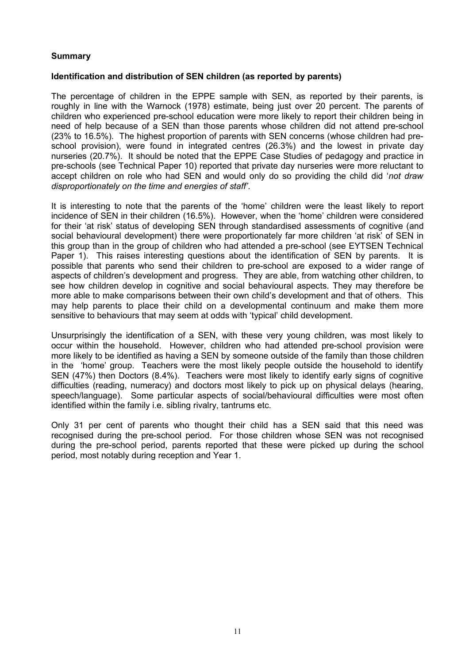# **Summary**

#### **Identification and distribution of SEN children (as reported by parents)**

The percentage of children in the EPPE sample with SEN, as reported by their parents, is roughly in line with the Warnock (1978) estimate, being just over 20 percent. The parents of children who experienced pre-school education were more likely to report their children being in need of help because of a SEN than those parents whose children did not attend pre-school (23% to 16.5%). The highest proportion of parents with SEN concerns (whose children had preschool provision), were found in integrated centres (26.3%) and the lowest in private day nurseries (20.7%). It should be noted that the EPPE Case Studies of pedagogy and practice in pre-schools (see Technical Paper 10) reported that private day nurseries were more reluctant to accept children on role who had SEN and would only do so providing the child did '*not draw disproportionately on the time and energies of staff'*.

It is interesting to note that the parents of the 'home' children were the least likely to report incidence of SEN in their children (16.5%). However, when the 'home' children were considered for their 'at risk' status of developing SEN through standardised assessments of cognitive (and social behavioural development) there were proportionately far more children 'at risk' of SEN in this group than in the group of children who had attended a pre-school (see EYTSEN Technical Paper 1). This raises interesting questions about the identification of SEN by parents. It is possible that parents who send their children to pre-school are exposed to a wider range of aspects of children's development and progress. They are able, from watching other children, to see how children develop in cognitive and social behavioural aspects. They may therefore be more able to make comparisons between their own child's development and that of others. This may help parents to place their child on a developmental continuum and make them more sensitive to behaviours that may seem at odds with 'typical' child development.

Unsurprisingly the identification of a SEN, with these very young children, was most likely to occur within the household. However, children who had attended pre-school provision were more likely to be identified as having a SEN by someone outside of the family than those children in the 'home' group. Teachers were the most likely people outside the household to identify SEN (47%) then Doctors (8.4%). Teachers were most likely to identify early signs of cognitive difficulties (reading, numeracy) and doctors most likely to pick up on physical delays (hearing, speech/language). Some particular aspects of social/behavioural difficulties were most often identified within the family i.e. sibling rivalry, tantrums etc.

Only 31 per cent of parents who thought their child has a SEN said that this need was recognised during the pre-school period. For those children whose SEN was not recognised during the pre-school period, parents reported that these were picked up during the school period, most notably during reception and Year 1.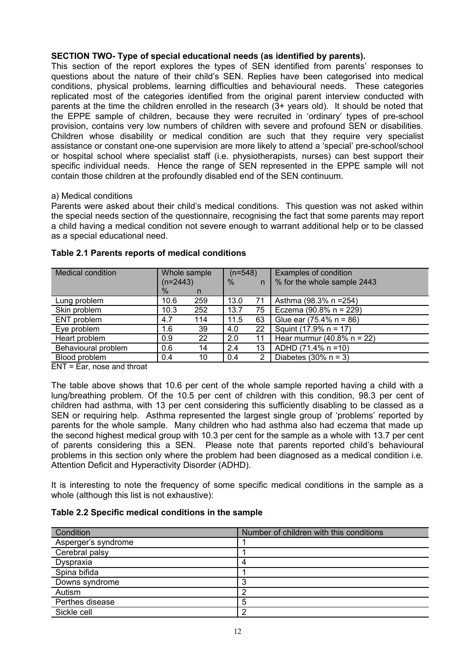# **SECTION TWO- Type of special educational needs (as identified by parents).**

This section of the report explores the types of SEN identified from parents' responses to questions about the nature of their child's SEN. Replies have been categorised into medical conditions, physical problems, learning difficulties and behavioural needs. These categories replicated most of the categories identified from the original parent interview conducted with parents at the time the children enrolled in the research (3+ years old). It should be noted that the EPPE sample of children, because they were recruited in 'ordinary' types of pre-school provision, contains very low numbers of children with severe and profound SEN or disabilities. Children whose disability or medical condition are such that they require very specialist assistance or constant one-one supervision are more likely to attend a 'special' pre-school/school or hospital school where specialist staff (i.e. physiotherapists, nurses) can best support their specific individual needs. Hence the range of SEN represented in the EPPE sample will not contain those children at the profoundly disabled end of the SEN continuum.

#### a) Medical conditions

Parents were asked about their child's medical conditions. This question was not asked within the special needs section of the questionnaire, recognising the fact that some parents may report a child having a medical condition not severe enough to warrant additional help or to be classed as a special educational need.

| <b>Medical condition</b> | Whole sample |     | $(n=548)$ |                | Examples of condition              |
|--------------------------|--------------|-----|-----------|----------------|------------------------------------|
|                          | $(n=2443)$   |     | $\%$      | n              | % for the whole sample 2443        |
|                          | $\%$         | n   |           |                |                                    |
| Lung problem             | 10.6         | 259 | 13.0      | 71             | Asthma (98.3% n = 254)             |
| Skin problem             | 10.3         | 252 | 13.7      | 75             | Eczema (90.8% n = 229)             |
| ENT problem              | 4.7          | 114 | 11.5      | 63             | Glue ear $(75.4\% \text{ n} = 86)$ |
| Eye problem              | 1.6          | 39  | 4.0       | 22             | Squint (17.9% n = 17)              |
| Heart problem            | 0.9          | 22  | 2.0       | 11             | Hear murmur (40.8% $n = 22$ )      |
| Behavioural problem      | 0.6          | 14  | 2.4       | 13             | ADHD (71.4% n = 10)                |
| Blood problem            | 0.4          | 10  | 0.4       | $\overline{2}$ | Diabetes $(30\% \text{ n} = 3)$    |

#### **Table 2.1 Parents reports of medical conditions**

ENT = Ear, nose and throat

The table above shows that 10.6 per cent of the whole sample reported having a child with a lung/breathing problem. Of the 10.5 per cent of children with this condition, 98.3 per cent of children had asthma, with 13 per cent considering this sufficiently disabling to be classed as a SEN or requiring help. Asthma represented the largest single group of 'problems' reported by parents for the whole sample. Many children who had asthma also had eczema that made up the second highest medical group with 10.3 per cent for the sample as a whole with 13.7 per cent of parents considering this a SEN. Please note that parents reported child's behavioural problems in this section only where the problem had been diagnosed as a medical condition i.e. Attention Deficit and Hyperactivity Disorder (ADHD).

It is interesting to note the frequency of some specific medical conditions in the sample as a whole (although this list is not exhaustive):

# **Table 2.2 Specific medical conditions in the sample**

| Condition           | Number of children with this conditions |
|---------------------|-----------------------------------------|
| Asperger's syndrome |                                         |
| Cerebral palsy      |                                         |
| Dyspraxia           |                                         |
| Spina bifida        |                                         |
| Downs syndrome      |                                         |
| Autism              | റ                                       |
| Perthes disease     | 5                                       |
| Sickle cell         | 2                                       |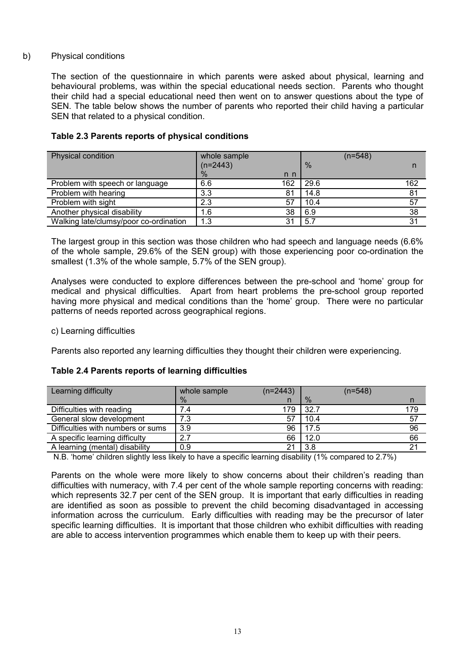# b) Physical conditions

The section of the questionnaire in which parents were asked about physical, learning and behavioural problems, was within the special educational needs section. Parents who thought their child had a special educational need then went on to answer questions about the type of SEN. The table below shows the number of parents who reported their child having a particular SEN that related to a physical condition.

| Physical condition                     | whole sample  |     | $(n=548)$     |     |
|----------------------------------------|---------------|-----|---------------|-----|
|                                        | $(n=2443)$    |     | $\frac{0}{6}$ |     |
|                                        | $\frac{0}{0}$ | n n |               |     |
| Problem with speech or language        | 6.6           | 162 | 29.6          | 162 |
| Problem with hearing                   | 3.3           | 81  | 14.8          | 81  |
| Problem with sight                     | 2.3           | 57  | 10.4          | 57  |
| Another physical disability            | 1.6           | 38  | 6.9           | 38  |
| Walking late/clumsy/poor co-ordination | 1.3           | 31  | 5.7           | 31  |

# **Table 2.3 Parents reports of physical conditions**

The largest group in this section was those children who had speech and language needs (6.6% of the whole sample, 29.6% of the SEN group) with those experiencing poor co-ordination the smallest (1.3% of the whole sample, 5.7% of the SEN group).

Analyses were conducted to explore differences between the pre-school and 'home' group for medical and physical difficulties. Apart from heart problems the pre-school group reported having more physical and medical conditions than the 'home' group. There were no particular patterns of needs reported across geographical regions.

#### c) Learning difficulties

Parents also reported any learning difficulties they thought their children were experiencing.

# **Table 2.4 Parents reports of learning difficulties**

| Learning difficulty               | whole sample | $(n=2443)$ |      | $(n=548)$ |     |
|-----------------------------------|--------------|------------|------|-----------|-----|
|                                   | $\%$         | n          | $\%$ |           |     |
| Difficulties with reading         |              | 179        | 32.7 |           | 179 |
| General slow development          | 7.3          | 57         | 10.4 |           | -57 |
| Difficulties with numbers or sums | 3.9          | 96         | 17.5 |           | 96  |
| A specific learning difficulty    |              | 66         | 12.0 |           | 66  |
| A learning (mental) disability    | 0.9          | 21         | 3.8  |           | 21  |

N.B. 'home' children slightly less likely to have a specific learning disability (1% compared to 2.7%)

Parents on the whole were more likely to show concerns about their children's reading than difficulties with numeracy, with 7.4 per cent of the whole sample reporting concerns with reading: which represents 32.7 per cent of the SEN group. It is important that early difficulties in reading are identified as soon as possible to prevent the child becoming disadvantaged in accessing information across the curriculum. Early difficulties with reading may be the precursor of later specific learning difficulties. It is important that those children who exhibit difficulties with reading are able to access intervention programmes which enable them to keep up with their peers.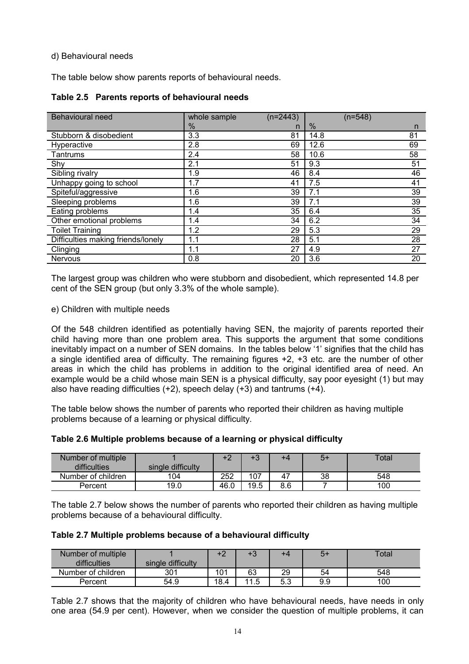# d) Behavioural needs

The table below show parents reports of behavioural needs.

| Table 2.5 Parents reports of behavioural needs |
|------------------------------------------------|
|------------------------------------------------|

| Behavioural need                   | whole sample | $(n=2443)$ | $(n=548)$ |    |
|------------------------------------|--------------|------------|-----------|----|
|                                    | $\%$         | n          | $\%$      | n  |
| Stubborn & disobedient             | 3.3          | 81         | 14.8      | 81 |
| Hyperactive                        | 2.8          | 69         | 12.6      | 69 |
| Tantrums                           | 2.4          | 58         | 10.6      | 58 |
| Shy                                | 2.1          | 51         | 9.3       | 51 |
| Sibling rivalry                    | 1.9          | 46         | 8.4       | 46 |
| Unhappy going to school            | 1.7          | 41         | 7.5       | 41 |
| Spiteful/aggressive                | 1.6          | 39         | 7.1       | 39 |
| Sleeping problems                  | 1.6          | 39         | 7.1       | 39 |
| Eating problems                    | 1.4          | 35         | 6.4       | 35 |
| Other emotional problems           | 1.4          | 34         | 6.2       | 34 |
| <b>Toilet Training</b>             | 1.2          | 29         | 5.3       | 29 |
| Difficulties making friends/lonely | 1.1          | 28         | 5.1       | 28 |
| Clinging                           | 1.1          | 27         | 4.9       | 27 |
| <b>Nervous</b>                     | 0.8          | 20         | 3.6       | 20 |

The largest group was children who were stubborn and disobedient, which represented 14.8 per cent of the SEN group (but only 3.3% of the whole sample).

#### e) Children with multiple needs

Of the 548 children identified as potentially having SEN, the majority of parents reported their child having more than one problem area. This supports the argument that some conditions inevitably impact on a number of SEN domains. In the tables below '1' signifies that the child has a single identified area of difficulty. The remaining figures +2, +3 etc. are the number of other areas in which the child has problems in addition to the original identified area of need. An example would be a child whose main SEN is a physical difficulty, say poor eyesight (1) but may also have reading difficulties  $(+2)$ , speech delay  $(+3)$  and tantrums  $(+4)$ .

The table below shows the number of parents who reported their children as having multiple problems because of a learning or physical difficulty.

| Number of multiple<br>difficulties | single difficulty | $\cdot$ $\cap$ | $\cdot$ $\sim$<br>гэ | +4  | 5+ | Total |
|------------------------------------|-------------------|----------------|----------------------|-----|----|-------|
| Number of children                 | 104               | 252            | 107                  | 47  | 38 | 548   |
| Percent                            | 19.0              | 46.0           | 19.5                 | 8.6 |    | 100   |

The table 2.7 below shows the number of parents who reported their children as having multiple problems because of a behavioural difficulty.

**Table 2.7 Multiple problems because of a behavioural difficulty** 

| Number of multiple |                   | +2   | $+3$                    | +4        | +c  | Total |
|--------------------|-------------------|------|-------------------------|-----------|-----|-------|
| difficulties       | single difficulty |      |                         |           |     |       |
| Number of children | 301               | 101  | 63                      | 29        | 54  | 548   |
| Percent            | 54.9              | 18.4 | 11 <sub>5</sub><br>ں. ، | にっ<br>ບ.ບ | 9.9 | 100   |

Table 2.7 shows that the majority of children who have behavioural needs, have needs in only one area (54.9 per cent). However, when we consider the question of multiple problems, it can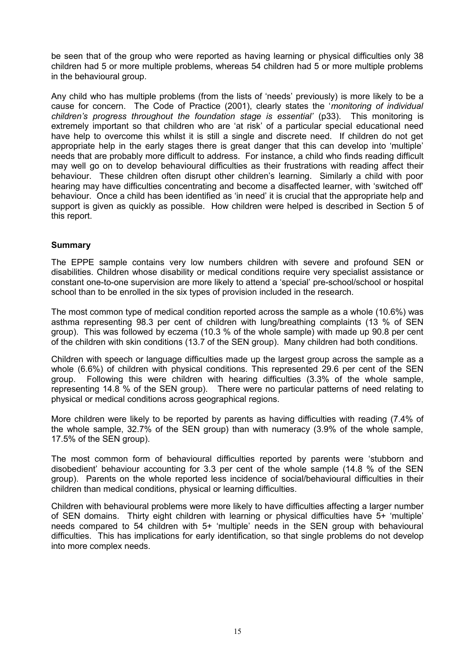be seen that of the group who were reported as having learning or physical difficulties only 38 children had 5 or more multiple problems, whereas 54 children had 5 or more multiple problems in the behavioural group.

Any child who has multiple problems (from the lists of 'needs' previously) is more likely to be a cause for concern. The Code of Practice (2001), clearly states the '*monitoring of individual* children's progress throughout the foundation stage is essential' (p33). This monitoring is extremely important so that children who are 'at risk' of a particular special educational need have help to overcome this whilst it is still a single and discrete need. If children do not get appropriate help in the early stages there is great danger that this can develop into 'multiple' needs that are probably more difficult to address. For instance, a child who finds reading difficult may well go on to develop behavioural difficulties as their frustrations with reading affect their behaviour. These children often disrupt other children's learning. Similarly a child with poor hearing may have difficulties concentrating and become a disaffected learner, with 'switched off' behaviour. Once a child has been identified as 'in need' it is crucial that the appropriate help and support is given as quickly as possible. How children were helped is described in Section 5 of this report.

# **Summary**

The EPPE sample contains very low numbers children with severe and profound SEN or disabilities. Children whose disability or medical conditions require very specialist assistance or constant one-to-one supervision are more likely to attend a 'special' pre-school/school or hospital school than to be enrolled in the six types of provision included in the research.

The most common type of medical condition reported across the sample as a whole (10.6%) was asthma representing 98.3 per cent of children with lung/breathing complaints (13 % of SEN group). This was followed by eczema (10.3 % of the whole sample) with made up 90.8 per cent of the children with skin conditions (13.7 of the SEN group). Many children had both conditions.

Children with speech or language difficulties made up the largest group across the sample as a whole (6.6%) of children with physical conditions. This represented 29.6 per cent of the SEN group. Following this were children with hearing difficulties (3.3% of the whole sample, representing 14.8 % of the SEN group). There were no particular patterns of need relating to physical or medical conditions across geographical regions.

More children were likely to be reported by parents as having difficulties with reading (7.4% of the whole sample, 32.7% of the SEN group) than with numeracy (3.9% of the whole sample, 17.5% of the SEN group).

The most common form of behavioural difficulties reported by parents were 'stubborn and disobedient' behaviour accounting for 3.3 per cent of the whole sample (14.8 % of the SEN group). Parents on the whole reported less incidence of social/behavioural difficulties in their children than medical conditions, physical or learning difficulties.

Children with behavioural problems were more likely to have difficulties affecting a larger number of SEN domains. Thirty eight children with learning or physical difficulties have 5+ 'multiple' needs compared to 54 children with 5+ 'multiple' needs in the SEN group with behavioural difficulties. This has implications for early identification, so that single problems do not develop into more complex needs.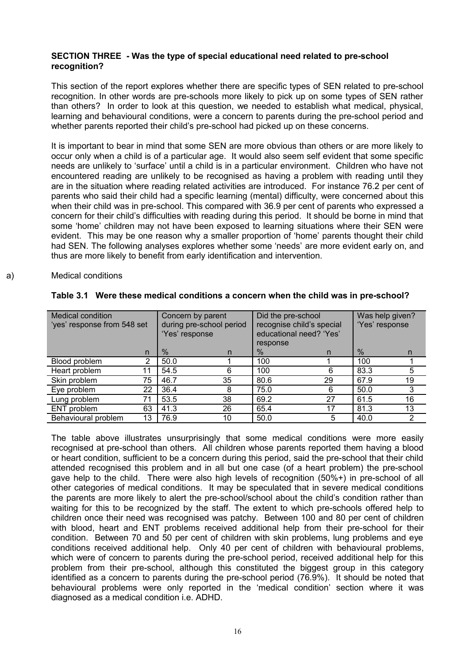# **SECTION THREE - Was the type of special educational need related to pre-school recognition?**

This section of the report explores whether there are specific types of SEN related to pre-school recognition. In other words are pre-schools more likely to pick up on some types of SEN rather than others? In order to look at this question, we needed to establish what medical, physical, learning and behavioural conditions, were a concern to parents during the pre-school period and whether parents reported their child's pre-school had picked up on these concerns.

It is important to bear in mind that some SEN are more obvious than others or are more likely to occur only when a child is of a particular age. It would also seem self evident that some specific needs are unlikely to 'surface' until a child is in a particular environment. Children who have not encountered reading are unlikely to be recognised as having a problem with reading until they are in the situation where reading related activities are introduced. For instance 76.2 per cent of parents who said their child had a specific learning (mental) difficulty, were concerned about this when their child was in pre-school. This compared with 36.9 per cent of parents who expressed a concern for their child's difficulties with reading during this period. It should be borne in mind that some 'home' children may not have been exposed to learning situations where their SEN were evident. This may be one reason why a smaller proportion of 'home' parents thought their child had SEN. The following analyses explores whether some 'needs' are more evident early on, and thus are more likely to benefit from early identification and intervention.

#### a) Medical conditions

| <b>Medical condition</b><br>Concern by parent<br>during pre-school period<br>'yes' response from 548 set<br>'Yes' response |    |      | response | Did the pre-school<br>recognise child's special<br>educational need? 'Yes' |    | Was help given?<br>'Yes' response |                |
|----------------------------------------------------------------------------------------------------------------------------|----|------|----------|----------------------------------------------------------------------------|----|-----------------------------------|----------------|
|                                                                                                                            | n  | $\%$ | n        | $\%$                                                                       | n  | $\%$                              | n              |
| Blood problem                                                                                                              | 2  | 50.0 |          | 100                                                                        |    | 100                               |                |
| Heart problem                                                                                                              | 11 | 54.5 | 6        | 100                                                                        | 6  | 83.3                              | 5              |
| Skin problem                                                                                                               | 75 | 46.7 | 35       | 80.6                                                                       | 29 | 67.9                              | 19             |
| Eye problem                                                                                                                | 22 | 36.4 | 8        | 75.0                                                                       | 6  | 50.0                              | 3              |
| Lung problem                                                                                                               | 71 | 53.5 | 38       | 69.2                                                                       | 27 | 61.5                              | 16             |
| ENT problem                                                                                                                | 63 | 41.3 | 26       | 65.4                                                                       | 17 | 81.3                              | 13             |
| Behavioural problem                                                                                                        | 13 | 76.9 | 10       | 50.0                                                                       | 5  | 40.0                              | $\overline{2}$ |

#### **Table 3.1 Were these medical conditions a concern when the child was in pre-school?**

The table above illustrates unsurprisingly that some medical conditions were more easily recognised at pre-school than others. All children whose parents reported them having a blood or heart condition, sufficient to be a concern during this period, said the pre-school that their child attended recognised this problem and in all but one case (of a heart problem) the pre-school gave help to the child. There were also high levels of recognition (50%+) in pre-school of all other categories of medical conditions. It may be speculated that in severe medical conditions the parents are more likely to alert the pre-school/school about the child's condition rather than waiting for this to be recognized by the staff. The extent to which pre-schools offered help to children once their need was recognised was patchy. Between 100 and 80 per cent of children with blood, heart and ENT problems received additional help from their pre-school for their condition. Between 70 and 50 per cent of children with skin problems, lung problems and eye conditions received additional help. Only 40 per cent of children with behavioural problems, which were of concern to parents during the pre-school period, received additional help for this problem from their pre-school, although this constituted the biggest group in this category identified as a concern to parents during the pre-school period (76.9%). It should be noted that behavioural problems were only reported in the 'medical condition' section where it was diagnosed as a medical condition i.e. ADHD.

16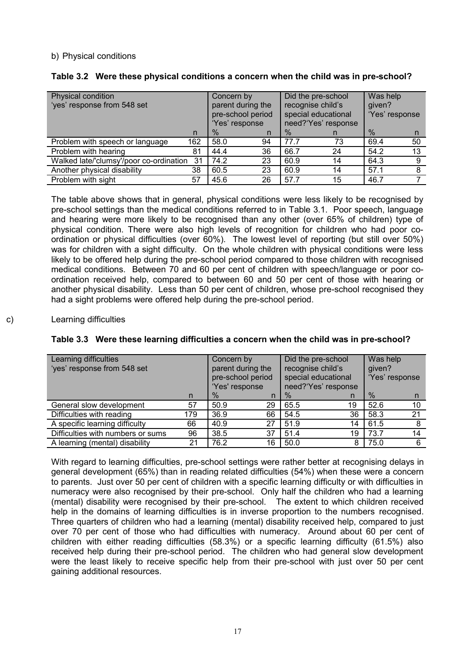# b) Physical conditions

| Physical condition<br>'yes' response from 548 set |     | Concern by<br>parent during the<br>pre-school period<br>'Yes' response |    | Did the pre-school<br>recognise child's<br>special educational<br>need?'Yes' response |    | Was help<br>given?<br>'Yes' response |    |
|---------------------------------------------------|-----|------------------------------------------------------------------------|----|---------------------------------------------------------------------------------------|----|--------------------------------------|----|
|                                                   | n   | $\%$                                                                   | n. | $\%$                                                                                  |    | $\%$                                 | n  |
| Problem with speech or language                   | 162 | 58.0                                                                   | 94 | 77.7                                                                                  | 73 | 69.4                                 | 50 |
| Problem with hearing                              | 81  | 44.4                                                                   | 36 | 66.7                                                                                  | 24 | 54.2                                 | 13 |
| Walked late/'clumsy'/poor co-ordination           | 31  | 74.2                                                                   | 23 | 60.9                                                                                  | 14 | 64.3                                 | 9  |
| Another physical disability                       | 38  | 60.5                                                                   | 23 | 60.9                                                                                  | 14 | 57.1                                 | 8  |
| Problem with sight                                | 57  | 45.6                                                                   | 26 | 57.7                                                                                  | 15 | 46.7                                 |    |

# **Table 3.2 Were these physical conditions a concern when the child was in pre-school?**

The table above shows that in general, physical conditions were less likely to be recognised by pre-school settings than the medical conditions referred to in Table 3.1. Poor speech, language and hearing were more likely to be recognised than any other (over 65% of children) type of physical condition. There were also high levels of recognition for children who had poor coordination or physical difficulties (over 60%). The lowest level of reporting (but still over 50%) was for children with a sight difficulty. On the whole children with physical conditions were less likely to be offered help during the pre-school period compared to those children with recognised medical conditions. Between 70 and 60 per cent of children with speech/language or poor coordination received help, compared to between 60 and 50 per cent of those with hearing or another physical disability. Less than 50 per cent of children, whose pre-school recognised they had a sight problems were offered help during the pre-school period.

# c) Learning difficulties

| Learning difficulties             |     | Concern by        |                   |                   | Did the pre-school  | Was help |                |
|-----------------------------------|-----|-------------------|-------------------|-------------------|---------------------|----------|----------------|
| 'yes' response from 548 set       |     | parent during the |                   | recognise child's |                     | given?   |                |
|                                   |     |                   | pre-school period |                   | special educational |          | 'Yes' response |
|                                   |     | 'Yes' response    |                   |                   | need?'Yes' response |          |                |
|                                   | n   | $\%$              | n                 | $\%$              | n                   | $\%$     | n              |
| General slow development          | 57  | 50.9              | 29                | 65.5              | 19                  | 52.6     | 10             |
| Difficulties with reading         | 179 | 36.9              | 66                | 54.5              | 36                  | 58.3     | 21             |
| A specific learning difficulty    | 66  | 40.9              | 27                | 51.9              | 14                  | 61.5     |                |
| Difficulties with numbers or sums | 96  | 38.5              | 37                | 51.4              | 19                  | 73.7     | 14             |
| A learning (mental) disability    | 21  | 76.2              | 16                | 50.0              | 8                   | 75.0     | 6              |

With regard to learning difficulties, pre-school settings were rather better at recognising delays in general development (65%) than in reading related difficulties (54%) when these were a concern to parents. Just over 50 per cent of children with a specific learning difficulty or with difficulties in numeracy were also recognised by their pre-school. Only half the children who had a learning (mental) disability were recognised by their pre-school. The extent to which children received help in the domains of learning difficulties is in inverse proportion to the numbers recognised. Three quarters of children who had a learning (mental) disability received help, compared to just over 70 per cent of those who had difficulties with numeracy. Around about 60 per cent of children with either reading difficulties (58.3%) or a specific learning difficulty (61.5%) also received help during their pre-school period. The children who had general slow development were the least likely to receive specific help from their pre-school with just over 50 per cent gaining additional resources.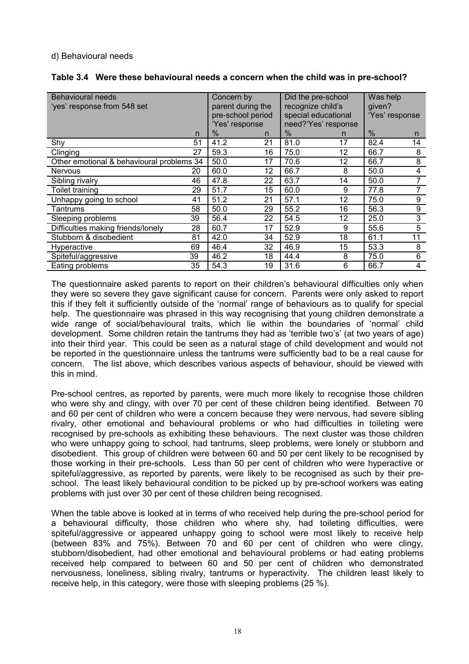#### d) Behavioural needs

| Behavioural needs<br>'yes' response from 548 set |    | Concern by<br>parent during the<br>pre-school period<br>'Yes' response |    | Did the pre-school<br>recognize child's<br>special educational<br>need?'Yes' response |    | Was help<br>given?<br>'Yes' response |    |
|--------------------------------------------------|----|------------------------------------------------------------------------|----|---------------------------------------------------------------------------------------|----|--------------------------------------|----|
|                                                  | n  | $\%$                                                                   | n  | $\%$                                                                                  | n  | $\%$                                 | n. |
| Shy                                              | 51 | 41.2                                                                   | 21 | 81.0                                                                                  | 17 | 82.4                                 | 14 |
| Clinging                                         | 27 | 59.3                                                                   | 16 | 75.0                                                                                  | 12 | 66.7                                 | 8  |
| Other emotional & behavioural problems 34        |    | 50.0                                                                   | 17 | 70.6                                                                                  | 12 | 66.7                                 | 8  |
| <b>Nervous</b>                                   | 20 | 60.0                                                                   | 12 | 66.7                                                                                  | 8  | 50.0                                 | 4  |
| Sibling rivalry                                  | 46 | 47.8                                                                   | 22 | 63.7                                                                                  | 14 | 50.0                                 | 7  |
| Toilet training                                  | 29 | 51.7                                                                   | 15 | 60.0                                                                                  | 9  | 77.8                                 |    |
| Unhappy going to school                          | 41 | 51.2                                                                   | 21 | 57.1                                                                                  | 12 | 75.0                                 | 9  |
| Tantrums                                         | 58 | 50.0                                                                   | 29 | 55.2                                                                                  | 16 | 56.3                                 | 9  |
| Sleeping problems                                | 39 | 56.4                                                                   | 22 | 54.5                                                                                  | 12 | 25.0                                 | 3  |
| Difficulties making friends/lonely               | 28 | 60.7                                                                   | 17 | 52.9                                                                                  | 9  | 55.6                                 | 5  |
| Stubborn & disobedient                           | 81 | 42.0                                                                   | 34 | 52.9                                                                                  | 18 | 61.1                                 | 11 |
| Hyperactive                                      | 69 | 46.4                                                                   | 32 | 46.9                                                                                  | 15 | 53.3                                 | 8  |
| Spiteful/aggressive                              | 39 | 46.2                                                                   | 18 | 44.4                                                                                  | 8  | 75.0                                 | 6  |
| Eating problems                                  | 35 | 54.3                                                                   | 19 | 31.6                                                                                  | 6  | 66.7                                 | 4  |

#### **Table 3.4 Were these behavioural needs a concern when the child was in pre-school?**

The questionnaire asked parents to report on their children's behavioural difficulties only when they were so severe they gave significant cause for concern. Parents were only asked to report this if they felt it sufficiently outside of the 'normal' range of behaviours as to qualify for special help. The questionnaire was phrased in this way recognising that young children demonstrate a wide range of social/behavioural traits, which lie within the boundaries of 'normal' child development. Some children retain the tantrums they had as 'terrible two's' (at two years of age) into their third year. This could be seen as a natural stage of child development and would not be reported in the questionnaire unless the tantrums were sufficiently bad to be a real cause for concern. The list above, which describes various aspects of behaviour, should be viewed with this in mind.

Pre-school centres, as reported by parents, were much more likely to recognise those children who were shy and clingy, with over 70 per cent of these children being identified. Between 70 and 60 per cent of children who were a concern because they were nervous, had severe sibling rivalry, other emotional and behavioural problems or who had difficulties in toileting were recognised by pre-schools as exhibiting these behaviours. The next cluster was those children who were unhappy going to school, had tantrums, sleep problems, were lonely or stubborn and disobedient. This group of children were between 60 and 50 per cent likely to be recognised by those working in their pre-schools. Less than 50 per cent of children who were hyperactive or spiteful/aggressive, as reported by parents, were likely to be recognised as such by their preschool. The least likely behavioural condition to be picked up by pre-school workers was eating problems with just over 30 per cent of these children being recognised.

When the table above is looked at in terms of who received help during the pre-school period for a behavioural difficulty, those children who where shy, had toileting difficulties, were spiteful/aggressive or appeared unhappy going to school were most likely to receive help (between 83% and 75%). Between 70 and 60 per cent of children who were clingy, stubborn/disobedient, had other emotional and behavioural problems or had eating problems received help compared to between 60 and 50 per cent of children who demonstrated nervousness, loneliness, sibling rivalry, tantrums or hyperactivity. The children least likely to receive help, in this category, were those with sleeping problems (25 %).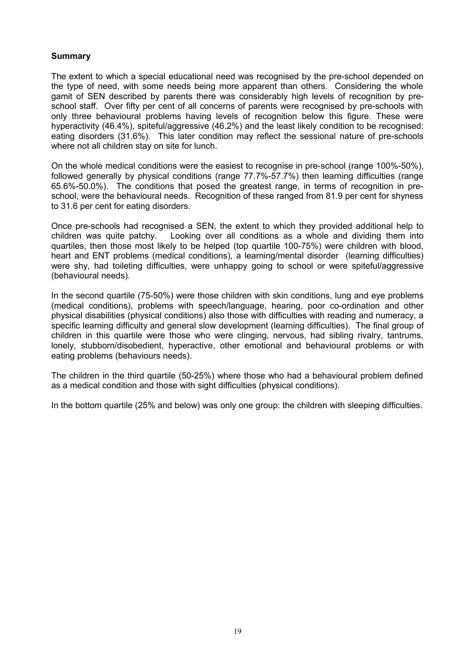# **Summary**

The extent to which a special educational need was recognised by the pre-school depended on the type of need, with some needs being more apparent than others. Considering the whole gamit of SEN described by parents there was considerably high levels of recognition by preschool staff. Over fifty per cent of all concerns of parents were recognised by pre-schools with only three behavioural problems having levels of recognition below this figure. These were hyperactivity (46.4%), spiteful/aggressive (46.2%) and the least likely condition to be recognised: eating disorders (31.6%). This later condition may reflect the sessional nature of pre-schools where not all children stay on site for lunch.

On the whole medical conditions were the easiest to recognise in pre-school (range 100%-50%), followed generally by physical conditions (range 77.7%-57.7%) then learning difficulties (range 65.6%-50.0%). The conditions that posed the greatest range, in terms of recognition in preschool, were the behavioural needs. Recognition of these ranged from 81.9 per cent for shyness to 31.6 per cent for eating disorders.

Once pre-schools had recognised a SEN, the extent to which they provided additional help to children was quite patchy. Looking over all conditions as a whole and dividing them into quartiles, then those most likely to be helped (top quartile 100-75%) were children with blood, heart and ENT problems (medical conditions), a learning/mental disorder (learning difficulties) were shy, had toileting difficulties, were unhappy going to school or were spiteful/aggressive (behavioural needs).

In the second quartile (75-50%) were those children with skin conditions, lung and eye problems (medical conditions), problems with speech/language, hearing, poor co-ordination and other physical disabilities (physical conditions) also those with difficulties with reading and numeracy, a specific learning difficulty and general slow development (learning difficulties). The final group of children in this quartile were those who were clinging, nervous, had sibling rivalry, tantrums, lonely, stubborn/disobedient, hyperactive, other emotional and behavioural problems or with eating problems (behaviours needs).

The children in the third quartile (50-25%) where those who had a behavioural problem defined as a medical condition and those with sight difficulties (physical conditions).

In the bottom quartile (25% and below) was only one group: the children with sleeping difficulties.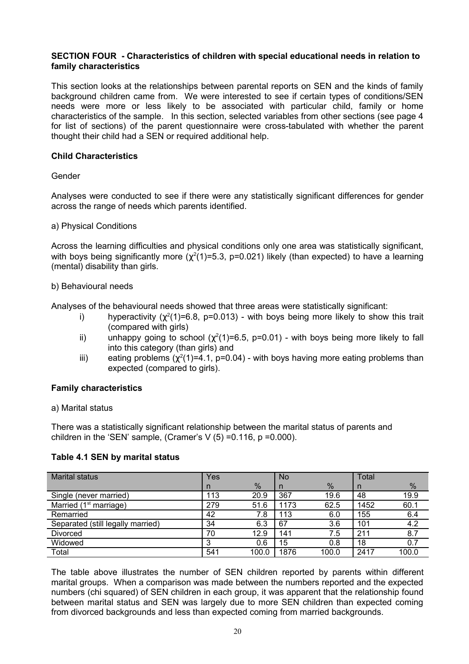# **SECTION FOUR - Characteristics of children with special educational needs in relation to family characteristics**

This section looks at the relationships between parental reports on SEN and the kinds of family background children came from. We were interested to see if certain types of conditions/SEN needs were more or less likely to be associated with particular child, family or home characteristics of the sample. In this section, selected variables from other sections (see page 4 for list of sections) of the parent questionnaire were cross-tabulated with whether the parent thought their child had a SEN or required additional help.

# **Child Characteristics**

#### Gender

Analyses were conducted to see if there were any statistically significant differences for gender across the range of needs which parents identified.

#### a) Physical Conditions

Across the learning difficulties and physical conditions only one area was statistically significant, with boys being significantly more ( $\chi^2(1)$ =5.3, p=0.021) likely (than expected) to have a learning (mental) disability than girls.

#### b) Behavioural needs

Analyses of the behavioural needs showed that three areas were statistically significant:

- i) hyperactivity ( $\chi^2(1)$ =6.8, p=0.013) with boys being more likely to show this trait (compared with girls)
- ii) unhappy going to school ( $\chi^2(1)$ =6.5, p=0.01) with boys being more likely to fall into this category (than girls) and
- iii) eating problems ( $\chi^2(1)$ =4.1, p=0.04) with boys having more eating problems than expected (compared to girls).

# **Family characteristics**

a) Marital status

There was a statistically significant relationship between the marital status of parents and children in the 'SEN' sample, (Cramer's  $V(5) = 0.116$ , p = 0.000).

# **Table 4.1 SEN by marital status**

| <b>Marital status</b>             | Yes |               | <b>No</b> |       | <b>Total</b> |               |
|-----------------------------------|-----|---------------|-----------|-------|--------------|---------------|
|                                   | n   | $\frac{0}{6}$ | n         | $\%$  | n            | $\frac{0}{0}$ |
| Single (never married)            | 113 | 20.9          | 367       | 19.6  | 48           | 19.9          |
| Married $(1st$ marriage)          | 279 | 51.6          | 1173      | 62.5  | 1452         | 60.1          |
| Remarried                         | 42  | 7.8           | 113       | 6.0   | 155          | 6.4           |
| Separated (still legally married) | 34  | 6.3           | 67        | 3.6   | 101          | 4.2           |
| Divorced                          | 70  | 12.9          | 141       | 7.5   | 211          | 8.7           |
| Widowed                           |     | 0.6           | 15        | 0.8   | 18           | 0.7           |
| Total                             | 541 | 100.0         | 1876      | 100.0 | 2417         | 100.0         |

The table above illustrates the number of SEN children reported by parents within different marital groups. When a comparison was made between the numbers reported and the expected numbers (chi squared) of SEN children in each group, it was apparent that the relationship found between marital status and SEN was largely due to more SEN children than expected coming from divorced backgrounds and less than expected coming from married backgrounds.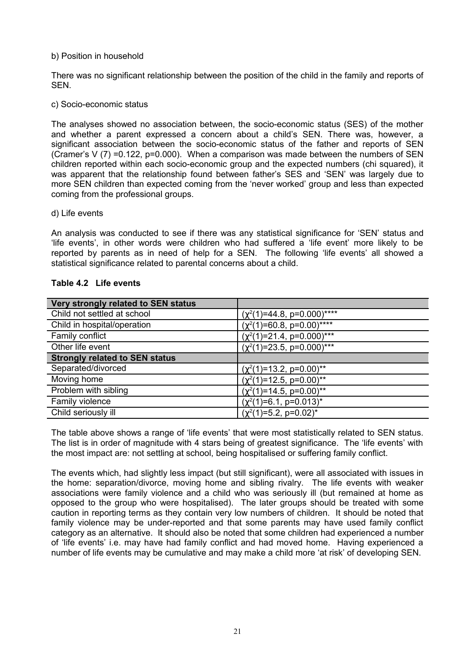#### b) Position in household

There was no significant relationship between the position of the child in the family and reports of **SEN.** 

#### c) Socio-economic status

The analyses showed no association between, the socio-economic status (SES) of the mother and whether a parent expressed a concern about a child's SEN. There was, however, a significant association between the socio-economic status of the father and reports of SEN (Cramer's V  $(7)$  =0.122, p=0.000). When a comparison was made between the numbers of SEN children reported within each socio-economic group and the expected numbers (chi squared), it was apparent that the relationship found between father's SES and 'SEN' was largely due to more SEN children than expected coming from the 'never worked' group and less than expected coming from the professional groups.

#### d) Life events

An analysis was conducted to see if there was any statistical significance for 'SEN' status and 'life events', in other words were children who had suffered a 'life event' more likely to be reported by parents as in need of help for a SEN. The following 'life events' all showed a statistical significance related to parental concerns about a child.

#### **Table 4.2 Life events**

| Very strongly related to SEN status   |                                   |
|---------------------------------------|-----------------------------------|
| Child not settled at school           | $(\chi^2(1)=44.8, p=0.000)$ ****  |
| Child in hospital/operation           | $(\chi^2(1)=60.8, p=0.00)$ ****   |
| Family conflict                       | $(\chi^2(1)=21.4, p=0.000)^{***}$ |
| Other life event                      | $(\chi^2(1)=23.5, p=0.000)$ ***   |
| <b>Strongly related to SEN status</b> |                                   |
| Separated/divorced                    | $(\chi^2(1)=13.2, p=0.00)^{**}$   |
| Moving home                           | $(\chi^2(1)=12.5, p=0.00)^{**}$   |
| Problem with sibling                  | $(\chi^2(1)=14.5, p=0.00)^{**}$   |
| Family violence                       | $(\chi^2(1)=6.1, p=0.013)^*$      |
| Child seriously ill                   | $(\chi^2(1)=5.2, p=0.02)^*$       |

The table above shows a range of 'life events' that were most statistically related to SEN status. The list is in order of magnitude with 4 stars being of greatest significance. The 'life events' with the most impact are: not settling at school, being hospitalised or suffering family conflict.

The events which, had slightly less impact (but still significant), were all associated with issues in the home: separation/divorce, moving home and sibling rivalry. The life events with weaker associations were family violence and a child who was seriously ill (but remained at home as opposed to the group who were hospitalised). The later groups should be treated with some caution in reporting terms as they contain very low numbers of children. It should be noted that family violence may be under-reported and that some parents may have used family conflict category as an alternative. It should also be noted that some children had experienced a number of 'life events' i.e. may have had family conflict and had moved home. Having experienced a number of life events may be cumulative and may make a child more 'at risk' of developing SEN.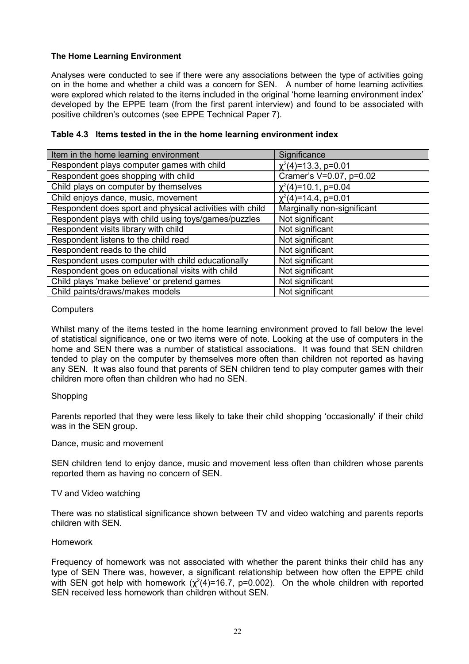# **The Home Learning Environment**

Analyses were conducted to see if there were any associations between the type of activities going on in the home and whether a child was a concern for SEN. A number of home learning activities were explored which related to the items included in the original 'home learning environment index' developed by the EPPE team (from the first parent interview) and found to be associated with positive children's outcomes (see EPPE Technical Paper 7).

# **Table 4.3 Items tested in the in the home learning environment index**

| Item in the home learning environment                    | Significance               |
|----------------------------------------------------------|----------------------------|
| Respondent plays computer games with child               | $\chi^2(4)$ =13.3, p=0.01  |
| Respondent goes shopping with child                      | Cramer's V=0.07, p=0.02    |
| Child plays on computer by themselves                    | $\chi^2(4)$ =10.1, p=0.04  |
| Child enjoys dance, music, movement                      | $\chi^2(4)$ =14.4, p=0.01  |
| Respondent does sport and physical activities with child | Marginally non-significant |
| Respondent plays with child using toys/games/puzzles     | Not significant            |
| Respondent visits library with child                     | Not significant            |
| Respondent listens to the child read                     | Not significant            |
| Respondent reads to the child                            | Not significant            |
| Respondent uses computer with child educationally        | Not significant            |
| Respondent goes on educational visits with child         | Not significant            |
| Child plays 'make believe' or pretend games              | Not significant            |
| Child paints/draws/makes models                          | Not significant            |

#### **Computers**

Whilst many of the items tested in the home learning environment proved to fall below the level of statistical significance, one or two items were of note. Looking at the use of computers in the home and SEN there was a number of statistical associations. It was found that SEN children tended to play on the computer by themselves more often than children not reported as having any SEN. It was also found that parents of SEN children tend to play computer games with their children more often than children who had no SEN.

#### **Shopping**

Parents reported that they were less likely to take their child shopping 'occasionally' if their child was in the SEN group.

#### Dance, music and movement

SEN children tend to enjoy dance, music and movement less often than children whose parents reported them as having no concern of SEN.

#### TV and Video watching

There was no statistical significance shown between TV and video watching and parents reports children with SEN.

#### Homework

Frequency of homework was not associated with whether the parent thinks their child has any type of SEN There was, however, a significant relationship between how often the EPPE child with SEN got help with homework  $(\chi^2(4)=16.7, p=0.002)$ . On the whole children with reported SEN received less homework than children without SEN.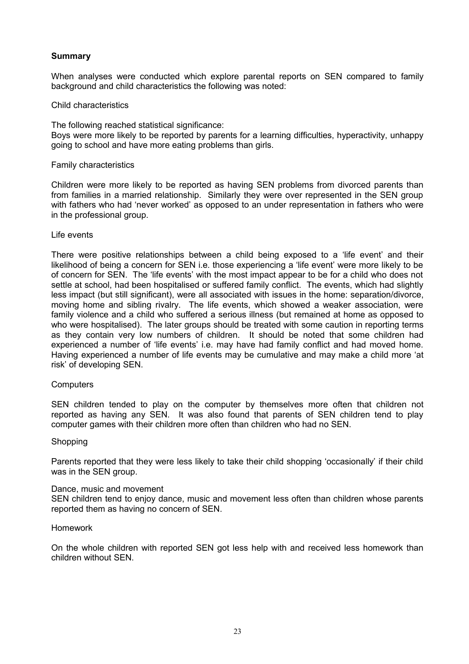# **Summary**

When analyses were conducted which explore parental reports on SEN compared to family background and child characteristics the following was noted:

#### Child characteristics

The following reached statistical significance: Boys were more likely to be reported by parents for a learning difficulties, hyperactivity, unhappy going to school and have more eating problems than girls.

#### Family characteristics

Children were more likely to be reported as having SEN problems from divorced parents than from families in a married relationship. Similarly they were over represented in the SEN group with fathers who had 'never worked' as opposed to an under representation in fathers who were in the professional group.

#### Life events

There were positive relationships between a child being exposed to a 'life event' and their likelihood of being a concern for SEN i.e. those experiencing a 'life event' were more likely to be of concern for SEN. The 'life events' with the most impact appear to be for a child who does not settle at school, had been hospitalised or suffered family conflict. The events, which had slightly less impact (but still significant), were all associated with issues in the home: separation/divorce, moving home and sibling rivalry. The life events, which showed a weaker association, were family violence and a child who suffered a serious illness (but remained at home as opposed to who were hospitalised). The later groups should be treated with some caution in reporting terms as they contain very low numbers of children. It should be noted that some children had experienced a number of 'life events' i.e. may have had family conflict and had moved home. Having experienced a number of life events may be cumulative and may make a child more 'at risk' of developing SEN.

#### **Computers**

SEN children tended to play on the computer by themselves more often that children not reported as having any SEN. It was also found that parents of SEN children tend to play computer games with their children more often than children who had no SEN.

#### Shopping

Parents reported that they were less likely to take their child shopping 'occasionally' if their child was in the SEN group.

#### Dance, music and movement

SEN children tend to enjoy dance, music and movement less often than children whose parents reported them as having no concern of SEN.

#### Homework

On the whole children with reported SEN got less help with and received less homework than children without SEN.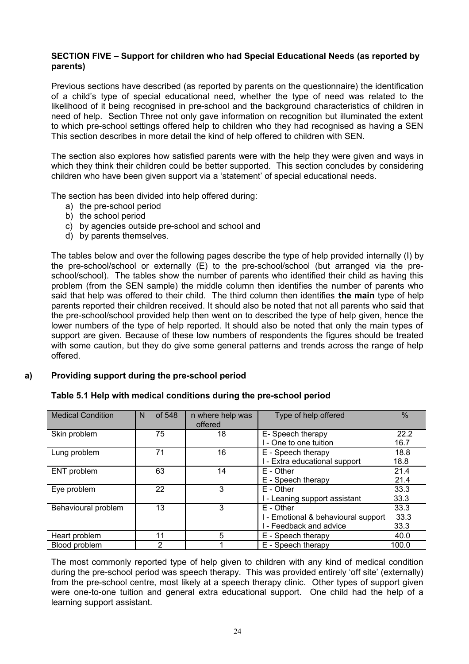# **SECTION FIVE – Support for children who had Special Educational Needs (as reported by parents)**

Previous sections have described (as reported by parents on the questionnaire) the identification of a child's type of special educational need, whether the type of need was related to the likelihood of it being recognised in pre-school and the background characteristics of children in need of help. Section Three not only gave information on recognition but illuminated the extent to which pre-school settings offered help to children who they had recognised as having a SEN This section describes in more detail the kind of help offered to children with SEN.

The section also explores how satisfied parents were with the help they were given and ways in which they think their children could be better supported. This section concludes by considering children who have been given support via a 'statement' of special educational needs.

The section has been divided into help offered during:

- a) the pre-school period
- b) the school period
- c) by agencies outside pre-school and school and
- d) by parents themselves.

The tables below and over the following pages describe the type of help provided internally (I) by the pre-school/school or externally (E) to the pre-school/school (but arranged via the preschool/school). The tables show the number of parents who identified their child as having this problem (from the SEN sample) the middle column then identifies the number of parents who said that help was offered to their child. The third column then identifies **the main** type of help parents reported their children received. It should also be noted that not all parents who said that the pre-school/school provided help then went on to described the type of help given, hence the lower numbers of the type of help reported. It should also be noted that only the main types of support are given. Because of these low numbers of respondents the figures should be treated with some caution, but they do give some general patterns and trends across the range of help offered.

# **a) Providing support during the pre-school period**

| <b>Medical Condition</b> | of 548<br>N | n where help was<br>offered | Type of help offered              | $\frac{0}{0}$ |
|--------------------------|-------------|-----------------------------|-----------------------------------|---------------|
| Skin problem             | 75          | 18                          | E- Speech therapy                 | 22.2          |
|                          |             |                             | - One to one tuition              | 16.7          |
| Lung problem             | 71          | 16                          | E - Speech therapy                | 18.8          |
|                          |             |                             | - Extra educational support       | 18.8          |
| ENT problem              | 63          | 14                          | E - Other                         | 21.4          |
|                          |             |                             | E - Speech therapy                | 21.4          |
| Eye problem              | 22          | 3                           | E - Other                         | 33.3          |
|                          |             |                             | - Leaning support assistant       | 33.3          |
| Behavioural problem      | 13          | 3                           | E - Other                         | 33.3          |
|                          |             |                             | - Emotional & behavioural support | 33.3          |
|                          |             |                             | - Feedback and advice             | 33.3          |
| Heart problem            | 11          | 5                           | E - Speech therapy                | 40.0          |
| Blood problem            | 2           |                             | E - Speech therapy                | 100.0         |

#### **Table 5.1 Help with medical conditions during the pre-school period**

The most commonly reported type of help given to children with any kind of medical condition during the pre-school period was speech therapy. This was provided entirely 'off site' (externally) from the pre-school centre, most likely at a speech therapy clinic. Other types of support given were one-to-one tuition and general extra educational support. One child had the help of a learning support assistant.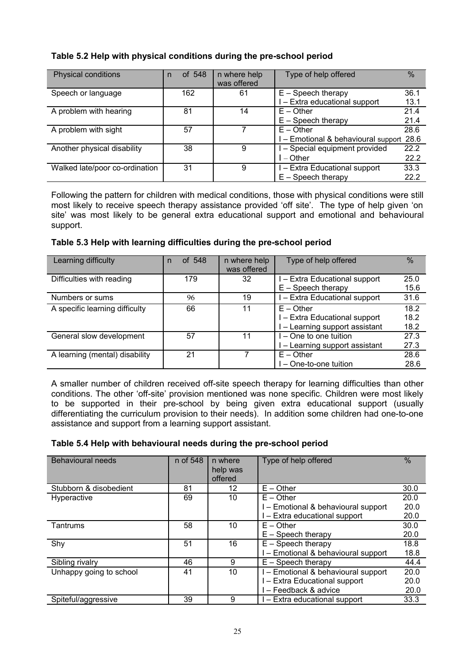# **Table 5.2 Help with physical conditions during the pre-school period**

| Physical conditions            | of 548<br>n | n where help<br>was offered | Type of help offered                     | $\frac{0}{0}$ |
|--------------------------------|-------------|-----------------------------|------------------------------------------|---------------|
| Speech or language             | 162         | 61                          | $E -$ Speech therapy                     | 36.1          |
|                                |             |                             | - Extra educational support              | 13.1          |
| A problem with hearing         | 81          | 14                          | $E -$ Other                              | 21.4          |
|                                |             |                             | $E -$ Speech therapy                     | 21.4          |
| A problem with sight           | 57          |                             | $E -$ Other                              | 28.6          |
|                                |             |                             | I - Emotional & behavioural support 28.6 |               |
| Another physical disability    | 38          | 9                           | - Special equipment provided             | 22.2          |
|                                |             |                             | – Other                                  | 22.2          |
| Walked late/poor co-ordination | 31          | 9                           | - Extra Educational support              | 33.3          |
|                                |             |                             | $E -$ Speech therapy                     | 22.2          |

Following the pattern for children with medical conditions, those with physical conditions were still most likely to receive speech therapy assistance provided 'off site'. The type of help given 'on site' was most likely to be general extra educational support and emotional and behavioural support.

# **Table 5.3 Help with learning difficulties during the pre-school period**

| Learning difficulty            | of 548<br>n | n where help | Type of help offered           | $\%$ |
|--------------------------------|-------------|--------------|--------------------------------|------|
|                                |             | was offered  |                                |      |
| Difficulties with reading      | 179         | 32           | I - Extra Educational support  | 25.0 |
|                                |             |              | $E -$ Speech therapy           | 15.6 |
| Numbers or sums                | 96          | 19           | I - Extra Educational support  | 31.6 |
| A specific learning difficulty | 66          | 11           | $E -$ Other                    | 18.2 |
|                                |             |              | I - Extra Educational support  | 18.2 |
|                                |             |              | I - Learning support assistant | 18.2 |
| General slow development       | 57          | 11           | I – One to one tuition         | 27.3 |
|                                |             |              | I - Learning support assistant | 27.3 |
| A learning (mental) disability | 21          |              | $E -$ Other                    | 28.6 |
|                                |             |              | l – One-to-one tuition         | 28.6 |

A smaller number of children received off-site speech therapy for learning difficulties than other conditions. The other 'off-site' provision mentioned was none specific. Children were most likely to be supported in their pre-school by being given extra educational support (usually differentiating the curriculum provision to their needs). In addition some children had one-to-one assistance and support from a learning support assistant.

# **Table 5.4 Help with behavioural needs during the pre-school period**

| Behavioural needs       | n of 548 | n where<br>help was<br>offered | Type of help offered              | $\%$ |
|-------------------------|----------|--------------------------------|-----------------------------------|------|
| Stubborn & disobedient  | 81       | 12                             | $E -$ Other                       | 30.0 |
| Hyperactive             | 69       | 10                             | $E -$ Other                       | 20.0 |
|                         |          |                                | - Emotional & behavioural support | 20.0 |
|                         |          |                                | - Extra educational support       | 20.0 |
| Tantrums                | 58       | 10                             | $E -$ Other                       | 30.0 |
|                         |          |                                | $E -$ Speech therapy              | 20.0 |
| Shy                     | 51       | 16                             | $E -$ Speech therapy              | 18.8 |
|                         |          |                                | - Emotional & behavioural support | 18.8 |
| Sibling rivalry         | 46       | 9                              | $E -$ Speech therapy              | 44.4 |
| Unhappy going to school | 41       | 10                             | - Emotional & behavioural support | 20.0 |
|                         |          |                                | - Extra Educational support       | 20.0 |
|                         |          |                                | - Feedback & advice               | 20.0 |
| Spiteful/aggressive     | 39       | 9                              | - Extra educational support       | 33.3 |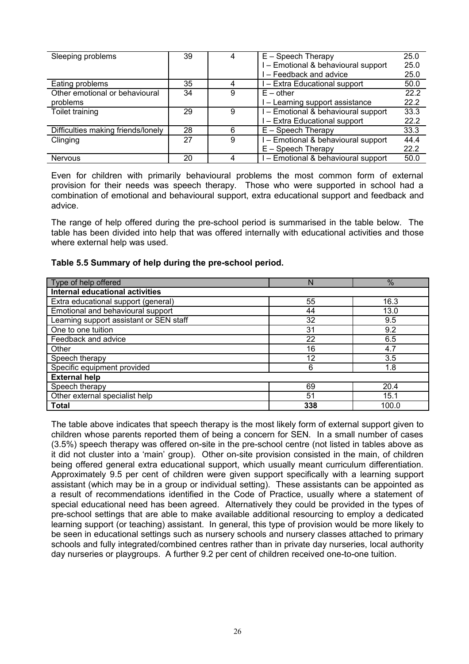| Sleeping problems                  | 39 | 4 | $E -$ Speech Therapy              | 25.0 |
|------------------------------------|----|---|-----------------------------------|------|
|                                    |    |   | - Emotional & behavioural support | 25.0 |
|                                    |    |   | - Feedback and advice             | 25.0 |
| Eating problems                    | 35 | 4 | - Extra Educational support       | 50.0 |
| Other emotional or behavioural     | 34 | 9 | $E - other$                       | 22.2 |
| problems                           |    |   | - Learning support assistance     | 22.2 |
| Toilet training                    | 29 | 9 | - Emotional & behavioural support | 33.3 |
|                                    |    |   | - Extra Educational support       | 22.2 |
| Difficulties making friends/lonely | 28 | 6 | $E -$ Speech Therapy              | 33.3 |
| Clinging                           | 27 | 9 | - Emotional & behavioural support | 44.4 |
|                                    |    |   | $E -$ Speech Therapy              | 22.2 |
| <b>Nervous</b>                     | 20 | 4 | - Emotional & behavioural support | 50.0 |

Even for children with primarily behavioural problems the most common form of external provision for their needs was speech therapy. Those who were supported in school had a combination of emotional and behavioural support, extra educational support and feedback and advice.

The range of help offered during the pre-school period is summarised in the table below. The table has been divided into help that was offered internally with educational activities and those where external help was used.

| Table 5.5 Summary of help during the pre-school period. |
|---------------------------------------------------------|
|---------------------------------------------------------|

| Type of help offered                    | N   | $\frac{0}{0}$ |
|-----------------------------------------|-----|---------------|
| <b>Internal educational activities</b>  |     |               |
| Extra educational support (general)     | 55  | 16.3          |
| Emotional and behavioural support       | 44  | 13.0          |
| Learning support assistant or SEN staff | 32  | 9.5           |
| One to one tuition                      | 31  | 9.2           |
| Feedback and advice                     | 22  | 6.5           |
| Other                                   | 16  | 4.7           |
| Speech therapy                          | 12  | 3.5           |
| Specific equipment provided             | 6   | 1.8           |
| <b>External help</b>                    |     |               |
| Speech therapy                          | 69  | 20.4          |
| Other external specialist help          | 51  | 15.1          |
| <b>Total</b>                            | 338 | 100.0         |

The table above indicates that speech therapy is the most likely form of external support given to children whose parents reported them of being a concern for SEN. In a small number of cases (3.5%) speech therapy was offered on-site in the pre-school centre (not listed in tables above as it did not cluster into a 'main' group). Other on-site provision consisted in the main, of children being offered general extra educational support, which usually meant curriculum differentiation. Approximately 9.5 per cent of children were given support specifically with a learning support assistant (which may be in a group or individual setting). These assistants can be appointed as a result of recommendations identified in the Code of Practice, usually where a statement of special educational need has been agreed. Alternatively they could be provided in the types of pre-school settings that are able to make available additional resourcing to employ a dedicated learning support (or teaching) assistant. In general, this type of provision would be more likely to be seen in educational settings such as nursery schools and nursery classes attached to primary schools and fully integrated/combined centres rather than in private day nurseries, local authority day nurseries or playgroups. A further 9.2 per cent of children received one-to-one tuition.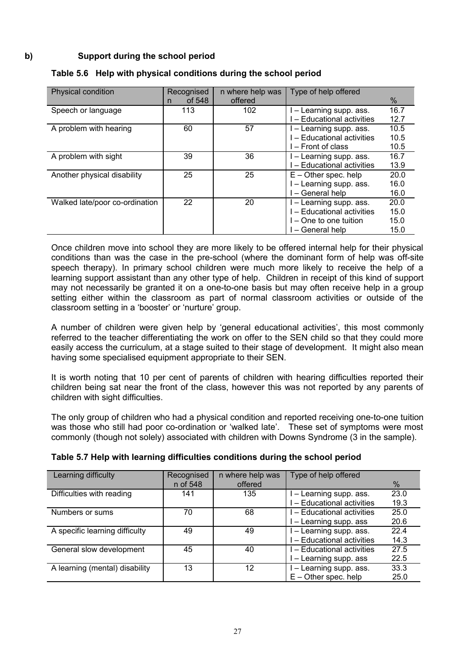# **b) Support during the school period**

| <b>Physical condition</b>      | Recognised  | n where help was | Type of help offered       |      |
|--------------------------------|-------------|------------------|----------------------------|------|
|                                | of 548<br>n | offered          |                            | %    |
| Speech or language             | 113         | 102              | - Learning supp. ass.      | 16.7 |
|                                |             |                  | - Educational activities   | 12.7 |
| A problem with hearing         | 60          | 57               | I – Learning supp. ass.    | 10.5 |
|                                |             |                  | - Educational activities   | 10.5 |
|                                |             |                  | l – Front of class         | 10.5 |
| A problem with sight           | 39          | 36               | l – Learning supp. ass.    | 16.7 |
|                                |             |                  | l – Educational activities | 13.9 |
| Another physical disability    | 25          | 25               | $E -$ Other spec. help     | 20.0 |
|                                |             |                  | - Learning supp. ass.      | 16.0 |
|                                |             |                  | - General help             | 16.0 |
| Walked late/poor co-ordination | 22          | 20               | - Learning supp. ass.      | 20.0 |
|                                |             |                  | - Educational activities   | 15.0 |
|                                |             |                  | $-$ One to one tuition     | 15.0 |
|                                |             |                  | - General help             | 15.0 |

# **Table 5.6 Help with physical conditions during the school period**

Once children move into school they are more likely to be offered internal help for their physical conditions than was the case in the pre-school (where the dominant form of help was off-site speech therapy). In primary school children were much more likely to receive the help of a learning support assistant than any other type of help. Children in receipt of this kind of support may not necessarily be granted it on a one-to-one basis but may often receive help in a group setting either within the classroom as part of normal classroom activities or outside of the classroom setting in a 'booster' or 'nurture' group.

A number of children were given help by 'general educational activities', this most commonly referred to the teacher differentiating the work on offer to the SEN child so that they could more easily access the curriculum, at a stage suited to their stage of development. It might also mean having some specialised equipment appropriate to their SEN.

It is worth noting that 10 per cent of parents of children with hearing difficulties reported their children being sat near the front of the class, however this was not reported by any parents of children with sight difficulties.

The only group of children who had a physical condition and reported receiving one-to-one tuition was those who still had poor co-ordination or 'walked late'. These set of symptoms were most commonly (though not solely) associated with children with Downs Syndrome (3 in the sample).

| Learning difficulty            | Recognised | n where help was | Type of help offered       |      |
|--------------------------------|------------|------------------|----------------------------|------|
|                                | n of 548   | offered          |                            | %    |
| Difficulties with reading      | 141        | 135              | I-Learning supp. ass.      | 23.0 |
|                                |            |                  | - Educational activities   | 19.3 |
| Numbers or sums                | 70         | 68               | I - Educational activities | 25.0 |
|                                |            |                  | - Learning supp. ass       | 20.6 |
| A specific learning difficulty | 49         | 49               | I - Learning supp. ass.    | 22.4 |
|                                |            |                  | - Educational activities   | 14.3 |
| General slow development       | 45         | 40               | I - Educational activities | 27.5 |
|                                |            |                  | - Learning supp. ass       | 22.5 |
| A learning (mental) disability | 13         | 12               | - Learning supp. ass.      | 33.3 |
|                                |            |                  | $E -$ Other spec. help     | 25.0 |

# **Table 5.7 Help with learning difficulties conditions during the school period**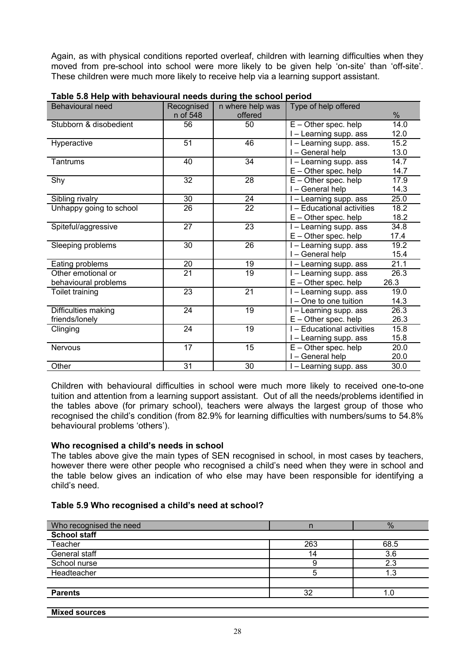Again, as with physical conditions reported overleaf, children with learning difficulties when they moved from pre-school into school were more likely to be given help 'on-site' than 'off-site'. These children were much more likely to receive help via a learning support assistant.

| <b>Behavioural need</b> | Recognised      | n where help was | Type of help offered       |      |
|-------------------------|-----------------|------------------|----------------------------|------|
|                         | n of 548        | offered          |                            | %    |
| Stubborn & disobedient  | 56              | 50               | $E -$ Other spec. help     | 14.0 |
|                         |                 |                  | I - Learning supp. ass     | 12.0 |
| Hyperactive             | 51              | 46               | I - Learning supp. ass.    | 15.2 |
|                         |                 |                  | I – General help           | 13.0 |
| Tantrums                | 40              | 34               | I - Learning supp. ass     | 14.7 |
|                         |                 |                  | $E -$ Other spec. help     | 14.7 |
| Shy                     | 32              | 28               | $E -$ Other spec. help     | 17.9 |
|                         |                 |                  | I - General help           | 14.3 |
| Sibling rivalry         | 30              | 24               | I - Learning supp. ass     | 25.0 |
| Unhappy going to school | 26              | 22               | I - Educational activities | 18.2 |
|                         |                 |                  | $E -$ Other spec. help     | 18.2 |
| Spiteful/aggressive     | 27              | 23               | I - Learning supp. ass     | 34.8 |
|                         |                 |                  | $E -$ Other spec. help     | 17.4 |
| Sleeping problems       | 30              | 26               | I - Learning supp. ass     | 19.2 |
|                         |                 |                  | I - General help           | 15.4 |
| Eating problems         | 20              | 19               | I-Learning supp. ass       | 21.1 |
| Other emotional or      | $\overline{21}$ | 19               | I - Learning supp. ass     | 26.3 |
| behavioural problems    |                 |                  | $E -$ Other spec. help     | 26.3 |
| Toilet training         | 23              | 21               | I - Learning supp. ass     | 19.0 |
|                         |                 |                  | I - One to one tuition     | 14.3 |
| Difficulties making     | 24              | 19               | I - Learning supp. ass     | 26.3 |
| friends/lonely          |                 |                  | $E -$ Other spec. help     | 26.3 |
| Clinging                | 24              | 19               | I - Educational activities | 15.8 |
|                         |                 |                  | I - Learning supp. ass     | 15.8 |
| <b>Nervous</b>          | 17              | 15               | $E -$ Other spec. help     | 20.0 |
|                         |                 |                  | I-General help             | 20.0 |
| Other                   | 31              | 30               | I - Learning supp. ass     | 30.0 |

| Table 5.8 Help with behavioural needs during the school period |  |  |  |  |  |
|----------------------------------------------------------------|--|--|--|--|--|
|----------------------------------------------------------------|--|--|--|--|--|

Children with behavioural difficulties in school were much more likely to received one-to-one tuition and attention from a learning support assistant. Out of all the needs/problems identified in the tables above (for primary school), teachers were always the largest group of those who recognised the child's condition (from 82.9% for learning difficulties with numbers/sums to 54.8% behavioural problems 'others').

# **Who recognised a child's needs in school**

The tables above give the main types of SEN recognised in school, in most cases by teachers, however there were other people who recognised a child's need when they were in school and the table below gives an indication of who else may have been responsible for identifying a child's need.

# **Table 5.9 Who recognised a child's need at school?**

| Who recognised the need |     | %    |
|-------------------------|-----|------|
| <b>School staff</b>     |     |      |
| Teacher                 | 263 | 68.5 |
| General staff           | 14  | 3.6  |
| School nurse            |     | 2.3  |
| Headteacher             |     | . .3 |
|                         |     |      |
| <b>Parents</b>          | 32  |      |
|                         |     |      |

**Mixed sources**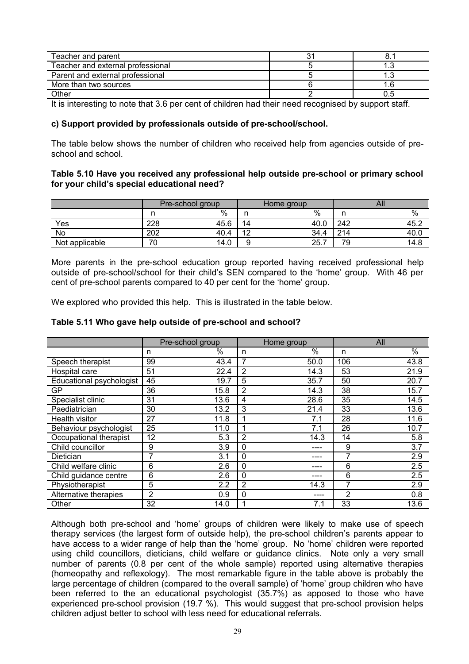| Teacher and parent                |  |
|-----------------------------------|--|
| Teacher and external professional |  |
| Parent and external professional  |  |
| More than two sources             |  |
| Other                             |  |

It is interesting to note that 3.6 per cent of children had their need recognised by support staff.

#### **c) Support provided by professionals outside of pre-school/school.**

The table below shows the number of children who received help from agencies outside of preschool and school.

#### **Table 5.10 Have you received any professional help outside pre-school or primary school for your child's special educational need?**

|                | Pre-school group |      |                      | Home group |     | All |      |
|----------------|------------------|------|----------------------|------------|-----|-----|------|
|                |                  | %    |                      | $\%$       |     |     | %    |
| Yes            | 228              | 45.6 | 14                   | 40.0       | 242 |     | 45.2 |
| No             | 202              | 40.4 | $\overline{10}$<br>- | 34.4<br>4  | 214 |     | 40.0 |
| Not applicable | 70               | 14.0 |                      | 25.1<br>–  | 79  |     | 14.8 |

More parents in the pre-school education group reported having received professional help outside of pre-school/school for their child's SEN compared to the 'home' group. With 46 per cent of pre-school parents compared to 40 per cent for the 'home' group.

We explored who provided this help. This is illustrated in the table below.

#### **Table 5.11 Who gave help outside of pre-school and school?**

|                          | Pre-school group |      |                | Home group    |     | All  |  |
|--------------------------|------------------|------|----------------|---------------|-----|------|--|
|                          | n                | $\%$ | n              | $\frac{1}{2}$ | n   | $\%$ |  |
| Speech therapist         | 99               | 43.4 | 7              | 50.0          | 106 | 43.8 |  |
| Hospital care            | 51               | 22.4 | 2              | 14.3          | 53  | 21.9 |  |
| Educational psychologist | 45               | 19.7 | 5              | 35.7          | 50  | 20.7 |  |
| GP                       | 36               | 15.8 | $\overline{2}$ | 14.3          | 38  | 15.7 |  |
| Specialist clinic        | 31               | 13.6 | $\overline{4}$ | 28.6          | 35  | 14.5 |  |
| Paediatrician            | 30               | 13.2 | 3              | 21.4          | 33  | 13.6 |  |
| Health visitor           | 27               | 11.8 | 1              | 7.1           | 28  | 11.6 |  |
| Behaviour psychologist   | 25               | 11.0 | 1              | 7.1           | 26  | 10.7 |  |
| Occupational therapist   | 12               | 5.3  | $\overline{2}$ | 14.3          | 14  | 5.8  |  |
| Child councillor         | 9                | 3.9  | $\Omega$       |               | 9   | 3.7  |  |
| Dietician                | 7                | 3.1  | $\Omega$       |               |     | 2.9  |  |
| Child welfare clinic     | 6                | 2.6  | 0              |               | 6   | 2.5  |  |
| Child guidance centre    | 6                | 2.6  | 0              |               | 6   | 2.5  |  |
| Physiotherapist          | 5                | 2.2  | $\overline{2}$ | 14.3          | 7   | 2.9  |  |
| Alternative therapies    | $\overline{2}$   | 0.9  | $\Omega$       |               | 2   | 0.8  |  |
| Other                    | 32               | 14.0 |                | 7.1           | 33  | 13.6 |  |

Although both pre-school and 'home' groups of children were likely to make use of speech therapy services (the largest form of outside help), the pre-school children's parents appear to have access to a wider range of help than the 'home' group. No 'home' children were reported using child councillors, dieticians, child welfare or guidance clinics. Note only a very small number of parents (0.8 per cent of the whole sample) reported using alternative therapies (homeopathy and reflexology). The most remarkable figure in the table above is probably the large percentage of children (compared to the overall sample) of 'home' group children who have been referred to the an educational psychologist (35.7%) as apposed to those who have experienced pre-school provision (19.7 %). This would suggest that pre-school provision helps children adjust better to school with less need for educational referrals.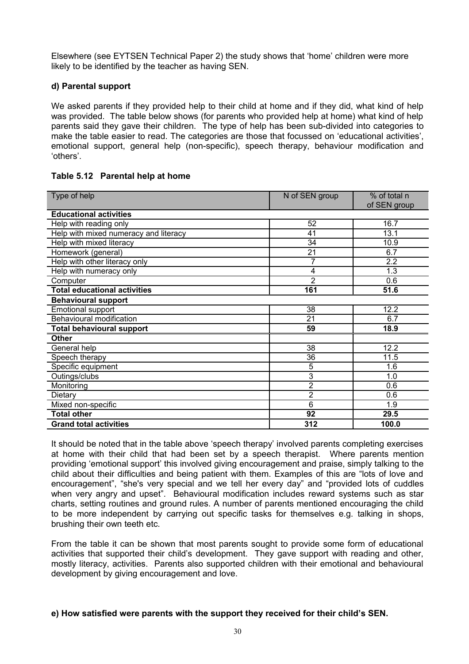Elsewhere (see EYTSEN Technical Paper 2) the study shows that 'home' children were more likely to be identified by the teacher as having SEN.

#### **d) Parental support**

We asked parents if they provided help to their child at home and if they did, what kind of help was provided. The table below shows (for parents who provided help at home) what kind of help parents said they gave their children. The type of help has been sub-divided into categories to make the table easier to read. The categories are those that focussed on 'educational activities', emotional support, general help (non-specific), speech therapy, behaviour modification and 'others'.

#### **Table 5.12 Parental help at home**

| Type of help                          | N of SEN group | % of total n<br>of SEN group |
|---------------------------------------|----------------|------------------------------|
| <b>Educational activities</b>         |                |                              |
| Help with reading only                | 52             | 16.7                         |
| Help with mixed numeracy and literacy | 41             | 13.1                         |
| Help with mixed literacy              | 34             | 10.9                         |
| Homework (general)                    | 21             | 6.7                          |
| Help with other literacy only         | 7              | 2.2                          |
| Help with numeracy only               | 4              | 1.3                          |
| Computer                              | $\overline{2}$ | 0.6                          |
| <b>Total educational activities</b>   | 161            | 51.6                         |
| <b>Behavioural support</b>            |                |                              |
| Emotional support                     | 38             | 12.2                         |
| Behavioural modification              | 21             | 6.7                          |
| <b>Total behavioural support</b>      | 59             | 18.9                         |
| <b>Other</b>                          |                |                              |
| General help                          | 38             | 12.2                         |
| Speech therapy                        | 36             | 11.5                         |
| Specific equipment                    | 5              | 1.6                          |
| Outings/clubs                         | 3              | 1.0                          |
| Monitoring                            | 2              | 0.6                          |
| Dietary                               | 2              | 0.6                          |
| Mixed non-specific                    | 6              | 1.9                          |
| <b>Total other</b>                    | 92             | 29.5                         |
| <b>Grand total activities</b>         | 312            | 100.0                        |

It should be noted that in the table above 'speech therapy' involved parents completing exercises at home with their child that had been set by a speech therapist. Where parents mention providing 'emotional support' this involved giving encouragement and praise, simply talking to the child about their difficulties and being patient with them. Examples of this are "lots of love and encouragement", "she's very special and we tell her every day" and "provided lots of cuddles when very angry and upset". Behavioural modification includes reward systems such as star charts, setting routines and ground rules. A number of parents mentioned encouraging the child to be more independent by carrying out specific tasks for themselves e.g. talking in shops, brushing their own teeth etc.

From the table it can be shown that most parents sought to provide some form of educational activities that supported their child's development. They gave support with reading and other, mostly literacy, activities. Parents also supported children with their emotional and behavioural development by giving encouragement and love.

#### **e) How satisfied were parents with the support they received for their child's SEN.**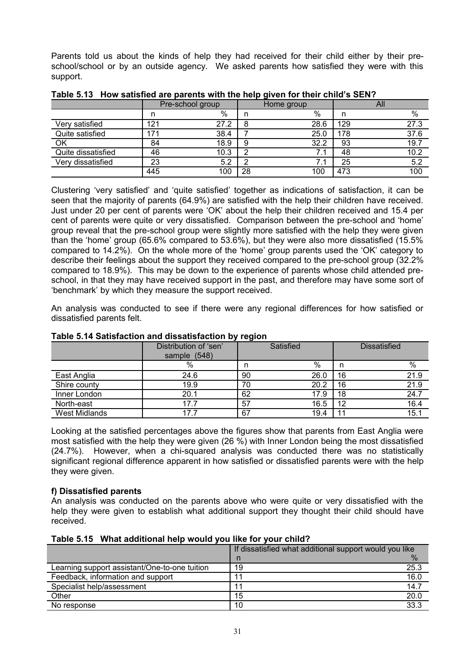Parents told us about the kinds of help they had received for their child either by their preschool/school or by an outside agency. We asked parents how satisfied they were with this support.

|                    | Pre-school group |      | Home group |                          | All |      |
|--------------------|------------------|------|------------|--------------------------|-----|------|
|                    | n                | %    | n          | $\%$                     |     | %    |
| satisfied<br>Verv  | 121              | 27.2 | 8          | 28.6                     | 129 | 27.3 |
| Quite satisfied    | 171              | 38.4 |            | 25.0                     | 178 | 37.6 |
| OK                 | 84               | 18.9 | 9          | 32.2                     | 93  | 19.7 |
| Quite dissatisfied | 46               | 10.3 | ົ          | $\overline{\phantom{a}}$ | 48  | 10.2 |
| Very dissatisfied  | 23               | 5.2  | ີ          | 71                       | 25  | 5.2  |
|                    | 445              | 100  | 28         | 100                      | 473 | 100  |

**Table 5.13 How satisfied are parents with the help given for their child's SEN?** 

Clustering 'very satisfied' and 'quite satisfied' together as indications of satisfaction, it can be seen that the majority of parents (64.9%) are satisfied with the help their children have received. Just under 20 per cent of parents were 'OK' about the help their children received and 15.4 per cent of parents were quite or very dissatisfied. Comparison between the pre-school and 'home' group reveal that the pre-school group were slightly more satisfied with the help they were given than the 'home' group (65.6% compared to 53.6%), but they were also more dissatisfied (15.5% compared to 14.2%). On the whole more of the 'home' group parents used the 'OK' category to describe their feelings about the support they received compared to the pre-school group (32.2% compared to 18.9%). This may be down to the experience of parents whose child attended preschool, in that they may have received support in the past, and therefore may have some sort of 'benchmark' by which they measure the support received.

An analysis was conducted to see if there were any regional differences for how satisfied or dissatisfied parents felt.

|                      | Distribution of 'sen'<br>sample (548) |    | Satisfied |    | <b>Dissatisfied</b> |
|----------------------|---------------------------------------|----|-----------|----|---------------------|
|                      | %                                     | n  | %         | n  | %                   |
| East Anglia          | 24.6                                  | 90 | 26.0      | 16 | 21.9                |
| Shire county         | 19.9                                  | 70 | 20.2      | 16 | 21.9                |
| Inner London         | 20.1                                  | 62 | 17.9      | 18 | 24.7                |
| North-east           | 17.7                                  | 57 | 16.5      | 12 | 16.4                |
| <b>West Midlands</b> | 17.7                                  | 67 | 19.4      | 11 | 15.1                |

# **Table 5.14 Satisfaction and dissatisfaction by region**

Looking at the satisfied percentages above the figures show that parents from East Anglia were most satisfied with the help they were given (26 %) with Inner London being the most dissatisfied (24.7%). However, when a chi-squared analysis was conducted there was no statistically significant regional difference apparent in how satisfied or dissatisfied parents were with the help they were given.

# **f) Dissatisfied parents**

An analysis was conducted on the parents above who were quite or very dissatisfied with the help they were given to establish what additional support they thought their child should have received.

|                                               | If dissatisfied what additional support would you like |
|-----------------------------------------------|--------------------------------------------------------|
|                                               | ℅<br>n                                                 |
| Learning support assistant/One-to-one tuition | 25.3<br>19                                             |
| Feedback, information and support             | 16.0                                                   |
| Specialist help/assessment                    | 14.7                                                   |
| Other                                         | 20.0<br>15                                             |
| No response                                   | 33.3<br>10                                             |

**Table 5.15 What additional help would you like for your child?**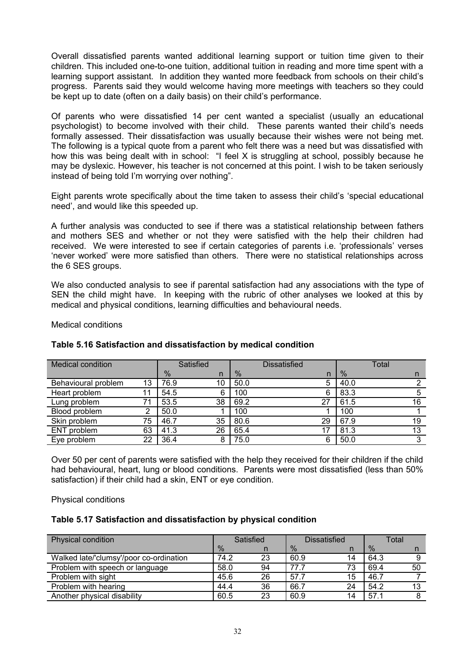Overall dissatisfied parents wanted additional learning support or tuition time given to their children. This included one-to-one tuition, additional tuition in reading and more time spent with a learning support assistant. In addition they wanted more feedback from schools on their child's progress. Parents said they would welcome having more meetings with teachers so they could be kept up to date (often on a daily basis) on their child's performance.

Of parents who were dissatisfied 14 per cent wanted a specialist (usually an educational psychologist) to become involved with their child. These parents wanted their child's needs formally assessed. Their dissatisfaction was usually because their wishes were not being met. The following is a typical quote from a parent who felt there was a need but was dissatisfied with how this was being dealt with in school: "I feel X is struggling at school, possibly because he may be dyslexic. However, his teacher is not concerned at this point. I wish to be taken seriously instead of being told I'm worrying over nothing".

Eight parents wrote specifically about the time taken to assess their child's 'special educational need', and would like this speeded up.

A further analysis was conducted to see if there was a statistical relationship between fathers and mothers SES and whether or not they were satisfied with the help their children had received. We were interested to see if certain categories of parents i.e. 'professionals' verses 'never worked' were more satisfied than others. There were no statistical relationships across the 6 SES groups.

We also conducted analysis to see if parental satisfaction had any associations with the type of SEN the child might have. In keeping with the rubric of other analyses we looked at this by medical and physical conditions, learning difficulties and behavioural needs.

Medical conditions

| <b>Medical condition</b> |     |               | Satisfied    |      | Dissatisfied |      | Total |
|--------------------------|-----|---------------|--------------|------|--------------|------|-------|
|                          |     | $\frac{9}{6}$ | $\mathsf{n}$ | %    | n            | %    | n     |
| Behavioural problem      | 13  | 76.9          | 10           | 50.0 | 5            | 40.0 |       |
| Heart problem            | 11  | 54.5          | 6            | 100  | 6            | 83.3 |       |
| Lung problem             | 71. | 53.5          | 38           | 69.2 | 27           | 61.5 | 16    |
| Blood problem            | ∩   | 50.0          |              | 100  |              | 100  |       |
| Skin problem             | 75  | 46.7          | 35           | 80.6 | 29           | 67.9 | 19    |
| ENT problem              | 63  | 41.3          | 26           | 65.4 |              | 81.3 | 13    |
| Eye problem              | 22  | 36.4          | 8            | 75.0 | 6            | 50.0 | 3     |

# **Table 5.16 Satisfaction and dissatisfaction by medical condition**

Over 50 per cent of parents were satisfied with the help they received for their children if the child had behavioural, heart, lung or blood conditions. Parents were most dissatisfied (less than 50% satisfaction) if their child had a skin, ENT or eye condition.

Physical conditions

# **Table 5.17 Satisfaction and dissatisfaction by physical condition**

| Physical condition                      | Satisfied |    | <b>Dissatisfied</b> |    | Total |    |
|-----------------------------------------|-----------|----|---------------------|----|-------|----|
|                                         | $\%$      |    | $\%$                |    | $\%$  |    |
| Walked late/'clumsy'/poor co-ordination | 74.2      | 23 | 60.9                | 14 | 64.3  |    |
| Problem with speech or language         | 58.0      | 94 | 77.7                | 73 | 69.4  | 50 |
| Problem with sight                      | 45.6      | 26 | 57.7                | 15 | 46.7  |    |
| Problem with hearing                    | 44.4      | 36 | 66.7                | 24 | 54.2  | 13 |
| Another physical disability             | 60.5      | 23 | 60.9                | 14 | 57.1  |    |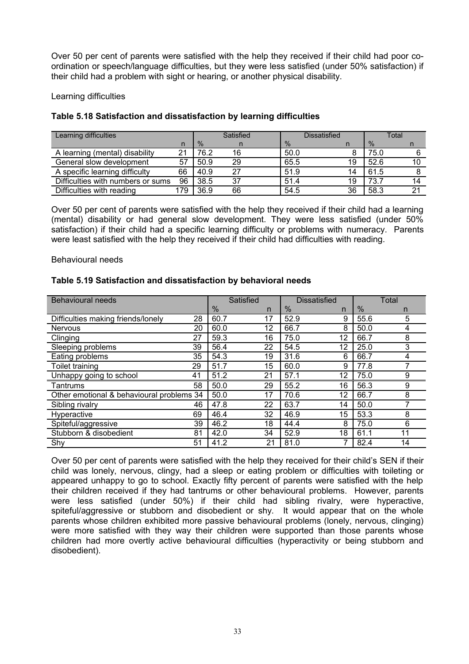Over 50 per cent of parents were satisfied with the help they received if their child had poor coordination or speech/language difficulties, but they were less satisfied (under 50% satisfaction) if their child had a problem with sight or hearing, or another physical disability.

#### Learning difficulties

| Learning difficulties             | Satisfied<br>Dissatisfied |      | Total |      |    |      |    |
|-----------------------------------|---------------------------|------|-------|------|----|------|----|
|                                   | n                         | $\%$ |       | $\%$ |    | $\%$ |    |
| A learning (mental) disability    | 21                        | 76.2 | 16    | 50.0 |    | 75.0 |    |
| General slow development          | 57                        | 50.9 | 29    | 65.5 | 19 | 52.6 | 10 |
| A specific learning difficulty    | 66                        | 40.9 | 27    | 51.9 | 14 | 61.5 |    |
| Difficulties with numbers or sums | 96                        | 38.5 | 37    | 51.4 | 19 | 73.7 | 14 |
| Difficulties with reading         | 179                       | 36.9 | 66    | 54.5 | 36 | 58.3 | n, |

# **Table 5.18 Satisfaction and dissatisfaction by learning difficulties**

Over 50 per cent of parents were satisfied with the help they received if their child had a learning (mental) disability or had general slow development. They were less satisfied (under 50% satisfaction) if their child had a specific learning difficulty or problems with numeracy. Parents were least satisfied with the help they received if their child had difficulties with reading.

# Behavioural needs

# **Table 5.19 Satisfaction and dissatisfaction by behavioral needs**

| <b>Behavioural needs</b>                  |    | Satisfied |    | <b>Dissatisfied</b> |    | Total         |    |
|-------------------------------------------|----|-----------|----|---------------------|----|---------------|----|
|                                           |    | $\%$      | n  | $\frac{0}{6}$       | n  | $\frac{0}{6}$ | n. |
| Difficulties making friends/lonely        | 28 | 60.7      | 17 | 52.9                | 9  | 55.6          | 5  |
| <b>Nervous</b>                            | 20 | 60.0      | 12 | 66.7                | 8  | 50.0          | 4  |
| Clinging                                  | 27 | 59.3      | 16 | 75.0                | 12 | 66.7          | 8  |
| Sleeping problems                         | 39 | 56.4      | 22 | 54.5                | 12 | 25.0          | 3  |
| Eating problems                           | 35 | 54.3      | 19 | 31.6                | 6  | 66.7          | 4  |
| Toilet training                           | 29 | 51.7      | 15 | 60.0                | 9  | 77.8          |    |
| Unhappy going to school                   | 41 | 51.2      | 21 | 57.1                | 12 | 75.0          | 9  |
| Tantrums                                  | 58 | 50.0      | 29 | 55.2                | 16 | 56.3          | 9  |
| Other emotional & behavioural problems 34 |    | 50.0      | 17 | 70.6                | 12 | 66.7          | 8  |
| Sibling rivalry                           | 46 | 47.8      | 22 | 63.7                | 14 | 50.0          |    |
| Hyperactive                               | 69 | 46.4      | 32 | 46.9                | 15 | 53.3          | 8  |
| Spiteful/aggressive                       | 39 | 46.2      | 18 | 44.4                | 8  | 75.0          | 6  |
| Stubborn & disobedient                    | 81 | 42.0      | 34 | 52.9                | 18 | 61.1          | 11 |
| Shy                                       | 51 | 41.2      | 21 | 81.0                |    | 82.4          | 14 |

Over 50 per cent of parents were satisfied with the help they received for their child's SEN if their child was lonely, nervous, clingy, had a sleep or eating problem or difficulties with toileting or appeared unhappy to go to school. Exactly fifty percent of parents were satisfied with the help their children received if they had tantrums or other behavioural problems. However, parents were less satisfied (under 50%) if their child had sibling rivalry, were hyperactive, spiteful/aggressive or stubborn and disobedient or shy. It would appear that on the whole parents whose children exhibited more passive behavioural problems (lonely, nervous, clinging) were more satisfied with they way their children were supported than those parents whose children had more overtly active behavioural difficulties (hyperactivity or being stubborn and disobedient).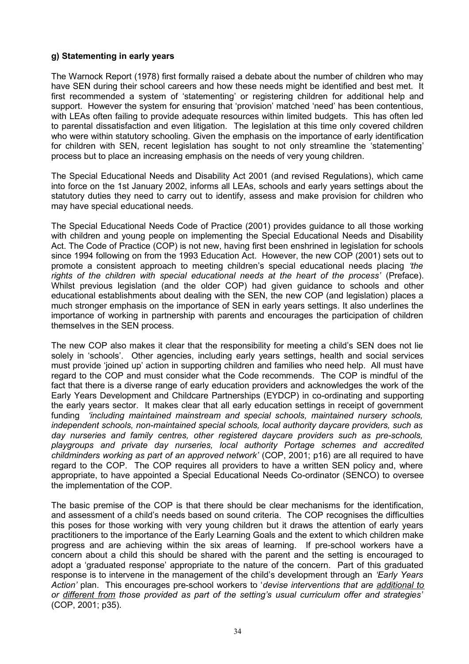#### **g) Statementing in early years**

The Warnock Report (1978) first formally raised a debate about the number of children who may have SEN during their school careers and how these needs might be identified and best met. It first recommended a system of 'statementing' or registering children for additional help and support. However the system for ensuring that 'provision' matched 'need' has been contentious, with LEAs often failing to provide adequate resources within limited budgets. This has often led to parental dissatisfaction and even litigation. The legislation at this time only covered children who were within statutory schooling. Given the emphasis on the importance of early identification for children with SEN, recent legislation has sought to not only streamline the 'statementing' process but to place an increasing emphasis on the needs of very young children.

The Special Educational Needs and Disability Act 2001 (and revised Regulations), which came into force on the 1st January 2002, informs all LEAs, schools and early years settings about the statutory duties they need to carry out to identify, assess and make provision for children who may have special educational needs.

The Special Educational Needs Code of Practice (2001) provides guidance to all those working with children and young people on implementing the Special Educational Needs and Disability Act. The Code of Practice (COP) is not new, having first been enshrined in legislation for schools since 1994 following on from the 1993 Education Act. However, the new COP (2001) sets out to promote a consistent approach to meeting children's special educational needs placing *'the rights of the children with special educational needs at the heart of the process'* (Preface). Whilst previous legislation (and the older COP) had given guidance to schools and other educational establishments about dealing with the SEN, the new COP (and legislation) places a much stronger emphasis on the importance of SEN in early years settings. It also underlines the importance of working in partnership with parents and encourages the participation of children themselves in the SEN process.

The new COP also makes it clear that the responsibility for meeting a child's SEN does not lie solely in 'schools'. Other agencies, including early years settings, health and social services must provide 'joined up' action in supporting children and families who need help. All must have regard to the COP and must consider what the Code recommends. The COP is mindful of the fact that there is a diverse range of early education providers and acknowledges the work of the Early Years Development and Childcare Partnerships (EYDCP) in co-ordinating and supporting the early years sector. It makes clear that all early education settings in receipt of government funding *'including maintained mainstream and special schools, maintained nursery schools, independent schools, non-maintained special schools, local authority daycare providers, such as day nurseries and family centres, other registered daycare providers such as pre-schools, playgroups and private day nurseries, local authority Portage schemes and accredited childminders working as part of an approved network'* (COP, 2001; p16) are all required to have regard to the COP. The COP requires all providers to have a written SEN policy and, where appropriate, to have appointed a Special Educational Needs Co-ordinator (SENCO) to oversee the implementation of the COP.

The basic premise of the COP is that there should be clear mechanisms for the identification, and assessment of a child's needs based on sound criteria. The COP recognises the difficulties this poses for those working with very young children but it draws the attention of early years practitioners to the importance of the Early Learning Goals and the extent to which children make progress and are achieving within the six areas of learning. If pre-school workers have a concern about a child this should be shared with the parent and the setting is encouraged to adopt a 'graduated response' appropriate to the nature of the concern. Part of this graduated response is to intervene in the management of the child's development through an *'Early Years Action'* plan. This encourages pre-school workers to '*devise interventions that are additional to or different from those provided as part of the setting's usual curriculum offer and strategies'* (COP, 2001; p35).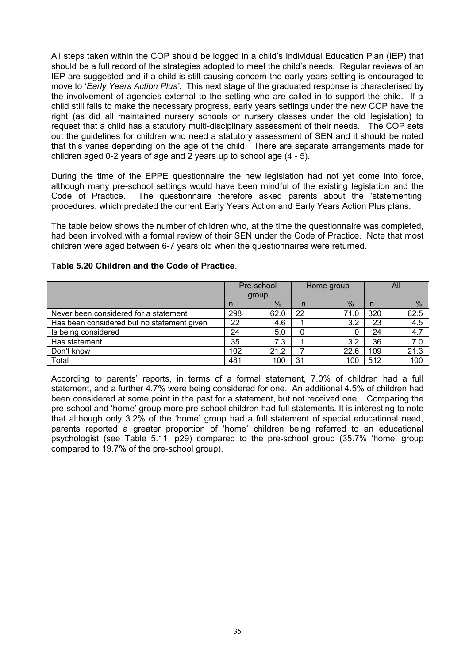All steps taken within the COP should be logged in a child's Individual Education Plan (IEP) that should be a full record of the strategies adopted to meet the child's needs. Regular reviews of an IEP are suggested and if a child is still causing concern the early years setting is encouraged to move to '*Early Years Action Plus'*. This next stage of the graduated response is characterised by the involvement of agencies external to the setting who are called in to support the child. If a child still fails to make the necessary progress, early years settings under the new COP have the right (as did all maintained nursery schools or nursery classes under the old legislation) to request that a child has a statutory multi-disciplinary assessment of their needs. The COP sets out the guidelines for children who need a statutory assessment of SEN and it should be noted that this varies depending on the age of the child. There are separate arrangements made for children aged 0-2 years of age and 2 years up to school age (4 - 5).

During the time of the EPPE questionnaire the new legislation had not yet come into force, although many pre-school settings would have been mindful of the existing legislation and the Code of Practice. The questionnaire therefore asked parents about the 'statementing' procedures, which predated the current Early Years Action and Early Years Action Plus plans.

The table below shows the number of children who, at the time the questionnaire was completed, had been involved with a formal review of their SEN under the Code of Practice. Note that most children were aged between 6-7 years old when the questionnaires were returned.

|                                            | Pre-school |      | Home group |               | All |      |
|--------------------------------------------|------------|------|------------|---------------|-----|------|
|                                            | group      |      |            |               |     |      |
|                                            | n          | $\%$ | n          | $\frac{0}{6}$ | n   | %    |
| Never been considered for a statement      | 298        | 62.0 | 22         | 71.0          | 320 | 62.5 |
| Has been considered but no statement given | 22         | 4.6  |            | 3.2           | 23  | 4.5  |
| Is being considered                        | 24         | 5.0  |            | U             | 24  | 4.7  |
| Has statement                              | 35         | 7.3  |            | 3.2           | 36  | 7.0  |
| Don't know                                 | 102        | 21.2 |            | 22.6          | 109 | 21.3 |
| Total                                      | 481        | 100  | 31         | 100           | 512 | 100  |

#### **Table 5.20 Children and the Code of Practice**.

According to parents' reports, in terms of a formal statement, 7.0% of children had a full statement, and a further 4.7% were being considered for one. An additional 4.5% of children had been considered at some point in the past for a statement, but not received one. Comparing the pre-school and 'home' group more pre-school children had full statements. It is interesting to note that although only 3.2% of the 'home' group had a full statement of special educational need, parents reported a greater proportion of 'home' children being referred to an educational psychologist (see Table 5.11, p29) compared to the pre-school group (35.7% 'home' group compared to 19.7% of the pre-school group).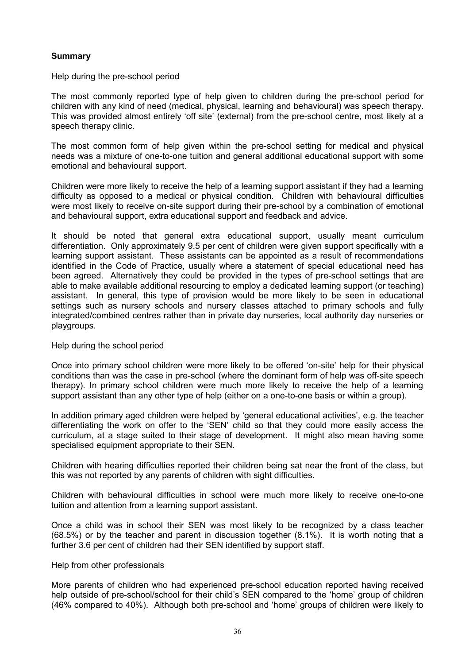# **Summary**

Help during the pre-school period

The most commonly reported type of help given to children during the pre-school period for children with any kind of need (medical, physical, learning and behavioural) was speech therapy. This was provided almost entirely 'off site' (external) from the pre-school centre, most likely at a speech therapy clinic.

The most common form of help given within the pre-school setting for medical and physical needs was a mixture of one-to-one tuition and general additional educational support with some emotional and behavioural support.

Children were more likely to receive the help of a learning support assistant if they had a learning difficulty as opposed to a medical or physical condition. Children with behavioural difficulties were most likely to receive on-site support during their pre-school by a combination of emotional and behavioural support, extra educational support and feedback and advice.

It should be noted that general extra educational support, usually meant curriculum differentiation. Only approximately 9.5 per cent of children were given support specifically with a learning support assistant. These assistants can be appointed as a result of recommendations identified in the Code of Practice, usually where a statement of special educational need has been agreed. Alternatively they could be provided in the types of pre-school settings that are able to make available additional resourcing to employ a dedicated learning support (or teaching) assistant. In general, this type of provision would be more likely to be seen in educational settings such as nursery schools and nursery classes attached to primary schools and fully integrated/combined centres rather than in private day nurseries, local authority day nurseries or playgroups.

#### Help during the school period

Once into primary school children were more likely to be offered 'on-site' help for their physical conditions than was the case in pre-school (where the dominant form of help was off-site speech therapy). In primary school children were much more likely to receive the help of a learning support assistant than any other type of help (either on a one-to-one basis or within a group).

In addition primary aged children were helped by 'general educational activities', e.g. the teacher differentiating the work on offer to the 'SEN' child so that they could more easily access the curriculum, at a stage suited to their stage of development. It might also mean having some specialised equipment appropriate to their SEN.

Children with hearing difficulties reported their children being sat near the front of the class, but this was not reported by any parents of children with sight difficulties.

Children with behavioural difficulties in school were much more likely to receive one-to-one tuition and attention from a learning support assistant.

Once a child was in school their SEN was most likely to be recognized by a class teacher (68.5%) or by the teacher and parent in discussion together (8.1%). It is worth noting that a further 3.6 per cent of children had their SEN identified by support staff.

#### Help from other professionals

More parents of children who had experienced pre-school education reported having received help outside of pre-school/school for their child's SEN compared to the 'home' group of children (46% compared to 40%). Although both pre-school and 'home' groups of children were likely to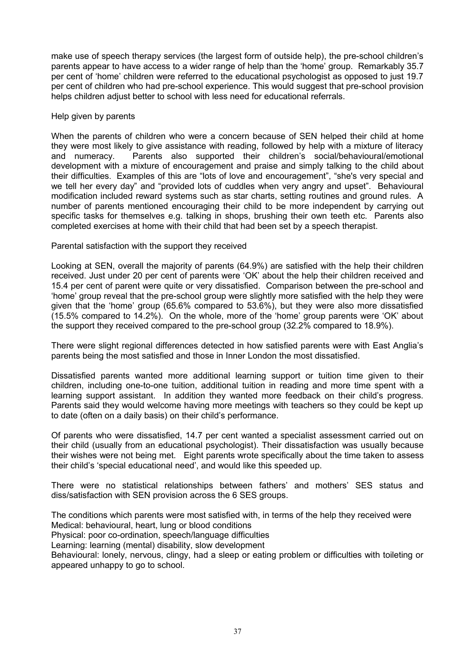make use of speech therapy services (the largest form of outside help), the pre-school children's parents appear to have access to a wider range of help than the 'home' group. Remarkably 35.7 per cent of 'home' children were referred to the educational psychologist as opposed to just 19.7 per cent of children who had pre-school experience. This would suggest that pre-school provision helps children adjust better to school with less need for educational referrals.

#### Help given by parents

When the parents of children who were a concern because of SEN helped their child at home they were most likely to give assistance with reading, followed by help with a mixture of literacy and numeracy. Parents also supported their children's social/behavioural/emotional development with a mixture of encouragement and praise and simply talking to the child about their difficulties. Examples of this are "lots of love and encouragement", "she's very special and we tell her every day" and "provided lots of cuddles when very angry and upset". Behavioural modification included reward systems such as star charts, setting routines and ground rules. A number of parents mentioned encouraging their child to be more independent by carrying out specific tasks for themselves e.g. talking in shops, brushing their own teeth etc. Parents also completed exercises at home with their child that had been set by a speech therapist.

#### Parental satisfaction with the support they received

Looking at SEN, overall the majority of parents (64.9%) are satisfied with the help their children received. Just under 20 per cent of parents were 'OK' about the help their children received and 15.4 per cent of parent were quite or very dissatisfied. Comparison between the pre-school and 'home' group reveal that the pre-school group were slightly more satisfied with the help they were given that the 'home' group (65.6% compared to 53.6%), but they were also more dissatisfied (15.5% compared to 14.2%). On the whole, more of the 'home' group parents were 'OK' about the support they received compared to the pre-school group (32.2% compared to 18.9%).

There were slight regional differences detected in how satisfied parents were with East Anglia's parents being the most satisfied and those in Inner London the most dissatisfied.

Dissatisfied parents wanted more additional learning support or tuition time given to their children, including one-to-one tuition, additional tuition in reading and more time spent with a learning support assistant. In addition they wanted more feedback on their child's progress. Parents said they would welcome having more meetings with teachers so they could be kept up to date (often on a daily basis) on their child's performance.

Of parents who were dissatisfied, 14.7 per cent wanted a specialist assessment carried out on their child (usually from an educational psychologist). Their dissatisfaction was usually because their wishes were not being met. Eight parents wrote specifically about the time taken to assess their child's 'special educational need', and would like this speeded up.

There were no statistical relationships between fathers' and mothers' SES status and diss/satisfaction with SEN provision across the 6 SES groups.

The conditions which parents were most satisfied with, in terms of the help they received were Medical: behavioural, heart, lung or blood conditions

Physical: poor co-ordination, speech/language difficulties

Learning: learning (mental) disability, slow development

Behavioural: lonely, nervous, clingy, had a sleep or eating problem or difficulties with toileting or appeared unhappy to go to school.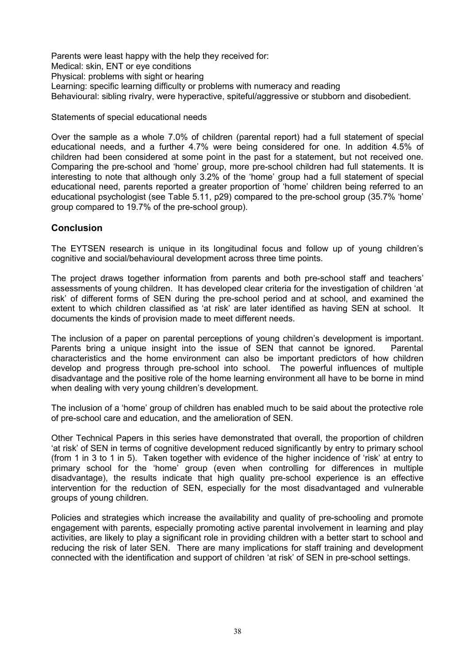Parents were least happy with the help they received for: Medical: skin, ENT or eye conditions Physical: problems with sight or hearing Learning: specific learning difficulty or problems with numeracy and reading Behavioural: sibling rivalry, were hyperactive, spiteful/aggressive or stubborn and disobedient.

Statements of special educational needs

Over the sample as a whole 7.0% of children (parental report) had a full statement of special educational needs, and a further 4.7% were being considered for one. In addition 4.5% of children had been considered at some point in the past for a statement, but not received one. Comparing the pre-school and 'home' group, more pre-school children had full statements. It is interesting to note that although only 3.2% of the 'home' group had a full statement of special educational need, parents reported a greater proportion of 'home' children being referred to an educational psychologist (see Table 5.11, p29) compared to the pre-school group (35.7% 'home' group compared to 19.7% of the pre-school group).

# **Conclusion**

The EYTSEN research is unique in its longitudinal focus and follow up of young children's cognitive and social/behavioural development across three time points.

The project draws together information from parents and both pre-school staff and teachers' assessments of young children. It has developed clear criteria for the investigation of children 'at risk' of different forms of SEN during the pre-school period and at school, and examined the extent to which children classified as 'at risk' are later identified as having SEN at school. It documents the kinds of provision made to meet different needs.

The inclusion of a paper on parental perceptions of young children's development is important. Parents bring a unique insight into the issue of SEN that cannot be ignored. Parental characteristics and the home environment can also be important predictors of how children develop and progress through pre-school into school. The powerful influences of multiple disadvantage and the positive role of the home learning environment all have to be borne in mind when dealing with very young children's development.

The inclusion of a 'home' group of children has enabled much to be said about the protective role of pre-school care and education, and the amelioration of SEN.

Other Technical Papers in this series have demonstrated that overall, the proportion of children 'at risk' of SEN in terms of cognitive development reduced significantly by entry to primary school (from 1 in 3 to 1 in 5). Taken together with evidence of the higher incidence of 'risk' at entry to primary school for the 'home' group (even when controlling for differences in multiple disadvantage), the results indicate that high quality pre-school experience is an effective intervention for the reduction of SEN, especially for the most disadvantaged and vulnerable groups of young children.

Policies and strategies which increase the availability and quality of pre-schooling and promote engagement with parents, especially promoting active parental involvement in learning and play activities, are likely to play a significant role in providing children with a better start to school and reducing the risk of later SEN. There are many implications for staff training and development connected with the identification and support of children 'at risk' of SEN in pre-school settings.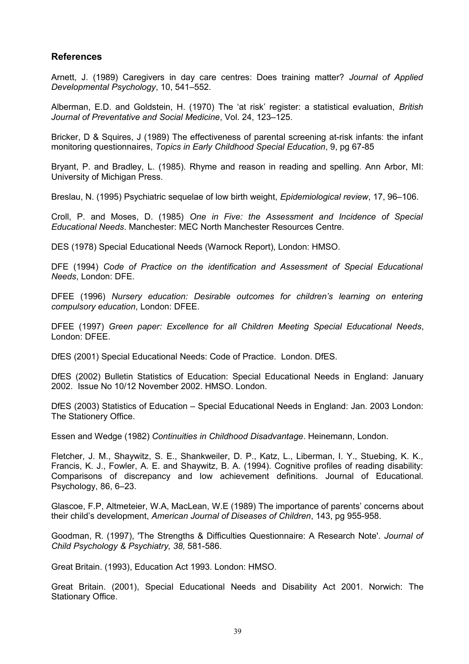# **References**

Arnett, J. (1989) Caregivers in day care centres: Does training matter? *Journal of Applied Developmental Psychology*, 10, 541–552.

Alberman, E.D. and Goldstein, H. (1970) The 'at risk' register: a statistical evaluation, *British Journal of Preventative and Social Medicine*, Vol. 24, 123–125.

Bricker, D & Squires, J (1989) The effectiveness of parental screening at-risk infants: the infant monitoring questionnaires, *Topics in Early Childhood Special Education*, 9, pg 67-85

Bryant, P. and Bradley, L. (1985). Rhyme and reason in reading and spelling. Ann Arbor, MI: University of Michigan Press.

Breslau, N. (1995) Psychiatric sequelae of low birth weight, *Epidemiological review*, 17, 96–106.

Croll, P. and Moses, D. (1985) *One in Five: the Assessment and Incidence of Special Educational Needs*. Manchester: MEC North Manchester Resources Centre.

DES (1978) Special Educational Needs (Warnock Report), London: HMSO.

DFE (1994) *Code of Practice on the identification and Assessment of Special Educational Needs*, London: DFE.

DFEE (1996) *Nursery education: Desirable outcomes for children's learning on entering compulsory education*, London: DFEE.

DFEE (1997) *Green paper: Excellence for all Children Meeting Special Educational Needs*, London: DFEE.

DfES (2001) Special Educational Needs: Code of Practice. London. DfES.

DfES (2002) Bulletin Statistics of Education: Special Educational Needs in England: January 2002. Issue No 10/12 November 2002. HMSO. London.

DfES (2003) Statistics of Education – Special Educational Needs in England: Jan. 2003 London: The Stationery Office.

Essen and Wedge (1982) *Continuities in Childhood Disadvantage*. Heinemann, London.

Fletcher, J. M., Shaywitz, S. E., Shankweiler, D. P., Katz, L., Liberman, I. Y., Stuebing, K. K., Francis, K. J., Fowler, A. E. and Shaywitz, B. A. (1994). Cognitive profiles of reading disability: Comparisons of discrepancy and low achievement definitions. Journal of Educational. Psychology, 86, 6–23.

Glascoe, F.P, Altmeteier, W.A, MacLean, W.E (1989) The importance of parents' concerns about their child's development, *American Journal of Diseases of Children*, 143, pg 955-958.

Goodman, R. (1997), 'The Strengths & Difficulties Questionnaire: A Research Note'. *Journal of Child Psychology & Psychiatry, 38,* 581-586.

Great Britain. (1993), Education Act 1993. London: HMSO.

Great Britain. (2001), Special Educational Needs and Disability Act 2001. Norwich: The Stationary Office.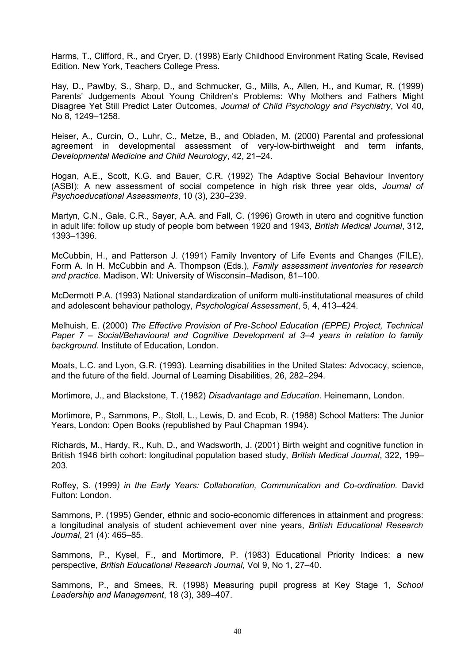Harms, T., Clifford, R., and Cryer, D. (1998) Early Childhood Environment Rating Scale, Revised Edition. New York, Teachers College Press.

Hay, D., Pawlby, S., Sharp, D., and Schmucker, G., Mills, A., Allen, H., and Kumar, R. (1999) Parents' Judgements About Young Children's Problems: Why Mothers and Fathers Might Disagree Yet Still Predict Later Outcomes, *Journal of Child Psychology and Psychiatry*, Vol 40, No 8, 1249–1258.

Heiser, A., Curcin, O., Luhr, C., Metze, B., and Obladen, M. (2000) Parental and professional agreement in developmental assessment of very-low-birthweight and term infants, *Developmental Medicine and Child Neurology*, 42, 21–24.

Hogan, A.E., Scott, K.G. and Bauer, C.R. (1992) The Adaptive Social Behaviour Inventory (ASBI): A new assessment of social competence in high risk three year olds, *Journal of Psychoeducational Assessments*, 10 (3), 230–239.

Martyn, C.N., Gale, C.R., Sayer, A.A. and Fall, C. (1996) Growth in utero and cognitive function in adult life: follow up study of people born between 1920 and 1943, *British Medical Journal*, 312, 1393–1396.

McCubbin, H., and Patterson J. (1991) Family Inventory of Life Events and Changes (FILE), Form A. In H. McCubbin and A. Thompson (Eds.), *Family assessment inventories for research and practice.* Madison, WI: University of Wisconsin–Madison, 81–100.

McDermott P.A. (1993) National standardization of uniform multi-institutational measures of child and adolescent behaviour pathology, *Psychological Assessment*, 5, 4, 413–424.

Melhuish, E. (2000) *The Effective Provision of Pre-School Education (EPPE) Project, Technical Paper 7 – Social/Behavioural and Cognitive Development at 3–4 years in relation to family background*. Institute of Education, London.

Moats, L.C. and Lyon, G.R. (1993). Learning disabilities in the United States: Advocacy, science, and the future of the field. Journal of Learning Disabilities, 26, 282–294.

Mortimore, J., and Blackstone, T. (1982) *Disadvantage and Education*. Heinemann, London.

Mortimore, P., Sammons, P., Stoll, L., Lewis, D. and Ecob, R. (1988) School Matters: The Junior Years, London: Open Books (republished by Paul Chapman 1994).

Richards, M., Hardy, R., Kuh, D., and Wadsworth, J. (2001) Birth weight and cognitive function in British 1946 birth cohort: longitudinal population based study, *British Medical Journal*, 322, 199– 203.

Roffey, S. (1999*) in the Early Years: Collaboration, Communication and Co-ordination.* David Fulton: London.

Sammons, P. (1995) Gender, ethnic and socio-economic differences in attainment and progress: a longitudinal analysis of student achievement over nine years, *British Educational Research Journal*, 21 (4): 465–85.

Sammons, P., Kysel, F., and Mortimore, P. (1983) Educational Priority Indices: a new perspective, *British Educational Research Journal*, Vol 9, No 1, 27–40.

Sammons, P., and Smees, R. (1998) Measuring pupil progress at Key Stage 1, *School Leadership and Management*, 18 (3), 389–407.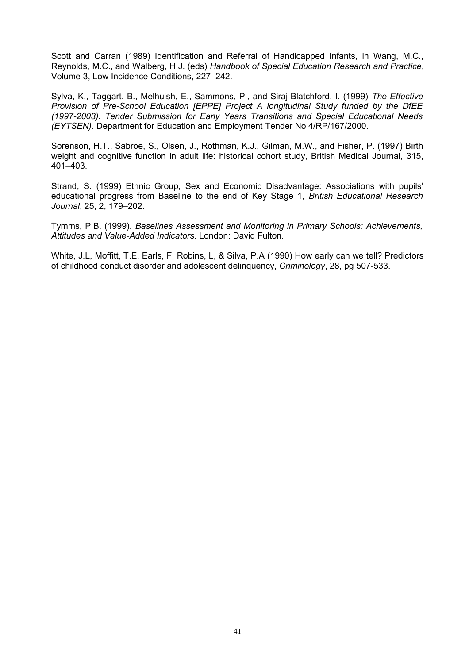Scott and Carran (1989) Identification and Referral of Handicapped Infants, in Wang, M.C., Reynolds, M.C., and Walberg, H.J. (eds) *Handbook of Special Education Research and Practice*, Volume 3, Low Incidence Conditions, 227–242.

Sylva, K., Taggart, B., Melhuish, E., Sammons, P., and Siraj-Blatchford, I. (1999) *The Effective Provision of Pre-School Education [EPPE] Project A longitudinal Study funded by the DfEE (1997-2003). Tender Submission for Early Years Transitions and Special Educational Needs (EYTSEN).* Department for Education and Employment Tender No 4/RP/167/2000.

Sorenson, H.T., Sabroe, S., Olsen, J., Rothman, K.J., Gilman, M.W., and Fisher, P. (1997) Birth weight and cognitive function in adult life: historical cohort study, British Medical Journal, 315, 401–403.

Strand, S. (1999) Ethnic Group, Sex and Economic Disadvantage: Associations with pupils' educational progress from Baseline to the end of Key Stage 1, *British Educational Research Journal*, 25, 2, 179–202.

Tymms, P.B. (1999). *Baselines Assessment and Monitoring in Primary Schools: Achievements, Attitudes and Value-Added Indicators.* London: David Fulton.

White, J.L, Moffitt, T.E, Earls, F, Robins, L, & Silva, P.A (1990) How early can we tell? Predictors of childhood conduct disorder and adolescent delinquency, *Criminology*, 28, pg 507-533.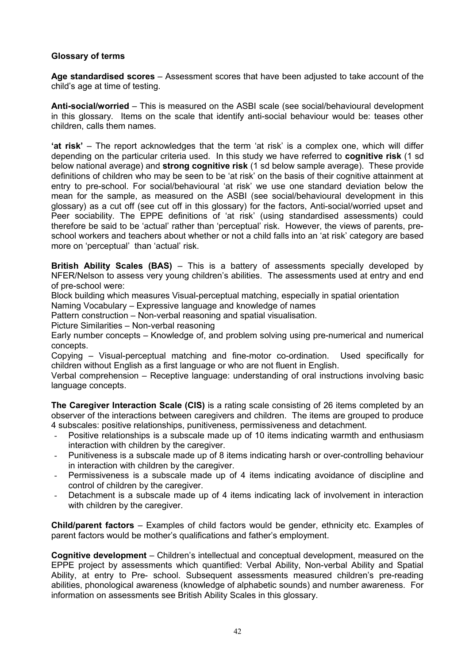# **Glossary of terms**

**Age standardised scores** – Assessment scores that have been adjusted to take account of the child's age at time of testing.

**Anti-social/worried** – This is measured on the ASBI scale (see social/behavioural development in this glossary. Items on the scale that identify anti-social behaviour would be: teases other children, calls them names.

**'at risk'** – The report acknowledges that the term 'at risk' is a complex one, which will differ depending on the particular criteria used. In this study we have referred to **cognitive risk** (1 sd below national average) and **strong cognitive risk** (1 sd below sample average). These provide definitions of children who may be seen to be 'at risk' on the basis of their cognitive attainment at entry to pre-school. For social/behavioural 'at risk' we use one standard deviation below the mean for the sample, as measured on the ASBI (see social/behavioural development in this glossary) as a cut off (see cut off in this glossary) for the factors, Anti-social/worried upset and Peer sociability. The EPPE definitions of 'at risk' (using standardised assessments) could therefore be said to be 'actual' rather than 'perceptual' risk. However, the views of parents, preschool workers and teachers about whether or not a child falls into an 'at risk' category are based more on 'perceptual' than 'actual' risk.

**British Ability Scales (BAS)** – This is a battery of assessments specially developed by NFER/Nelson to assess very young children's abilities. The assessments used at entry and end of pre-school were:

Block building which measures Visual-perceptual matching, especially in spatial orientation

Naming Vocabulary – Expressive language and knowledge of names

Pattern construction – Non-verbal reasoning and spatial visualisation.

Picture Similarities – Non-verbal reasoning

Early number concepts – Knowledge of, and problem solving using pre-numerical and numerical concepts.

Copying – Visual-perceptual matching and fine-motor co-ordination. Used specifically for children without English as a first language or who are not fluent in English.

Verbal comprehension – Receptive language: understanding of oral instructions involving basic language concepts.

**The Caregiver Interaction Scale (CIS)** is a rating scale consisting of 26 items completed by an observer of the interactions between caregivers and children. The items are grouped to produce 4 subscales: positive relationships, punitiveness, permissiveness and detachment.

- Positive relationships is a subscale made up of 10 items indicating warmth and enthusiasm interaction with children by the caregiver.
- Punitiveness is a subscale made up of 8 items indicating harsh or over-controlling behaviour in interaction with children by the caregiver.
- Permissiveness is a subscale made up of 4 items indicating avoidance of discipline and control of children by the caregiver.
- Detachment is a subscale made up of 4 items indicating lack of involvement in interaction with children by the caregiver.

**Child/parent factors** – Examples of child factors would be gender, ethnicity etc. Examples of parent factors would be mother's qualifications and father's employment.

**Cognitive development** – Children's intellectual and conceptual development, measured on the EPPE project by assessments which quantified: Verbal Ability, Non-verbal Ability and Spatial Ability, at entry to Pre- school. Subsequent assessments measured children's pre-reading abilities, phonological awareness (knowledge of alphabetic sounds) and number awareness. For information on assessments see British Ability Scales in this glossary.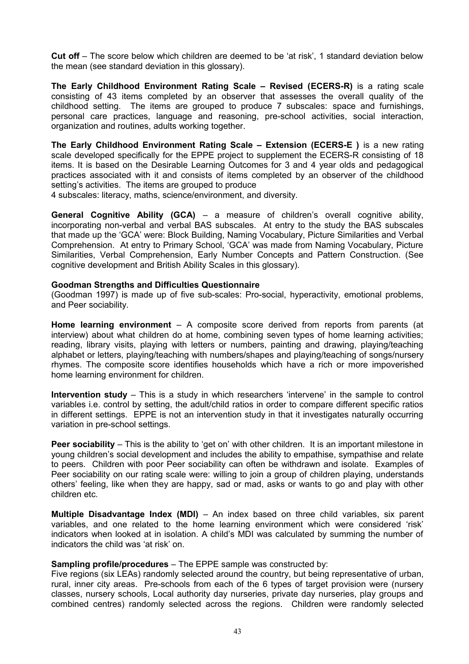**Cut off** – The score below which children are deemed to be 'at risk', 1 standard deviation below the mean (see standard deviation in this glossary).

**The Early Childhood Environment Rating Scale – Revised (ECERS-R)** is a rating scale consisting of 43 items completed by an observer that assesses the overall quality of the childhood setting. The items are grouped to produce 7 subscales: space and furnishings, personal care practices, language and reasoning, pre-school activities, social interaction, organization and routines, adults working together.

**The Early Childhood Environment Rating Scale – Extension (ECERS-E )** is a new rating scale developed specifically for the EPPE project to supplement the ECERS-R consisting of 18 items. It is based on the Desirable Learning Outcomes for 3 and 4 year olds and pedagogical practices associated with it and consists of items completed by an observer of the childhood setting's activities. The items are grouped to produce

4 subscales: literacy, maths, science/environment, and diversity.

**General Cognitive Ability (GCA)** – a measure of children's overall cognitive ability, incorporating non-verbal and verbal BAS subscales. At entry to the study the BAS subscales that made up the 'GCA' were: Block Building, Naming Vocabulary, Picture Similarities and Verbal Comprehension. At entry to Primary School, 'GCA' was made from Naming Vocabulary, Picture Similarities, Verbal Comprehension, Early Number Concepts and Pattern Construction. (See cognitive development and British Ability Scales in this glossary).

#### **Goodman Strengths and Difficulties Questionnaire**

(Goodman 1997) is made up of five sub-scales: Pro-social, hyperactivity, emotional problems, and Peer sociability.

**Home learning environment** – A composite score derived from reports from parents (at interview) about what children do at home, combining seven types of home learning activities; reading, library visits, playing with letters or numbers, painting and drawing, playing/teaching alphabet or letters, playing/teaching with numbers/shapes and playing/teaching of songs/nursery rhymes. The composite score identifies households which have a rich or more impoverished home learning environment for children.

**Intervention study** – This is a study in which researchers 'intervene' in the sample to control variables i.e. control by setting, the adult/child ratios in order to compare different specific ratios in different settings. EPPE is not an intervention study in that it investigates naturally occurring variation in pre-school settings.

**Peer sociability** – This is the ability to 'get on' with other children. It is an important milestone in young children's social development and includes the ability to empathise, sympathise and relate to peers. Children with poor Peer sociability can often be withdrawn and isolate. Examples of Peer sociability on our rating scale were: willing to join a group of children playing, understands others' feeling, like when they are happy, sad or mad, asks or wants to go and play with other children etc.

**Multiple Disadvantage Index (MDI)** - An index based on three child variables, six parent variables, and one related to the home learning environment which were considered 'risk' indicators when looked at in isolation. A child's MDI was calculated by summing the number of indicators the child was 'at risk' on.

#### **Sampling profile/procedures** – The EPPE sample was constructed by:

Five regions (six LEAs) randomly selected around the country, but being representative of urban, rural, inner city areas. Pre-schools from each of the 6 types of target provision were (nursery classes, nursery schools, Local authority day nurseries, private day nurseries, play groups and combined centres) randomly selected across the regions. Children were randomly selected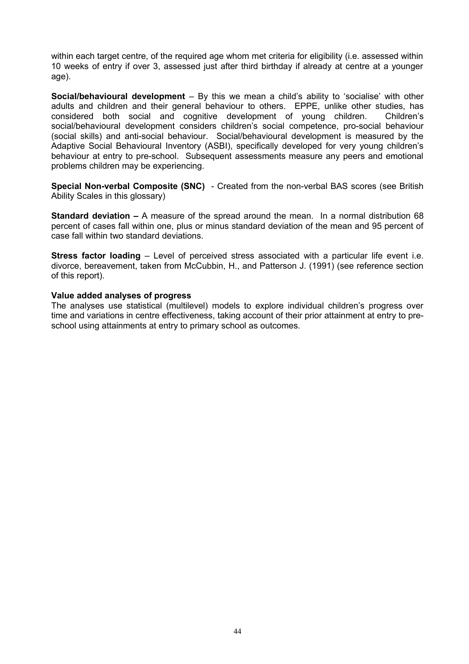within each target centre, of the required age whom met criteria for eligibility (i.e. assessed within 10 weeks of entry if over 3, assessed just after third birthday if already at centre at a younger age).

**Social/behavioural development** – By this we mean a child's ability to 'socialise' with other adults and children and their general behaviour to others. EPPE, unlike other studies, has considered both social and cognitive development of young children. Children's social/behavioural development considers children's social competence, pro-social behaviour (social skills) and anti-social behaviour. Social/behavioural development is measured by the Adaptive Social Behavioural Inventory (ASBI), specifically developed for very young children's behaviour at entry to pre-school. Subsequent assessments measure any peers and emotional problems children may be experiencing.

**Special Non-verbal Composite (SNC)** - Created from the non-verbal BAS scores (see British Ability Scales in this glossary)

**Standard deviation –** A measure of the spread around the mean. In a normal distribution 68 percent of cases fall within one, plus or minus standard deviation of the mean and 95 percent of case fall within two standard deviations.

**Stress factor loading** – Level of perceived stress associated with a particular life event i.e. divorce, bereavement, taken from McCubbin, H., and Patterson J. (1991) (see reference section of this report).

#### **Value added analyses of progress**

The analyses use statistical (multilevel) models to explore individual children's progress over time and variations in centre effectiveness, taking account of their prior attainment at entry to preschool using attainments at entry to primary school as outcomes.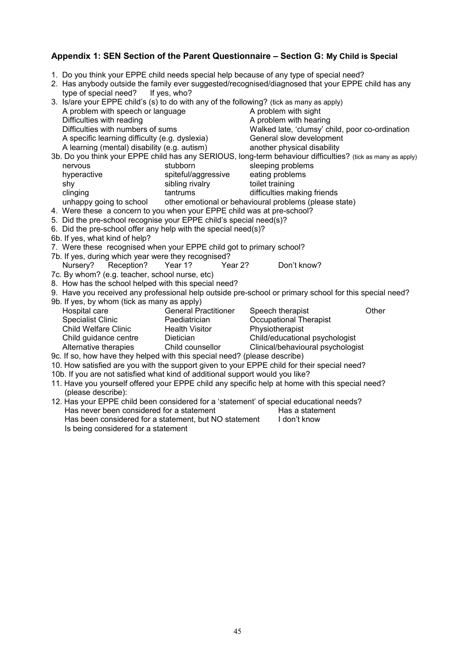# **Appendix 1: SEN Section of the Parent Questionnaire – Section G: My Child is Special**

- 1. Do you think your EPPE child needs special help because of any type of special need?
- 2. Has anybody outside the family ever suggested/recognised/diagnosed that your EPPE child has any type of special need? If yes, who?

| 3. Is/are your EPPE child's (s) to do with any of the following? (tick as many as apply) |                                     |                                                                                                                                                                                                                                        |       |  |  |  |  |
|------------------------------------------------------------------------------------------|-------------------------------------|----------------------------------------------------------------------------------------------------------------------------------------------------------------------------------------------------------------------------------------|-------|--|--|--|--|
| A problem with speech or language                                                        |                                     | A problem with sight                                                                                                                                                                                                                   |       |  |  |  |  |
| Difficulties with reading                                                                |                                     | A problem with hearing                                                                                                                                                                                                                 |       |  |  |  |  |
| Difficulties with numbers of sums                                                        |                                     | Walked late, 'clumsy' child, poor co-ordination                                                                                                                                                                                        |       |  |  |  |  |
| A specific learning difficulty (e.g. dyslexia)                                           |                                     | General slow development                                                                                                                                                                                                               |       |  |  |  |  |
| A learning (mental) disability (e.g. autism)                                             |                                     | another physical disability                                                                                                                                                                                                            |       |  |  |  |  |
|                                                                                          |                                     | 3b. Do you think your EPPE child has any SERIOUS, long-term behaviour difficulties? (tick as many as apply)                                                                                                                            |       |  |  |  |  |
| nervous                                                                                  | stubborn                            | sleeping problems                                                                                                                                                                                                                      |       |  |  |  |  |
| hyperactive                                                                              | spiteful/aggressive                 | eating problems                                                                                                                                                                                                                        |       |  |  |  |  |
| shy                                                                                      | sibling rivalry                     | toilet training                                                                                                                                                                                                                        |       |  |  |  |  |
| clinging                                                                                 | e de la construcción de<br>tantrums | difficulties making friends                                                                                                                                                                                                            |       |  |  |  |  |
|                                                                                          |                                     | unhappy going to school other emotional or behavioural problems (please state)                                                                                                                                                         |       |  |  |  |  |
| 4. Were these a concern to you when your EPPE child was at pre-school?                   |                                     |                                                                                                                                                                                                                                        |       |  |  |  |  |
| 5. Did the pre-school recognise your EPPE child's special need(s)?                       |                                     |                                                                                                                                                                                                                                        |       |  |  |  |  |
| 6. Did the pre-school offer any help with the special need(s)?                           |                                     |                                                                                                                                                                                                                                        |       |  |  |  |  |
| 6b. If yes, what kind of help?                                                           |                                     |                                                                                                                                                                                                                                        |       |  |  |  |  |
| 7. Were these recognised when your EPPE child got to primary school?                     |                                     |                                                                                                                                                                                                                                        |       |  |  |  |  |
| 7b. If yes, during which year were they recognised?                                      |                                     |                                                                                                                                                                                                                                        |       |  |  |  |  |
| Nursery? Reception? Year 1?                                                              | Year 2?                             | Don't know?                                                                                                                                                                                                                            |       |  |  |  |  |
| 7c. By whom? (e.g. teacher, school nurse, etc)                                           |                                     |                                                                                                                                                                                                                                        |       |  |  |  |  |
| 8. How has the school helped with this special need?                                     |                                     |                                                                                                                                                                                                                                        |       |  |  |  |  |
|                                                                                          |                                     | 9. Have you received any professional help outside pre-school or primary school for this special need?                                                                                                                                 |       |  |  |  |  |
| 9b. If yes, by whom (tick as many as apply)                                              |                                     |                                                                                                                                                                                                                                        |       |  |  |  |  |
| Hospital care                                                                            | <b>General Practitioner</b>         | Speech therapist                                                                                                                                                                                                                       | Other |  |  |  |  |
| <b>Specialist Clinic</b>                                                                 |                                     |                                                                                                                                                                                                                                        |       |  |  |  |  |
|                                                                                          |                                     |                                                                                                                                                                                                                                        |       |  |  |  |  |
|                                                                                          |                                     |                                                                                                                                                                                                                                        |       |  |  |  |  |
|                                                                                          |                                     | Specialist Clinic Paediatrician<br>Child Welfare Clinic Paediatrician<br>Child Guidance centre Dietician<br>Alternative therapies Child Counsellor Clinical/behavioural psychologist<br>Alternative therapies Child Counsellor Clinica |       |  |  |  |  |
| 9c. If so, how have they helped with this special need? (please describe)                |                                     |                                                                                                                                                                                                                                        |       |  |  |  |  |
|                                                                                          |                                     | 10. How satisfied are you with the support given to your EPPE child for their special need?                                                                                                                                            |       |  |  |  |  |
| 10b. If you are not satisfied what kind of additional support would you like?            |                                     |                                                                                                                                                                                                                                        |       |  |  |  |  |
|                                                                                          |                                     | 11. Have you yourself offered your EPPE child any specific help at home with this special need?                                                                                                                                        |       |  |  |  |  |
| (please describe):                                                                       |                                     |                                                                                                                                                                                                                                        |       |  |  |  |  |
|                                                                                          |                                     | 12. Has your EPPE child been considered for a 'statement' of special educational needs?                                                                                                                                                |       |  |  |  |  |
| Has never been considered for a statement                                                |                                     | Has a statement                                                                                                                                                                                                                        |       |  |  |  |  |
| Has been considered for a statement, but NO statement I don't know                       |                                     |                                                                                                                                                                                                                                        |       |  |  |  |  |
| Is being considered for a statement                                                      |                                     |                                                                                                                                                                                                                                        |       |  |  |  |  |